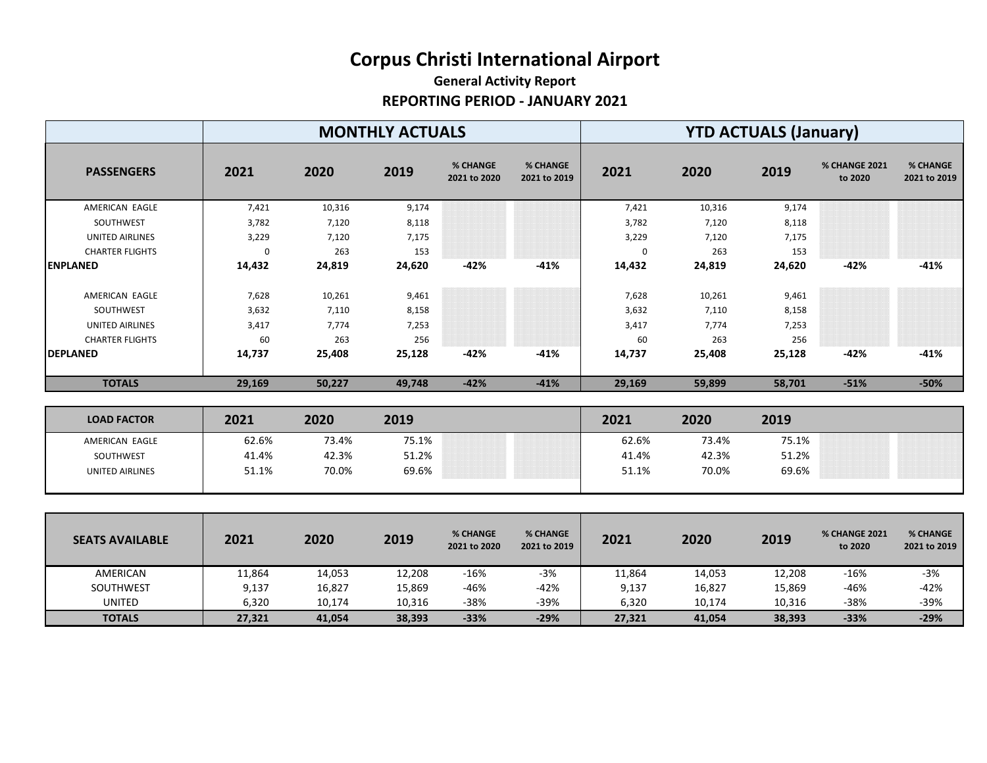### **General Activity Report REPORTING PERIOD - JANUARY 2021**

|                        |             |        | <b>MONTHLY ACTUALS</b> |                                 |                          | <b>YTD ACTUALS (January)</b> |        |        |                                 |                                 |
|------------------------|-------------|--------|------------------------|---------------------------------|--------------------------|------------------------------|--------|--------|---------------------------------|---------------------------------|
| <b>PASSENGERS</b>      | 2021        | 2020   | 2019                   | <b>% CHANGE</b><br>2021 to 2020 | % CHANGE<br>2021 to 2019 | 2021                         | 2020   | 2019   | <b>% CHANGE 2021</b><br>to 2020 | <b>% CHANGE</b><br>2021 to 2019 |
| AMERICAN EAGLE         | 7,421       | 10,316 | 9,174                  |                                 |                          | 7,421                        | 10,316 | 9,174  |                                 |                                 |
| SOUTHWEST              | 3,782       | 7,120  | 8,118                  |                                 |                          | 3,782                        | 7,120  | 8,118  |                                 |                                 |
| UNITED AIRLINES        | 3,229       | 7,120  | 7,175                  |                                 |                          | 3,229                        | 7,120  | 7,175  |                                 |                                 |
| <b>CHARTER FLIGHTS</b> | $\mathbf 0$ | 263    | 153                    |                                 |                          | $\Omega$                     | 263    | 153    |                                 |                                 |
| <b>ENPLANED</b>        | 14,432      | 24,819 | 24,620                 | $-42%$                          | $-41%$                   | 14,432                       | 24,819 | 24,620 | $-42%$                          | $-41%$                          |
| AMERICAN EAGLE         | 7,628       | 10,261 | 9,461                  |                                 |                          | 7,628                        | 10,261 | 9,461  |                                 |                                 |
| SOUTHWEST              | 3,632       | 7,110  | 8,158                  |                                 |                          | 3,632                        | 7,110  | 8,158  |                                 |                                 |
| <b>UNITED AIRLINES</b> | 3,417       | 7,774  | 7,253                  |                                 |                          | 3,417                        | 7,774  | 7,253  |                                 |                                 |
| <b>CHARTER FLIGHTS</b> | 60          | 263    | 256                    |                                 |                          | 60                           | 263    | 256    |                                 |                                 |
| <b>DEPLANED</b>        | 14,737      | 25,408 | 25,128                 | $-42%$                          | $-41%$                   | 14,737                       | 25,408 | 25,128 | $-42%$                          | $-41%$                          |
| <b>TOTALS</b>          | 29,169      | 50,227 | 49,748                 | $-42%$                          | $-41%$                   | 29,169                       | 59,899 | 58,701 | $-51%$                          | $-50%$                          |

| <b>LOAD FACTOR</b>     | 2021  | 2020  | 2019  |                                                                                                                                                                                                                                                                                                                                                                                                         | 2021  | 2020  | 2019                |                                                                                                                          |
|------------------------|-------|-------|-------|---------------------------------------------------------------------------------------------------------------------------------------------------------------------------------------------------------------------------------------------------------------------------------------------------------------------------------------------------------------------------------------------------------|-------|-------|---------------------|--------------------------------------------------------------------------------------------------------------------------|
| AMERICAN EAGLE         | 62.6% | 73.4% | 75.1% | ,,,,,,,,,,,,,,,,,,,,,,,,,,,,,,,,,,,<br>,,,,,,,,,,,,,,,,,,,,,,,,,,,,,,,,,,,<br>,,,,,,,,,,,,,,,,,,,,,,,,,,,,,,,,,,<br>,,,,,,,,,,,,,,,,,,,,,,,,,,,,,,,,,,<br>,,,,,,,,,,,,,,,,,,,,,,,,,,,,,,,,,,,<br>,,,,,,,,,,,,,,,,,,,,,,,,,,,,,,,,,,                                                                                                                                                                     | 62.6% | 73.4% | 75.1%<br>0/ 2.1 / 0 | ,,,,,,,,,,,,,,,,,,,,,,,,,,,,,,,,,,,,,,<br>,,,,,,,,,,,,,,,,,,,,,,,,,,,,,,,,,,,,<br>,,,,,,,,,,,,,,,,,,,,,,,,,,,,,,,,,,,,,, |
| SOUTHWEST              | 41.4% | 42.3% | 51.2% | ,,,,,,,,,,,,,,,,,,,,,,,,,,,,,,,,,,,,,<br>,,,,,,,,,,,,,,,,,,,,,,,,,,,,,,,,,,,,,<br>,,,,,,,,,,,,,,,,,,,,,,,,,,,,,,,,,,,,,<br>,,,,,,,,,,,,,,,,,,,,,,,,,,,,,,,,,,,,<br>,,,,,,,,,,,,,,,,,,,,,,,,,,,,,,,,,<br>,,,,,,,,,,,,,,,,,,,,,,,,,,,,,,,,,,,,<br>,,,,,,,,,,,,,,,,,,,,,,,,,,,,,,,,,,,<br>,,,,,,,,,,,,,,,,,,,,,,,,,,,,,,,,,,<br>,,,,,,,,,,,,,,,,,,,,,,,,,,,,,,,,,,,<br>,,,,,,,,,,,,,,,,,,,,,,,,,,,,,,,,,,, | 41.4% | 42.3% | <b>JI.Z</b> 70      | ,,,,,,,,,,,,,,,,,,,,,,,,,,,,,,,,,,,,,<br>,,,,,,,,,,,,,,,,,,,,,,,,,,,,,,,,,,,,,,<br>,,,,,,,,,,,,,,,,,,,,,,,,,,,,,,,,,,,,  |
| <b>UNITED AIRLINES</b> | 51.1% | 70.0% | 69.6% | ,,,,,,,,,,,,,,,,,,,,,,,,,,,,,,,,,,,,<br>,,,,,,,,,,,,,,,,,,,,,,,,,,,,,,,,,,,,,,<br>,,,,,,,,,,,,,,,,,,,,,,,,,,,,,,,,,,,<br>,,,,,,,,,,,,,,,,,,,,,,,,,,,,,,,,,,,<br>,,,,,,,,,,,,,,,,,,,,,,,,,,,,,,,,,,<br>,,,,,,,,,,,,,,,,,,,,,,,,,,,,,,,,,,,<br>,,,,,,,,,,,,,,,,,,,,,,,,,,,,,,,,,,<br>,,,,,,,,,,,,,,,,,,,,,,,,,,,,,,,,,,<br>,,,,,,,,,,,,,,,,,,,,,,,,,,,,,,,,,,,                                            | 51.1% | 70.0% | 69.6%               | ,,,,,,,,,,,,,,,,,,,,,,,,,,,,,,,,,,,,<br>,,,,,,,,,,,,,,,,,,,,,,,,,,,,,,,,,,,,,,                                           |

| <b>SEATS AVAILABLE</b> | 2021   | 2020   | 2019   | % CHANGE<br>2021 to 2020 | <b>% CHANGE</b><br>2021 to 2019 | 2021   | 2020   | 2019   | <b>% CHANGE 2021</b><br>to 2020 | % CHANGE<br>2021 to 2019 |
|------------------------|--------|--------|--------|--------------------------|---------------------------------|--------|--------|--------|---------------------------------|--------------------------|
| AMERICAN               | 11,864 | 14,053 | 12,208 | $-16%$                   | $-3%$                           | 11,864 | 14,053 | 12,208 | $-16%$                          | $-3%$                    |
| SOUTHWEST              | 9,137  | 16,827 | 15,869 | -46%                     | $-42%$                          | 9,137  | 16,827 | 15,869 | $-46%$                          | $-42%$                   |
| <b>UNITED</b>          | 6,320  | 10,174 | 10,316 | $-38%$                   | -39%                            | 6,320  | 10,174 | 10,316 | $-38%$                          | $-39%$                   |
| <b>TOTALS</b>          | 27,321 | 41,054 | 38,393 | $-33%$                   | $-29%$                          | 27,321 | 41.054 | 38,393 | $-33%$                          | $-29%$                   |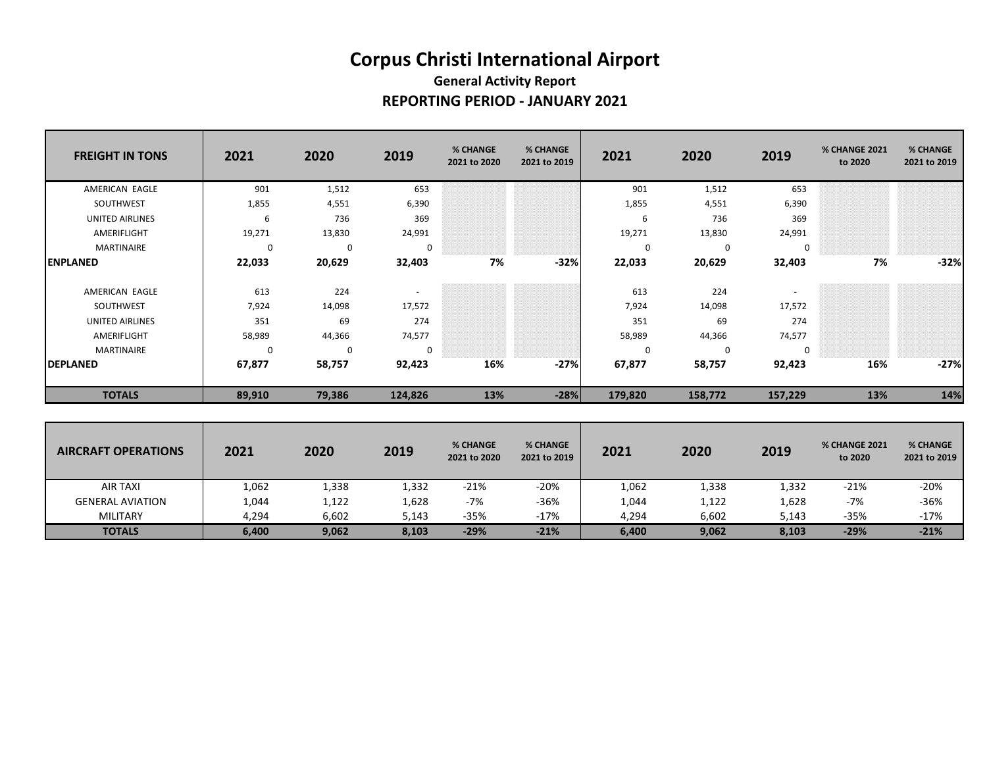### **General Activity Report REPORTING PERIOD - JANUARY 2021**

| <b>FREIGHT IN TONS</b> | 2021   | 2020     | 2019    | % CHANGE<br>2021 to 2020 | % CHANGE<br>2021 to 2019 | 2021     | 2020     | 2019    | <b>% CHANGE 2021</b><br>to 2020 | % CHANGE<br>2021 to 2019 |
|------------------------|--------|----------|---------|--------------------------|--------------------------|----------|----------|---------|---------------------------------|--------------------------|
| AMERICAN EAGLE         | 901    | 1,512    | 653     |                          |                          | 901      | 1,512    | 653     |                                 |                          |
| SOUTHWEST              | 1,855  | 4,551    | 6,390   |                          |                          | 1,855    | 4,551    | 6,390   |                                 |                          |
| UNITED AIRLINES        | 6      | 736      | 369     |                          |                          | 6        | 736      | 369     |                                 |                          |
| AMERIFLIGHT            | 19,271 | 13,830   | 24,991  |                          |                          | 19,271   | 13,830   | 24,991  |                                 |                          |
| MARTINAIRE             | 0      | $\Omega$ | 0       |                          |                          |          | $\Omega$ | 0       |                                 |                          |
| <b>ENPLANED</b>        | 22,033 | 20,629   | 32,403  | 7%                       | $-32%$                   | 22,033   | 20,629   | 32,403  | 7%                              | $-32%$                   |
| AMERICAN EAGLE         | 613    | 224      | $\sim$  |                          |                          | 613      | 224      |         |                                 |                          |
| SOUTHWEST              | 7,924  | 14,098   | 17,572  |                          |                          | 7,924    | 14,098   | 17,572  |                                 |                          |
| UNITED AIRLINES        | 351    | 69       | 274     |                          |                          | 351      | 69       | 274     |                                 |                          |
| AMERIFLIGHT            | 58,989 | 44,366   | 74,577  |                          |                          | 58,989   | 44,366   | 74,577  |                                 |                          |
| <b>MARTINAIRE</b>      | 0      | $\Omega$ | 0       |                          |                          | $\Omega$ | 0        | 0       |                                 |                          |
| <b>DEPLANED</b>        | 67,877 | 58,757   | 92,423  | 16%                      | $-27%$                   | 67,877   | 58,757   | 92,423  | 16%                             | $-27%$                   |
| <b>TOTALS</b>          | 89,910 | 79,386   | 124,826 | 13%                      | $-28%$                   | 179,820  | 158,772  | 157,229 | 13%                             | 14%                      |

| <b>AIRCRAFT OPERATIONS</b> | 2021  | 2020  | 2019  | % CHANGE<br>2021 to 2020 | <b>% CHANGE</b><br>2021 to 2019 | 2021  | 2020  | 2019  | <b>% CHANGE 2021</b><br>to 2020 | % CHANGE<br>2021 to 2019 |
|----------------------------|-------|-------|-------|--------------------------|---------------------------------|-------|-------|-------|---------------------------------|--------------------------|
| AIR TAXI                   | 1,062 | 1,338 | 1,332 | $-21%$                   | $-20%$                          | 1,062 | 1,338 | 1,332 | $-21%$                          | $-20%$                   |
| <b>GENERAL AVIATION</b>    | 1,044 | 1,122 | 1,628 | -7%                      | -36%                            | 1,044 | 1,122 | 1,628 | $-7%$                           | $-36%$                   |
| <b>MILITARY</b>            | 4,294 | 6,602 | 5,143 | $-35%$                   | $-17%$                          | 4,294 | 6,602 | 5,143 | $-35%$                          | $-17%$                   |
| <b>TOTALS</b>              | 6,400 | 9,062 | 8,103 | $-29%$                   | $-21%$                          | 6,400 | 9,062 | 8,103 | $-29%$                          | $-21%$                   |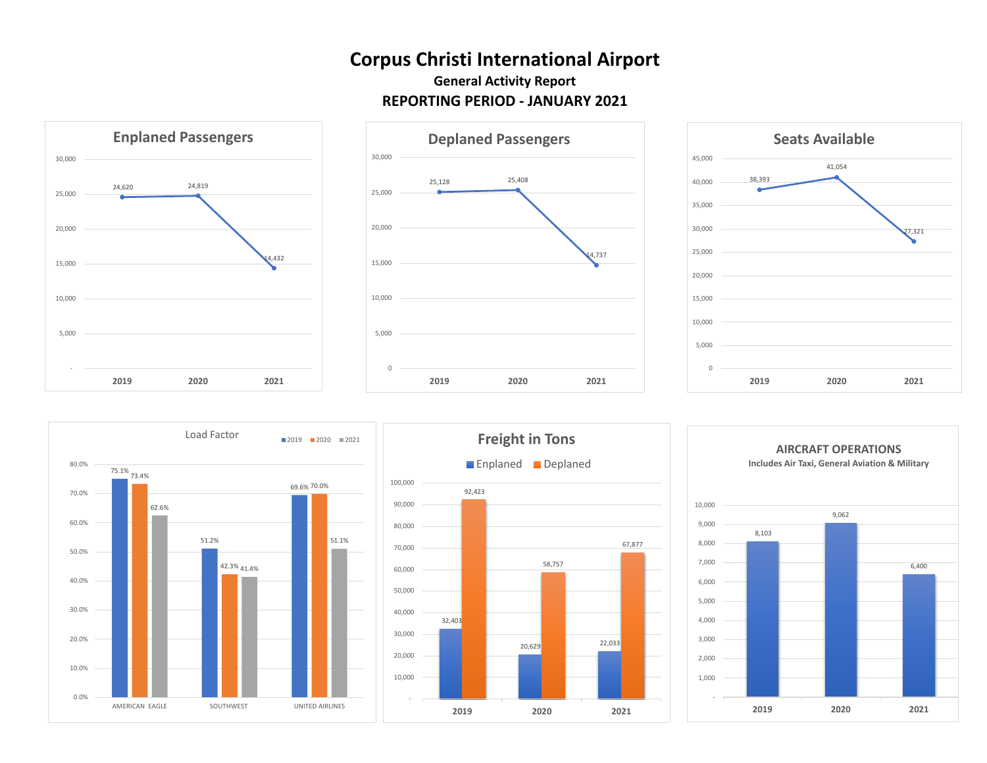









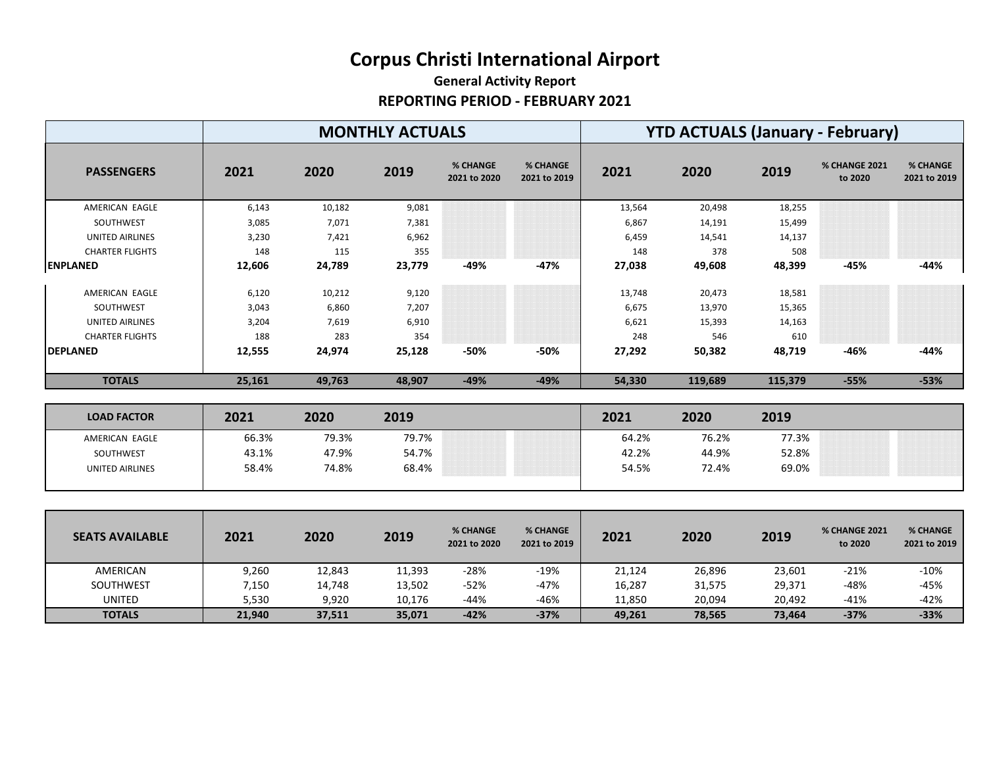### **General Activity Report REPORTING PERIOD - FEBRUARY 2021**

| <b>MONTHLY ACTUALS</b> |        |        |        |                          |                          |        | <b>YTD ACTUALS (January - February)</b> |         |                          |                                 |
|------------------------|--------|--------|--------|--------------------------|--------------------------|--------|-----------------------------------------|---------|--------------------------|---------------------------------|
| <b>PASSENGERS</b>      | 2021   | 2020   | 2019   | % CHANGE<br>2021 to 2020 | % CHANGE<br>2021 to 2019 | 2021   | 2020                                    | 2019    | % CHANGE 2021<br>to 2020 | <b>% CHANGE</b><br>2021 to 2019 |
| AMERICAN EAGLE         | 6,143  | 10,182 | 9,081  |                          |                          | 13,564 | 20,498                                  | 18,255  |                          |                                 |
| SOUTHWEST              | 3,085  | 7,071  | 7,381  |                          |                          | 6,867  | 14,191                                  | 15,499  |                          |                                 |
| UNITED AIRLINES        | 3,230  | 7,421  | 6,962  |                          |                          | 6,459  | 14,541                                  | 14,137  |                          |                                 |
| <b>CHARTER FLIGHTS</b> | 148    | 115    | 355    |                          |                          | 148    | 378                                     | 508     |                          |                                 |
| <b>ENPLANED</b>        | 12,606 | 24,789 | 23,779 | -49%                     | $-47%$                   | 27,038 | 49,608                                  | 48,399  | -45%                     | $-44%$                          |
| AMERICAN EAGLE         | 6,120  | 10,212 | 9,120  |                          |                          | 13,748 | 20,473                                  | 18,581  |                          |                                 |
| SOUTHWEST              | 3,043  | 6,860  | 7,207  |                          |                          | 6,675  | 13,970                                  | 15,365  |                          |                                 |
| <b>UNITED AIRLINES</b> | 3,204  | 7,619  | 6,910  |                          |                          | 6,621  | 15,393                                  | 14,163  |                          |                                 |
| <b>CHARTER FLIGHTS</b> | 188    | 283    | 354    |                          |                          | 248    | 546                                     | 610     |                          |                                 |
| <b>DEPLANED</b>        | 12,555 | 24,974 | 25,128 | -50%                     | -50%                     | 27,292 | 50,382                                  | 48,719  | $-46%$                   | $-44%$                          |
| <b>TOTALS</b>          | 25,161 | 49,763 | 48,907 | $-49%$                   | $-49%$                   | 54,330 | 119,689                                 | 115,379 | $-55%$                   | $-53%$                          |

| <b>LOAD FACTOR</b>     | 2021  | 2020  | 2019  |                                                                                                                                                                                                                                                                                                                                                                                                      | 2021  | 2020  | 2019  |                                                                                                                                                                                                           |
|------------------------|-------|-------|-------|------------------------------------------------------------------------------------------------------------------------------------------------------------------------------------------------------------------------------------------------------------------------------------------------------------------------------------------------------------------------------------------------------|-------|-------|-------|-----------------------------------------------------------------------------------------------------------------------------------------------------------------------------------------------------------|
| AMERICAN EAGLE         | 66.3% | 79.3% | 79.7% | ,,,,,,,,,,,,,,,,,,,,,,,,,,,,,,<br>,,,,,,,,,,,,,,,,,,,,,,,,,,,,,,,,,<br>,,,,,,,,,,,,,,,,,,,,,,,,,,,,,,,,,,,,,,<br>,,,,,,,,,,,,,,,,,,,,,,,,,,,,,,,,,,,,<br>,,,,,,,,,,,,,,,,,,,,,,,,,,,,,,,,,,<br>,,,,,,,,,,,,,,,,,,,,,,,,,,,,,,,,,,<br>,,,,,,,,,,,,,,,,,,,,,,,,,,,,,,,,,,<br>,,,,,,,,,,,,,,,,,,,,,,,,,,,,,,,,,,,<br>,,,,,,,,,,,,,,,,,,,,,,,,,,,,,,,,,,,,,<br>,,,,,,,,,,,,,,,,,,,,,,,,,,,,,,,,,,,       | 64.2% | 76.2% | 77.3% | ,,,,,,,,,,,,,,,,,,,,,,,,,,,,,,,,,,,,,,<br>,,,,,,,,,,,,,,,,,,,,,,,,,,,,,,,,,,,,,,<br>,,,,,,,,,,,,,,,,,,,,,,,,,,,,,,,,,,,,,,<br>,,,,,,,,,,,,,,,,,,,,,,,,,,,,,,,,,,,,,<br>,,,,,,,,,,,,,,,,,,,,,,,,,,,,,,,,,, |
| SOUTHWEST              | 43.1% | 47.9% | 54.7% | ,,,,,,,,,,,,,,,,,,,,,,,,,,,,,,,,,,,,,<br>,,,,,,,,,,,,,,,,,,,,,,,,,,,,,,,,,,<br>,,,,,,,,,,,,,,,,,,,,,,,,,,,,,,,,,,,,<br>,,,,,,,,,,,,,,,,,,,,,,,,,,,,,,,,,,,<br>,,,,,,,,,,,,,,,,,,,,,,,,,,,,,,,,,,,<br>,,,,,,,,,,,,,,,,,,,,,,,,,,,,,,,,,,<br>,,,,,,,,,,,,,,,,,,,,,,,,,,,,,,,,,,,<br>,,,,,,,,,,,,,,,,,,,,,,,,,,,,,,,,,,,,<br>,,,,,,,,,,,,,,,,,,,,,,,,,,,,,,,,,,,,                                       | 42.2% | 44.9% | 52.8% | ,,,,,,,,,,,,,,,,,,,,,,,,,,,,,,,,,,,<br>,,,,,,,,,,,,,,,,,,,,,,,,,,,,,,,,,,,,,,<br>,,,,,,,,,,,,,,,,,,,,,,,,,,,,,,,,,,,<br>,,,,,,,,,,,,,,,,,,,,,,,,,,,,,,,,,,,,                                              |
| <b>UNITED AIRLINES</b> | 58.4% | 74.8% | 68.4% | ,,,,,,,,,,,,,,,,,,,,,,,,,,,,,,,,,,,<br>,,,,,,,,,,,,,,,,,,,,,,,,,,,,,,,,,,,<br>,,,,,,,,,,,,,,,,,,,,,,,,,,,,,,,,,,,<br>,,,,,,,,,,,,,,,,,,,,,,,,,,,,,,,,,,,,,<br>,,,,,,,,,,,,,,,,,,,,,,,,,,,,,,,,,,<br>,,,,,,,,,,,,,,,,,,,,,,,,,,,,,,,,,,,<br>,,,,,,,,,,,,,,,,,,,,,,,,,,,,,,,,,,,<br>,,,,,,,,,,,,,,,,,,,,,,,,,,,,,,,,,<br>,,,,,,,,,,,,,,,,,,,,,,,,,,,,,,,,,,,,,<br>,,,,,,,,,,,,,,,,,,,,,,,,,,,,,,,,,,,, | 54.5% | 72.4% | 69.0% | ,,,,,,,,,,,,,,,,,,,,,,,,,,,,,,,,,,,,,,<br>,,,,,,,,,,,,,,,,,,,,,,,,,,,,,,,,,,,,,,<br>,,,,,,,,,,,,,,,,,,,,,,,,,,,,,,,,,,                                                                                    |
|                        |       |       |       |                                                                                                                                                                                                                                                                                                                                                                                                      |       |       |       |                                                                                                                                                                                                           |

| <b>SEATS AVAILABLE</b> | 2021   | 2020   | 2019   | <b>% CHANGE</b><br>2021 to 2020 | <b>% CHANGE</b><br>2021 to 2019 | 2021   | 2020   | 2019   | <b>% CHANGE 2021</b><br>to 2020 | % CHANGE<br>2021 to 2019 |
|------------------------|--------|--------|--------|---------------------------------|---------------------------------|--------|--------|--------|---------------------------------|--------------------------|
| AMERICAN               | 9,260  | 12,843 | 11,393 | $-28%$                          | $-19%$                          | 21,124 | 26,896 | 23,601 | $-21%$                          | $-10%$                   |
| SOUTHWEST              | 7,150  | 14,748 | 13,502 | -52%                            | $-47%$                          | 16,287 | 31,575 | 29,371 | $-48%$                          | $-45%$                   |
| <b>UNITED</b>          | 5,530  | 9,920  | 10,176 | $-44%$                          | -46%                            | 11,850 | 20,094 | 20,492 | $-41%$                          | $-42%$                   |
| <b>TOTALS</b>          | 21,940 | 37,511 | 35,071 | $-42%$                          | $-37%$                          | 49,261 | 78,565 | 73,464 | $-37%$                          | $-33%$                   |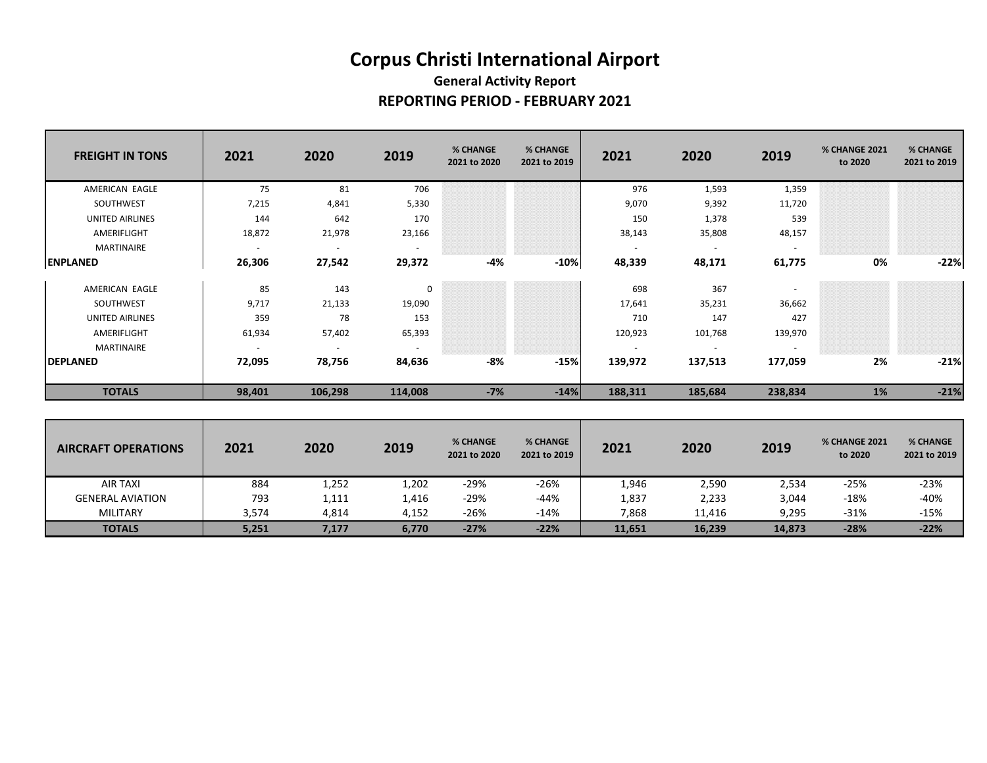### **General Activity Report REPORTING PERIOD - FEBRUARY 2021**

| <b>FREIGHT IN TONS</b> | 2021   | 2020                     | 2019                     | % CHANGE<br>2021 to 2020 | % CHANGE<br>2021 to 2019 | 2021                     | 2020                     | 2019           | % CHANGE 2021<br>to 2020 | % CHANGE<br>2021 to 2019 |
|------------------------|--------|--------------------------|--------------------------|--------------------------|--------------------------|--------------------------|--------------------------|----------------|--------------------------|--------------------------|
| AMERICAN EAGLE         | 75     | 81                       | 706                      |                          |                          | 976                      | 1,593                    | 1,359          |                          |                          |
| SOUTHWEST              | 7,215  | 4,841                    | 5,330                    |                          |                          | 9,070                    | 9,392                    | 11,720         |                          |                          |
| UNITED AIRLINES        | 144    | 642                      | 170                      |                          |                          | 150                      | 1,378                    | 539            |                          |                          |
| AMERIFLIGHT            | 18,872 | 21,978                   | 23,166                   |                          |                          | 38,143                   | 35,808                   | 48,157         |                          |                          |
| MARTINAIRE             | $\sim$ | $\sim$                   | $\sim$                   |                          |                          | $\sim$                   | $\sim$                   | $\sim$         |                          |                          |
| <b>ENPLANED</b>        | 26,306 | 27,542                   | 29,372                   | -4%                      | $-10%$                   | 48,339                   | 48,171                   | 61,775         | 0%                       | $-22%$                   |
| AMERICAN EAGLE         | 85     | 143                      | $\mathbf 0$              |                          |                          | 698                      | 367                      |                |                          |                          |
| SOUTHWEST              | 9,717  | 21,133                   | 19,090                   |                          |                          | 17,641                   | 35,231                   | 36,662         |                          |                          |
| UNITED AIRLINES        | 359    | 78                       | 153                      |                          |                          | 710                      | 147                      | 427            |                          |                          |
| AMERIFLIGHT            | 61,934 | 57,402                   | 65,393                   |                          |                          | 120,923                  | 101,768                  | 139,970        |                          |                          |
| MARTINAIRE             |        | $\overline{\phantom{a}}$ | $\overline{\phantom{a}}$ |                          |                          | $\overline{\phantom{a}}$ | $\overline{\phantom{a}}$ | $\overline{a}$ |                          |                          |
| <b>DEPLANED</b>        | 72,095 | 78,756                   | 84,636                   | -8%                      | $-15%$                   | 139,972                  | 137,513                  | 177,059        | 2%                       | $-21%$                   |
| <b>TOTALS</b>          | 98,401 | 106,298                  | 114,008                  | $-7%$                    | $-14%$                   | 188,311                  | 185,684                  | 238,834        | 1%                       | $-21%$                   |

| <b>AIRCRAFT OPERATIONS</b> | 2021  | 2020  | 2019  | <b>% CHANGE</b><br>2021 to 2020 | <b>% CHANGE</b><br>2021 to 2019 | 2021   | 2020   | 2019   | <b>% CHANGE 2021</b><br>to 2020 | % CHANGE<br>2021 to 2019 |
|----------------------------|-------|-------|-------|---------------------------------|---------------------------------|--------|--------|--------|---------------------------------|--------------------------|
| AIR TAXI                   | 884   | 1,252 | 1,202 | $-29%$                          | $-26%$                          | 1,946  | 2,590  | 2,534  | $-25%$                          | $-23%$                   |
| <b>GENERAL AVIATION</b>    | 793   | 1,111 | 1,416 | $-29%$                          | $-44%$                          | 1,837  | 2,233  | 3,044  | $-18%$                          | $-40%$                   |
| <b>MILITARY</b>            | 3,574 | 4,814 | 4,152 | $-26%$                          | $-14%$                          | 7,868  | 11.416 | 9,295  | $-31%$                          | -15%                     |
| <b>TOTALS</b>              | 5,251 | 7,177 | 6,770 | $-27%$                          | $-22%$                          | 11,651 | 16,239 | 14,873 | $-28%$                          | $-22%$                   |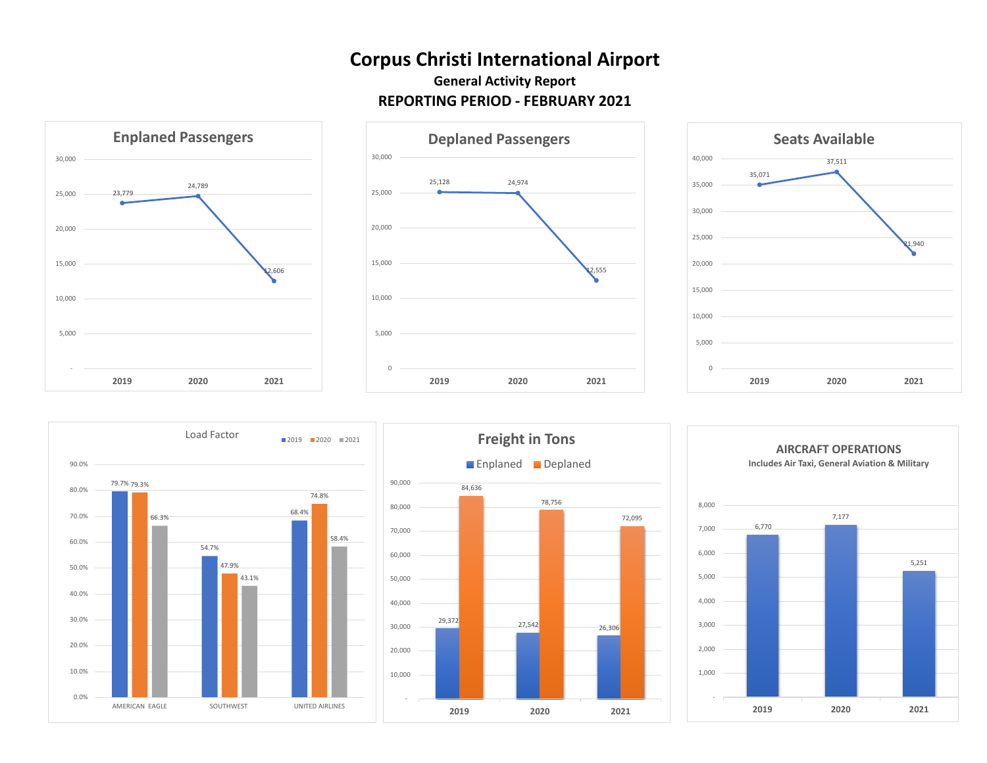











**2019 2020 2021**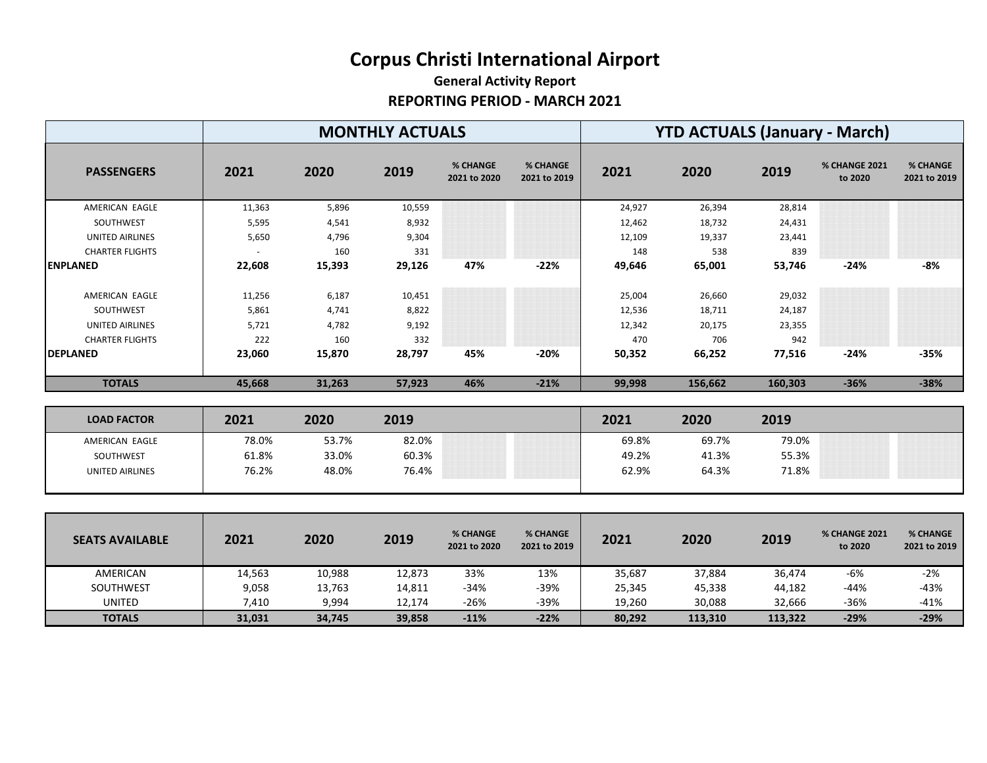| <b>MONTHLY ACTUALS</b> |        |        |        |                          |                          | <b>YTD ACTUALS (January - March)</b> |         |         |                                 |                          |  |
|------------------------|--------|--------|--------|--------------------------|--------------------------|--------------------------------------|---------|---------|---------------------------------|--------------------------|--|
| <b>PASSENGERS</b>      | 2021   | 2020   | 2019   | % CHANGE<br>2021 to 2020 | % CHANGE<br>2021 to 2019 | 2021                                 | 2020    | 2019    | <b>% CHANGE 2021</b><br>to 2020 | % CHANGE<br>2021 to 2019 |  |
| AMERICAN EAGLE         | 11,363 | 5,896  | 10,559 |                          |                          | 24,927                               | 26,394  | 28,814  |                                 |                          |  |
| SOUTHWEST              | 5,595  | 4,541  | 8,932  |                          |                          | 12,462                               | 18,732  | 24,431  |                                 |                          |  |
| UNITED AIRLINES        | 5,650  | 4,796  | 9,304  |                          |                          | 12,109                               | 19,337  | 23,441  |                                 |                          |  |
| <b>CHARTER FLIGHTS</b> |        | 160    | 331    |                          |                          | 148                                  | 538     | 839     |                                 |                          |  |
| <b>ENPLANED</b>        | 22,608 | 15,393 | 29,126 | 47%                      | $-22%$                   | 49,646                               | 65,001  | 53,746  | $-24%$                          | $-8%$                    |  |
| AMERICAN EAGLE         | 11,256 | 6,187  | 10,451 |                          |                          | 25,004                               | 26,660  | 29,032  |                                 |                          |  |
| SOUTHWEST              | 5,861  | 4,741  | 8,822  |                          |                          | 12,536                               | 18,711  | 24,187  |                                 |                          |  |
| <b>UNITED AIRLINES</b> | 5,721  | 4,782  | 9,192  |                          |                          | 12,342                               | 20,175  | 23,355  |                                 |                          |  |
| <b>CHARTER FLIGHTS</b> | 222    | 160    | 332    |                          |                          | 470                                  | 706     | 942     |                                 |                          |  |
| <b>DEPLANED</b>        | 23,060 | 15,870 | 28,797 | 45%                      | $-20%$                   | 50,352                               | 66,252  | 77,516  | $-24%$                          | $-35%$                   |  |
| <b>TOTALS</b>          | 45,668 | 31,263 | 57,923 | 46%                      | $-21%$                   | 99,998                               | 156,662 | 160,303 | $-36%$                          | $-38%$                   |  |

| <b>LOAD FACTOR</b>     | 2021  | 2020  | 2019  |                                                                                                                                                                                                                                                                                                                                                                                       | 2021  | 2020  | 2019  |                                                                                                                                                                           |  |
|------------------------|-------|-------|-------|---------------------------------------------------------------------------------------------------------------------------------------------------------------------------------------------------------------------------------------------------------------------------------------------------------------------------------------------------------------------------------------|-------|-------|-------|---------------------------------------------------------------------------------------------------------------------------------------------------------------------------|--|
| AMERICAN EAGLE         | 78.0% | 53.7% | 82.0% | ,,,,,,,,,,,,,,,,,,,,,,,,,,,,,,,,,,,,,<br>,,,,,,,,,,,,,,,,,,,,,,,,,,,,,,,,,,,<br>,,,,,,,,,,,,,,,,,,,,,,,,,,,,,,,,,<br>,,,,,,,,,,,,,,,,,,,,,,,,,,,,,,,,<br>,,,,,,,,,,,,,,,,,,,,,,,,,,,,,,,,,,<br>,,,,,,,,,,,,,,,,,,,,,,,,,,,,,,,                                                                                                                                                        | 69.8% | 69.7% | 79.0% | ,,,,,,,,,,,,,,,,,,,,,,,,,,,,,,,,,,,,,<br>,,,,,,,,,,,,,,,,,,,,,,,,,,,,,,,,,,<br>,,,,,,,,,,,,,,,,,,,,,,,,,,,,,,,,,,,,,,                                                     |  |
| SOUTHWEST              | 61.8% | 33.0% | 60.3% | ,,,,,,,,,,,,,,,,,,,,,,,,,,,,,,,,,,,,<br>,,,,,,,,,,,,,,,,,,,,,,,,,,,,,,,,,,,,<br>,,,,,,,,,,,,,,,,,,,,,,,,,,,,,,,,,,,,<br>,,,,,,,,,,,,,,,,,,,,,,,,,,,,,,,,<br>,,,,,,,,,,,,,,,,,,,,,,,,,,,,,,,,,,,<br>,,,,,,,,,,,,,,,,,,,,,,,,,,,,,,,,,,,,<br>,,,,,,,,,,,,,,,,,,,,,,,,,,,,,,,,,,,,,<br>,,,,,,,,,,,,,,,,,,,,,,,,,,,,,,,,,,,,                                                              | 49.2% | 41.3% | 55.3% | ,,,,,,,,,,,,,,,,,,,,,,,,,,,,,,,,,,,,,,<br>,,,,,,,,,,,,,,,,,,,,,,,,,,,,,,,,,,,,,,                                                                                          |  |
| <b>UNITED AIRLINES</b> | 76.2% | 48.0% | 76.4% | ,,,,,,,,,,,,,,,,,,,,,,,,,,,,,,,,,,,<br>,,,,,,,,,,,,,,,,,,,,,,,,,,,,,,,,,,,,<br>,,,,,,,,,,,,,,,,,,,,,,,,,,,,,,,,,,,,<br>,,,,,,,,,,,,,,,,,,,,,,,,,,,,,,,,,,,,<br>,,,,,,,,,,,,,,,,,,,,,,,,,,,,,,,,,,<br>,,,,,,,,,,,,,,,,,,,,,,,,,,,,,,,,,,<br>,,,,,,,,,,,,,,,,,,,,,,,,,,,,,,,,<br>,,,,,,,,,,,,,,,,,,,,,,,,,,,,,,,,<br>,,,,,,,,,,,,,,,,,,,,,,,,,,,,,,,,,,<br>,,,,,,,,,,,,,,,,,,,,,,,,,,,, | 62.9% | 64.3% | 71.8% | ,,,,,,,,,,,,,,,,,,,,,,,,,,,,,,,,,,,,,,<br>,,,,,,,,,,,,,,,,,,,,,,,,,,,,,,,,,,,,,,<br>,,,,,,,,,,,,,,,,,,,,,,,,,,,,,,,,,,,,,,<br>-30 30 30 30 3 30 30 30 30 30 30 30 30<br>. |  |

| <b>SEATS AVAILABLE</b> | 2021   | 2020   | 2019   | % CHANGE<br>2021 to 2020 | <b>% CHANGE</b><br>2021 to 2019 | 2021   | 2020    | 2019    | <b>% CHANGE 2021</b><br>to 2020 | % CHANGE<br>2021 to 2019 |
|------------------------|--------|--------|--------|--------------------------|---------------------------------|--------|---------|---------|---------------------------------|--------------------------|
| AMERICAN               | 14,563 | 10,988 | 12,873 | 33%                      | 13%                             | 35,687 | 37,884  | 36,474  | -6%                             | $-2%$                    |
| SOUTHWEST              | 9,058  | 13,763 | 14,811 | $-34%$                   | -39%                            | 25,345 | 45,338  | 44,182  | $-44%$                          | $-43%$                   |
| UNITED                 | 7,410  | 9,994  | 12,174 | -26%                     | -39%                            | 19,260 | 30,088  | 32,666  | $-36%$                          | $-41%$                   |
| <b>TOTALS</b>          | 31,031 | 34,745 | 39,858 | $-11%$                   | $-22%$                          | 80,292 | 113,310 | 113,322 | $-29%$                          | $-29%$                   |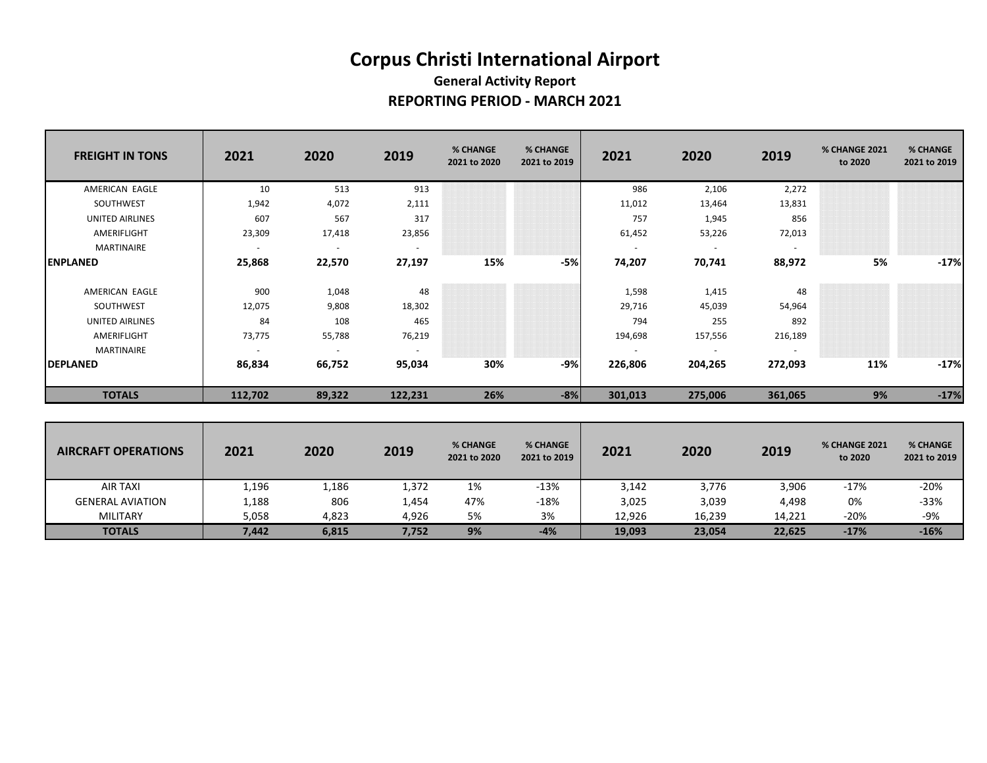| <b>FREIGHT IN TONS</b> | 2021    | 2020   | 2019    | % CHANGE<br>2021 to 2020 | % CHANGE<br>2021 to 2019 | 2021    | 2020    | 2019    | <b>% CHANGE 2021</b><br>to 2020 | % CHANGE<br>2021 to 2019 |
|------------------------|---------|--------|---------|--------------------------|--------------------------|---------|---------|---------|---------------------------------|--------------------------|
| AMERICAN EAGLE         | 10      | 513    | 913     |                          |                          | 986     | 2,106   | 2,272   |                                 |                          |
| SOUTHWEST              | 1,942   | 4,072  | 2,111   |                          |                          | 11,012  | 13,464  | 13,831  |                                 |                          |
| UNITED AIRLINES        | 607     | 567    | 317     |                          |                          | 757     | 1,945   | 856     |                                 |                          |
| AMERIFLIGHT            | 23,309  | 17,418 | 23,856  |                          |                          | 61,452  | 53,226  | 72,013  |                                 |                          |
| MARTINAIRE             | $\sim$  | $\sim$ | $\sim$  |                          |                          | $\sim$  | $\sim$  |         |                                 |                          |
| <b>ENPLANED</b>        | 25,868  | 22,570 | 27,197  | 15%                      | -5%                      | 74,207  | 70,741  | 88,972  | 5%                              | $-17%$                   |
| AMERICAN EAGLE         | 900     | 1,048  | 48      |                          |                          | 1,598   | 1,415   | 48      |                                 |                          |
| SOUTHWEST              | 12,075  | 9,808  | 18,302  |                          |                          | 29,716  | 45,039  | 54,964  |                                 |                          |
| UNITED AIRLINES        | 84      | 108    | 465     |                          |                          | 794     | 255     | 892     |                                 |                          |
| AMERIFLIGHT            | 73,775  | 55,788 | 76,219  |                          |                          | 194,698 | 157,556 | 216,189 |                                 |                          |
| MARTINAIRE             |         | $\sim$ |         |                          |                          | $\sim$  |         |         |                                 |                          |
| <b>DEPLANED</b>        | 86,834  | 66,752 | 95,034  | 30%                      | -9%                      | 226,806 | 204,265 | 272,093 | 11%                             | $-17%$                   |
| <b>TOTALS</b>          | 112,702 | 89,322 | 122,231 | 26%                      | $-8%$                    | 301,013 | 275,006 | 361,065 | 9%                              | $-17%$                   |

| <b>AIRCRAFT OPERATIONS</b> | 2021  | 2020  | 2019  | % CHANGE<br>2021 to 2020 | <b>% CHANGE</b><br>2021 to 2019 | 2021   | 2020   | 2019   | <b>% CHANGE 2021</b><br>to 2020 | % CHANGE<br>2021 to 2019 |
|----------------------------|-------|-------|-------|--------------------------|---------------------------------|--------|--------|--------|---------------------------------|--------------------------|
| AIR TAXI                   | L,196 | 1,186 | 1,372 | 1%                       | $-13%$                          | 3,142  | 3,776  | 3,906  | $-17%$                          | $-20%$                   |
| <b>GENERAL AVIATION</b>    | 1,188 | 806   | 1,454 | 47%                      | $-18%$                          | 3,025  | 3,039  | 4,498  | 0%                              | $-33%$                   |
| <b>MILITARY</b>            | 5,058 | 4,823 | 4,926 | 5%                       | 3%                              | 12,926 | 16,239 | 14,221 | $-20%$                          | $-9%$                    |
| <b>TOTALS</b>              | 7,442 | 6,815 | 7,752 | 9%                       | $-4%$                           | 19,093 | 23,054 | 22,625 | $-17%$                          | $-16%$                   |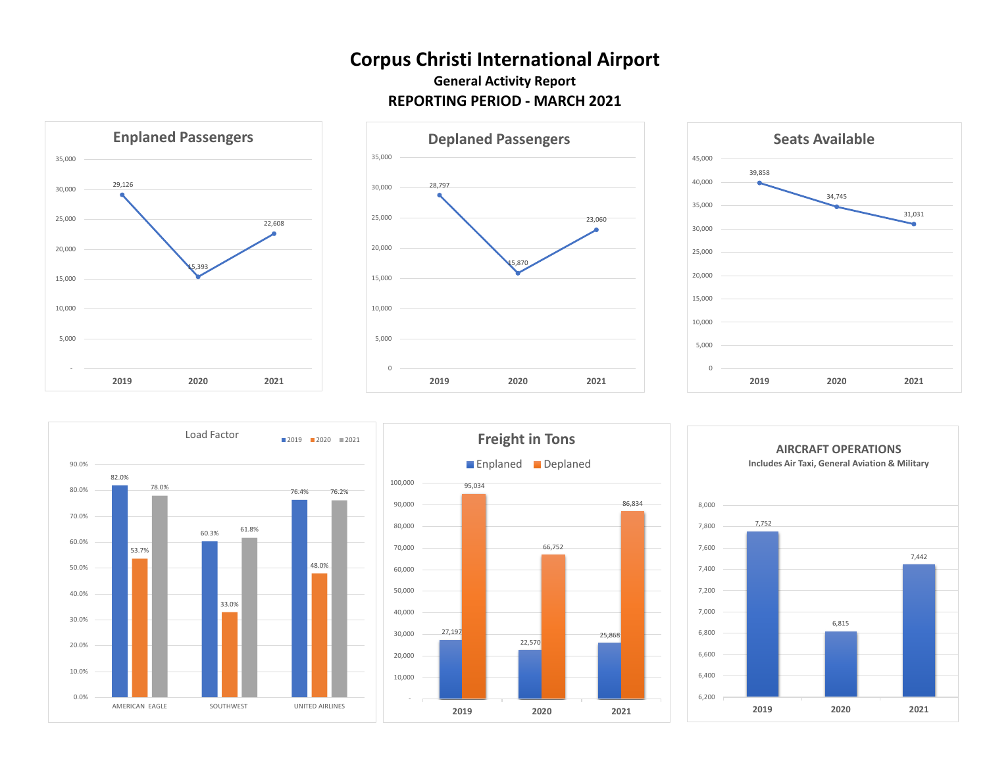









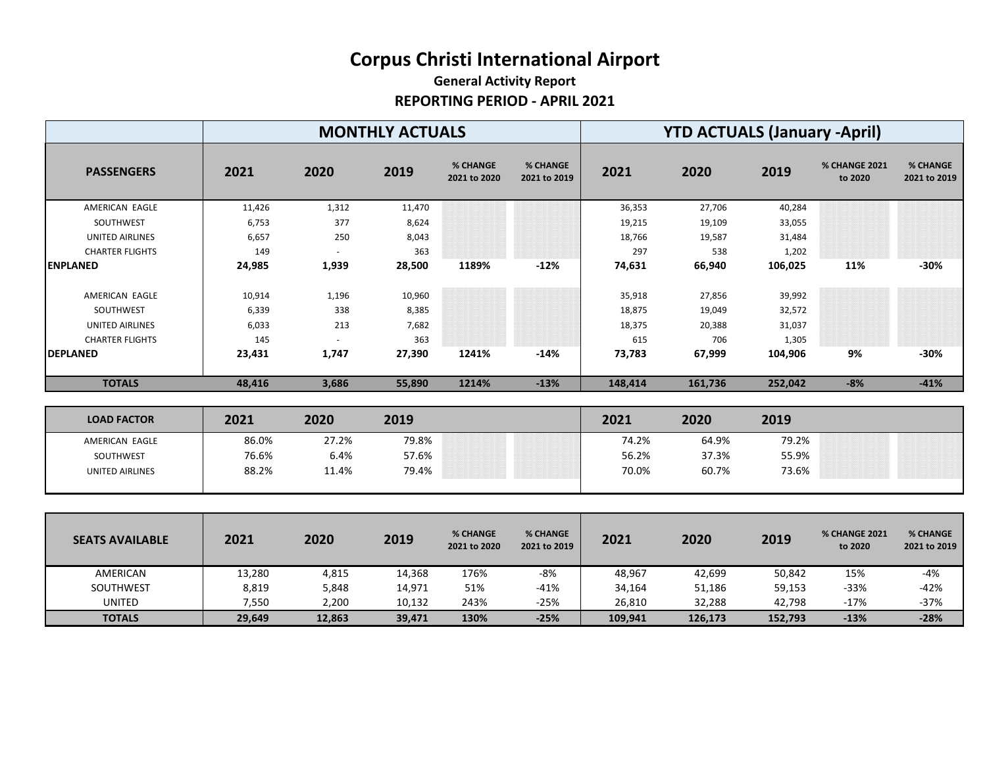#### **General Activity Report REPORTING PERIOD - APRIL 2021**

|                        |        |       | <b>MONTHLY ACTUALS</b> |                                 |                          | <b>YTD ACTUALS (January -April)</b> |         |         |                                 |                                 |
|------------------------|--------|-------|------------------------|---------------------------------|--------------------------|-------------------------------------|---------|---------|---------------------------------|---------------------------------|
| <b>PASSENGERS</b>      | 2021   | 2020  | 2019                   | <b>% CHANGE</b><br>2021 to 2020 | % CHANGE<br>2021 to 2019 | 2021                                | 2020    | 2019    | <b>% CHANGE 2021</b><br>to 2020 | <b>% CHANGE</b><br>2021 to 2019 |
| AMERICAN EAGLE         | 11,426 | 1,312 | 11,470                 |                                 |                          | 36,353                              | 27,706  | 40,284  |                                 |                                 |
| SOUTHWEST              | 6,753  | 377   | 8,624                  |                                 |                          | 19,215                              | 19,109  | 33,055  |                                 |                                 |
| <b>UNITED AIRLINES</b> | 6,657  | 250   | 8,043                  |                                 |                          | 18,766                              | 19,587  | 31,484  |                                 |                                 |
| <b>CHARTER FLIGHTS</b> | 149    |       | 363                    |                                 |                          | 297                                 | 538     | 1,202   |                                 |                                 |
| <b>ENPLANED</b>        | 24,985 | 1,939 | 28,500                 | 1189%                           | $-12%$                   | 74,631                              | 66,940  | 106,025 | 11%                             | $-30%$                          |
| AMERICAN EAGLE         | 10,914 | 1,196 | 10,960                 |                                 |                          | 35,918                              | 27,856  | 39,992  |                                 |                                 |
| SOUTHWEST              | 6,339  | 338   | 8,385                  |                                 |                          | 18,875                              | 19,049  | 32,572  |                                 |                                 |
| <b>UNITED AIRLINES</b> | 6,033  | 213   | 7,682                  |                                 |                          | 18,375                              | 20,388  | 31,037  |                                 |                                 |
| <b>CHARTER FLIGHTS</b> | 145    |       | 363                    |                                 |                          | 615                                 | 706     | 1,305   |                                 |                                 |
| <b>DEPLANED</b>        | 23,431 | 1,747 | 27,390                 | 1241%                           | $-14%$                   | 73,783                              | 67,999  | 104,906 | 9%                              | $-30%$                          |
| <b>TOTALS</b>          | 48,416 | 3,686 | 55,890                 | 1214%                           | $-13%$                   | 148,414                             | 161,736 | 252,042 | $-8%$                           | $-41%$                          |

| <b>LOAD FACTOR</b>     | 2021  | 2020  | 2019  |                                                                                                                                                                                                                                                                                                                                                                                                                                                                                   | 2021  | 2020  | 2019  |                                                                                                                           |
|------------------------|-------|-------|-------|-----------------------------------------------------------------------------------------------------------------------------------------------------------------------------------------------------------------------------------------------------------------------------------------------------------------------------------------------------------------------------------------------------------------------------------------------------------------------------------|-------|-------|-------|---------------------------------------------------------------------------------------------------------------------------|
| AMERICAN EAGLE         | 86.0% | 27.2% | 79.8% | ,,,,,,,,,,,,,,,,,,,,,,,,,,,,,,,,,,,<br>,,,,,,,,,,,,,,,,,,,,,,,,,,,,,,,,,,<br>,,,,,,,,,,,,,,,,,,,,,,,,,,,,,,,,,,,<br>,,,,,,,,,,,,,,,,,,,,,,,,,,,,,,,,,,,<br>,,,,,,,,,,,,,,,,,,,,,,,,,,,,,,,,,<br>,,,,,,,,,,,,,,,,,,,,,,,,,,,,,,,,,,                                                                                                                                                                                                                                                | 74.2% | 64.9% | 79.2% | ,,,,,,,,,,,,,,,,,,,,,,,,,                                                                                                 |
| SOUTHWEST              | 76.6% | 6.4%  | 57.6% | ,,,,,,,,,,,,,,,,,,,,,,,,,,,,,,,,,,,,<br>,,,,,,,,,,,,,,,,,,,,,,,,,,,,,,,,,,,<br>,,,,,,,,,,,,,,,,,,,,,,,,,,,,,,,,,,<br>,,,,,,,,,,,,,,,,,,,,,,,,,,,,,,,,,,,,<br>,,,,,,,,,,,,,,,,,,,,,,,,,,,,,,,,,,,<br>,,,,,,,,,,,,,,,,,,,,,,,,,,,,,,,,<br>,,,,,,,,,,,,,,,,,,,,,,,,,,,,,,,,,,<br>,,,,,,,,,,,,,,,,,,,,,,,,,,,,,,,,,,<br>,,,,,,,,,,,,,,,,,,,,,,,,,,,,,,,,,,,,<br>,,,,,,,,,,,,,,,,,,,,,,,,,,,,,,,,,,,,<br>,,,,,,,,,,,,,,,,,,,,,,,,,,,,,,,,,,,,,<br>,,,,,,,,,,,,,,,,,,,,,,,,,,,,,,,,,,,, | 56.2% | 37.3% | 55.9% | ,,,,,,,,,,,,,,,,,,,,,,,,,,,,,,,,,,,,,,<br>,,,,,,,,,,,,,,,,,,,,,,,,,,,,,,,,,,,,,,<br>,,,,,,,,,,,,,,,,,,,,,,,,,,,,,,,,,,,,, |
| <b>UNITED AIRLINES</b> | 88.2% | 11.4% | 79.4% | ,,,,,,,,,,,,,,,,,,,,,,,,,,,,,,,,,,,,<br>,,,,,,,,,,,,,,,,,,,,,,,,,,,,,,,,,,,,<br>,,,,,,,,,,,,,,,,,,,,,,,,,,,,,,,,,,<br>,,,,,,,,,,,,,,,,,,,,,,,,,,,,,,,<br>,,,,,,,,,,,,,,,,,,,,,,,,,,,,,,                                                                                                                                                                                                                                                                                           | 70.0% | 60.7% | 73.6% |                                                                                                                           |

| <b>SEATS AVAILABLE</b> | 2021   | 2020   | 2019   | % CHANGE<br>2021 to 2020 | % CHANGE<br>2021 to 2019 | 2021    | 2020    | 2019    | <b>% CHANGE 2021</b><br>to 2020 | % CHANGE<br>2021 to 2019 |
|------------------------|--------|--------|--------|--------------------------|--------------------------|---------|---------|---------|---------------------------------|--------------------------|
| AMERICAN               | 13,280 | 4,815  | 14,368 | 176%                     | -8%                      | 48,967  | 42,699  | 50,842  | 15%                             | -4%                      |
| SOUTHWEST              | 8,819  | 5,848  | 14,971 | 51%                      | $-41%$                   | 34,164  | 51,186  | 59,153  | -33%                            | $-42%$                   |
| <b>UNITED</b>          | 7,550  | 2,200  | 10,132 | 243%                     | $-25%$                   | 26,810  | 32,288  | 42.798  | $-17%$                          | $-37%$                   |
| <b>TOTALS</b>          | 29,649 | 12,863 | 39,471 | 130%                     | $-25%$                   | 109,941 | 126,173 | 152,793 | $-13%$                          | $-28%$                   |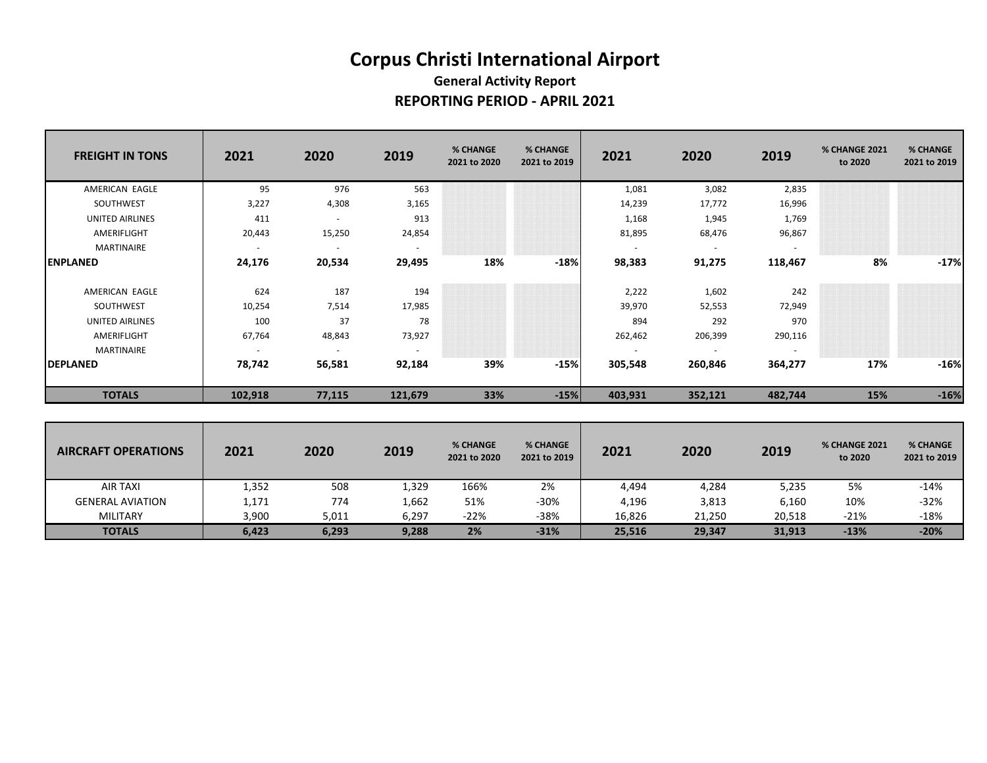| <b>FREIGHT IN TONS</b> | 2021    | 2020   | 2019    | % CHANGE<br>2021 to 2020 | % CHANGE<br>2021 to 2019 | 2021    | 2020    | 2019    | % CHANGE 2021<br>to 2020 | % CHANGE<br>2021 to 2019 |
|------------------------|---------|--------|---------|--------------------------|--------------------------|---------|---------|---------|--------------------------|--------------------------|
| AMERICAN EAGLE         | 95      | 976    | 563     |                          |                          | 1,081   | 3,082   | 2,835   |                          |                          |
| SOUTHWEST              | 3,227   | 4,308  | 3,165   |                          |                          | 14,239  | 17,772  | 16,996  |                          |                          |
| UNITED AIRLINES        | 411     |        | 913     |                          |                          | 1,168   | 1,945   | 1,769   |                          |                          |
| AMERIFLIGHT            | 20,443  | 15,250 | 24,854  |                          |                          | 81,895  | 68,476  | 96,867  |                          |                          |
| MARTINAIRE             | $\sim$  | $\sim$ | $\sim$  |                          |                          | $\sim$  | $\sim$  | $\sim$  |                          |                          |
| <b>ENPLANED</b>        | 24,176  | 20,534 | 29,495  | 18%                      | -18%                     | 98,383  | 91,275  | 118,467 | 8%                       | $-17%$                   |
| AMERICAN EAGLE         | 624     | 187    | 194     |                          |                          | 2,222   | 1,602   | 242     |                          |                          |
| SOUTHWEST              | 10,254  | 7,514  | 17,985  |                          |                          | 39,970  | 52,553  | 72,949  |                          |                          |
| UNITED AIRLINES        | 100     | 37     | 78      |                          |                          | 894     | 292     | 970     |                          |                          |
| AMERIFLIGHT            | 67,764  | 48,843 | 73,927  |                          |                          | 262,462 | 206,399 | 290,116 |                          |                          |
| MARTINAIRE             |         |        | $\sim$  |                          |                          | $\sim$  |         |         |                          |                          |
| <b>DEPLANED</b>        | 78,742  | 56,581 | 92,184  | 39%                      | $-15%$                   | 305,548 | 260,846 | 364,277 | 17%                      | $-16%$                   |
| <b>TOTALS</b>          | 102,918 | 77,115 | 121,679 | 33%                      | $-15%$                   | 403,931 | 352,121 | 482,744 | 15%                      | $-16%$                   |

| <b>AIRCRAFT OPERATIONS</b> | 2021  | 2020  | 2019  | % CHANGE<br>2021 to 2020 | <b>% CHANGE</b><br>2021 to 2019 | 2021   | 2020   | 2019   | <b>% CHANGE 2021</b><br>to 2020 | % CHANGE<br>2021 to 2019 |
|----------------------------|-------|-------|-------|--------------------------|---------------------------------|--------|--------|--------|---------------------------------|--------------------------|
| <b>AIR TAXI</b>            | 1,352 | 508   | 1,329 | 166%                     | 2%                              | 4,494  | 4,284  | 5,235  | 5%                              | $-14%$                   |
| <b>GENERAL AVIATION</b>    | 1,171 | 774   | 1,662 | 51%                      | -30%                            | 4,196  | 3,813  | 6,160  | 10%                             | $-32%$                   |
| <b>MILITARY</b>            | 3,900 | 5,011 | 6,297 | $-22%$                   | $-38%$                          | 16,826 | 21,250 | 20,518 | $-21%$                          | $-18%$                   |
| <b>TOTALS</b>              | 6,423 | 6,293 | 9,288 | 2%                       | $-31%$                          | 25,516 | 29,347 | 31,913 | $-13%$                          | $-20%$                   |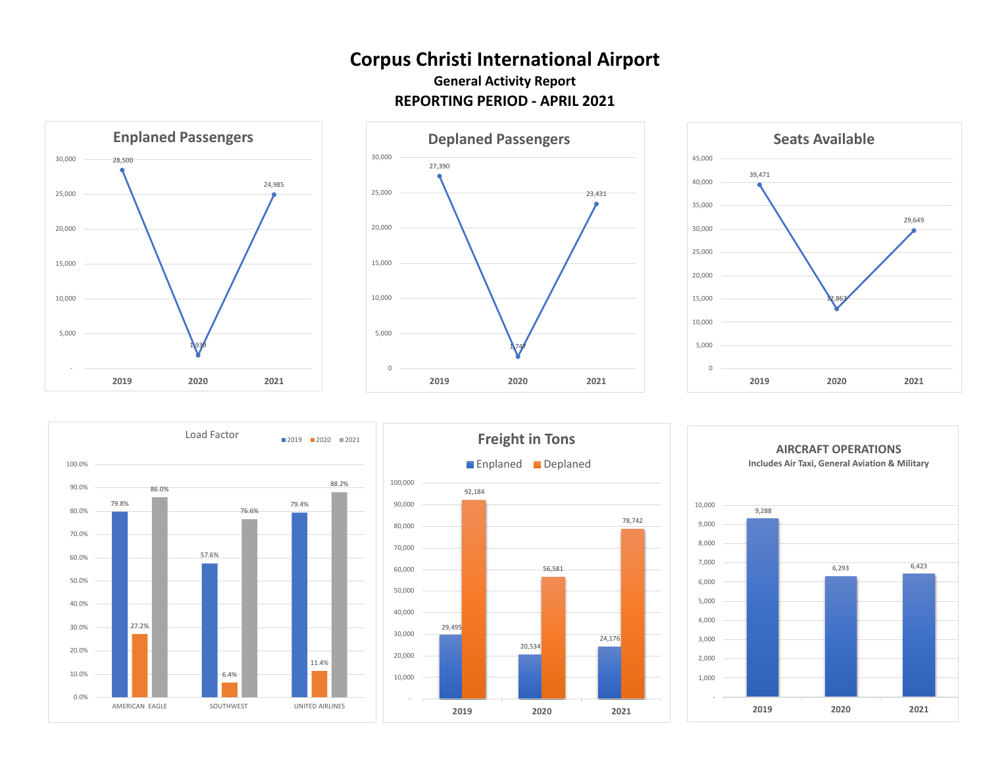









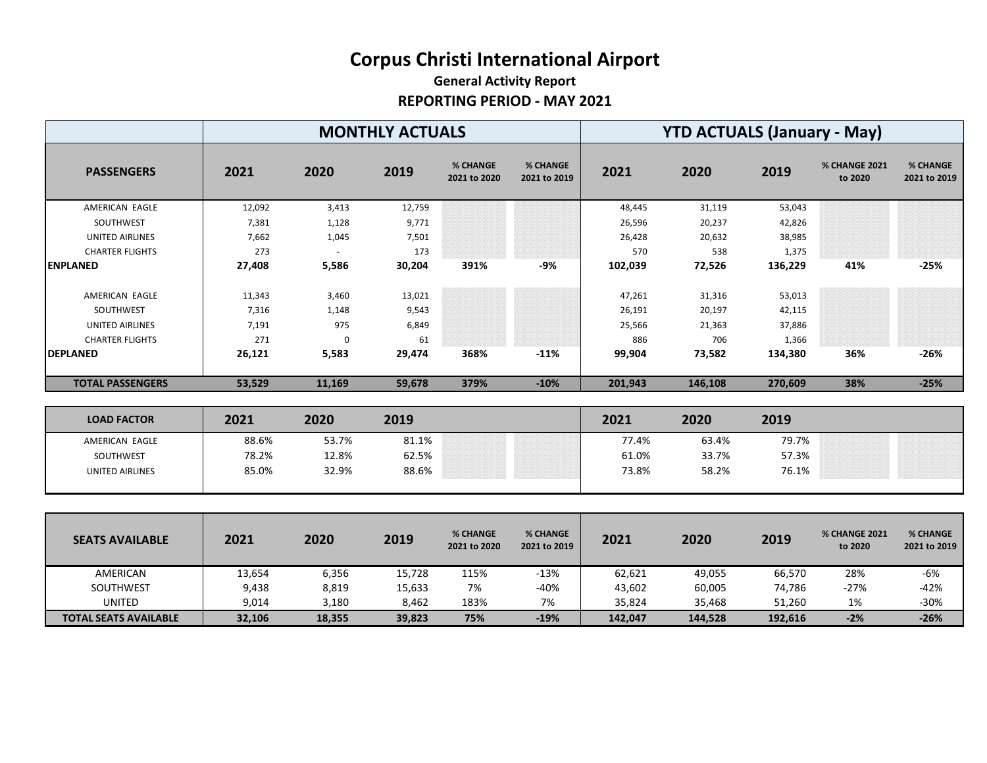|                                     |        |        | <b>MONTHLY ACTUALS</b> |                          |                                 | <b>YTD ACTUALS (January - May)</b> |         |         |                                 |                                 |
|-------------------------------------|--------|--------|------------------------|--------------------------|---------------------------------|------------------------------------|---------|---------|---------------------------------|---------------------------------|
| <b>PASSENGERS</b><br>AMERICAN EAGLE | 2021   | 2020   | 2019                   | % CHANGE<br>2021 to 2020 | <b>% CHANGE</b><br>2021 to 2019 | 2021                               | 2020    | 2019    | <b>% CHANGE 2021</b><br>to 2020 | <b>% CHANGE</b><br>2021 to 2019 |
|                                     | 12,092 | 3,413  | 12,759                 |                          |                                 | 48,445                             | 31,119  | 53,043  |                                 |                                 |
| SOUTHWEST                           | 7,381  | 1,128  | 9,771                  |                          |                                 | 26,596                             | 20,237  | 42,826  |                                 |                                 |
| <b>UNITED AIRLINES</b>              | 7,662  | 1,045  | 7,501                  |                          |                                 | 26,428                             | 20,632  | 38,985  |                                 |                                 |
| <b>CHARTER FLIGHTS</b>              | 273    |        | 173                    |                          |                                 | 570                                | 538     | 1,375   |                                 |                                 |
| <b>ENPLANED</b>                     | 27,408 | 5,586  | 30,204                 | 391%                     | -9%                             | 102,039                            | 72,526  | 136,229 | 41%                             | $-25%$                          |
| AMERICAN EAGLE                      | 11,343 | 3,460  | 13,021                 |                          |                                 | 47,261                             | 31,316  | 53,013  |                                 |                                 |
| SOUTHWEST                           | 7,316  | 1,148  | 9,543                  |                          |                                 | 26,191                             | 20,197  | 42,115  |                                 |                                 |
| <b>UNITED AIRLINES</b>              | 7,191  | 975    | 6,849                  |                          |                                 | 25,566                             | 21,363  | 37,886  |                                 |                                 |
| <b>CHARTER FLIGHTS</b>              | 271    | 0      | 61                     |                          |                                 | 886                                | 706     | 1,366   |                                 |                                 |
| <b>DEPLANED</b>                     | 26,121 | 5,583  | 29,474                 | 368%                     | $-11%$                          | 99,904                             | 73,582  | 134,380 | 36%                             | $-26%$                          |
| <b>TOTAL PASSENGERS</b>             | 53,529 | 11,169 | 59,678                 | 379%                     | $-10%$                          | 201,943                            | 146,108 | 270,609 | 38%                             | $-25%$                          |

| <b>LOAD FACTOR</b>     | 2021  | 2020  | 2019  |                                                                                                                                                                                                                                                                                                                                                     | 2021  | 2020  | 2019  |                                                                                                                                                   |  |
|------------------------|-------|-------|-------|-----------------------------------------------------------------------------------------------------------------------------------------------------------------------------------------------------------------------------------------------------------------------------------------------------------------------------------------------------|-------|-------|-------|---------------------------------------------------------------------------------------------------------------------------------------------------|--|
| AMERICAN EAGLE         | 88.6% | 53.7% | 81.1% | ,,,,,,,,,,,,,,,,,,,,,,,,,,,,,,,,,,,,,<br>,,,,,,,,,,,,,,,,,,,,,,,,,,,,,,,,,,,<br>,,,,,,,,,,,,,,,,,,,,,,,,,,,,,,,,,,,<br>,,,,,,,,,,,,,,,,,,,,,,,,,,,,,,,,,<br>,,,,,,,,,,,,,,,,,,,,,,,,,,,,,,,,<br>,,,,,,,,,,,,,,,,,,,,,,,,,,,,,,,,,,<br>,,,,,,,,,,,,,,,,,,,,,,,,,,,,,,,,                                                                              | 77.4% | 63.4% | 79.7% | ,,,,,,,,,,,,,,,,,,,,,,,,,,,,,,,,,,,,,,<br>,,,,,,,,,,,,,,,,,,,,,,,,,,,,,,,,,,<br>,,,,,,,,,,,,,,,,,,,,,,,,,,,,,,,,,,,,,,                            |  |
| SOUTHWEST              | 78.2% | 12.8% | 62.5% | ,,,,,,,,,,,,,,,,,,,,,,,,,,,,,,,,,,,,<br>,,,,,,,,,,,,,,,,,,,,,,,,,,,,,,,,,,,,<br>,,,,,,,,,,,,,,,,,,,,,,,,,,,,,,,,,,,<br>,,,,,,,,,,,,,,,,,,,,,,,,,,,,,,,,<br>,,,,,,,,,,,,,,,,,,,,,,,,,,,,,,,,,,,,<br>,,,,,,,,,,,,,,,,,,,,,,,,,,,,,,,,,,,,,<br>,,,,,,,,,,,,,,,,,,,,,,,,,,,,,,,,,,,,                                                                    | 61.0% | 33.7% | 57.3% | ,,,,,,,,,,,,,,,,,,,,,,,,,,,,,,,,,,,,,,                                                                                                            |  |
| <b>UNITED AIRLINES</b> | 85.0% | 32.9% | 88.6% | ,,,,,,,,,,,,,,,,,,,,,,,,,,,,,,,,,,,<br>,,,,,,,,,,,,,,,,,,,,,,,,,,,,,,,,,,,,<br>,,,,,,,,,,,,,,,,,,,,,,,,,,,,,,,,,,,,<br>,,,,,,,,,,,,,,,,,,,,,,,,,,,,,,,,,,,<br>,,,,,,,,,,,,,,,,,,,,,,,,,,,,,,,,,,<br>,,,,,,,,,,,,,,,,,,,,,,,,,,,,,,,,,,<br>,,,,,,,,,,,,,,,,,,,,,,,,,,,,,,,,,,<br>,,,,,,,,,,,,,,,,,,,,,,,,,,,,,,,,,,<br>,,,,,,,,,,,,,,,,,,,,,,,,,,,,, | 73.8% | 58.2% | 76.1% | ,,,,,,,,,,,,,,,,,,,,,,,,,,,,,,,,,,,,,,<br>,,,,,,,,,,,,,,,,,,,,,,,,,,,,,,,,,,,,,,<br>,,,,,,,,,,,,,,,,,,,,,,,,,,,,,,,,,,,,,,<br>,,,,,,,,,,,,,,,,,,, |  |

| <b>SEATS AVAILABLE</b>       | 2021   | 2020   | 2019   | % CHANGE<br>2021 to 2020 | % CHANGE<br>2021 to 2019 | 2021    | 2020    | 2019    | <b>% CHANGE 2021</b><br>to 2020 | % CHANGE<br>2021 to 2019 |
|------------------------------|--------|--------|--------|--------------------------|--------------------------|---------|---------|---------|---------------------------------|--------------------------|
| AMERICAN                     | 13,654 | 6,356  | 15,728 | 115%                     | $-13%$                   | 62,621  | 49,055  | 66,570  | 28%                             | -6%                      |
| SOUTHWEST                    | 9,438  | 8,819  | 15,633 | 7%                       | $-40%$                   | 43,602  | 60,005  | 74,786  | $-27%$                          | $-42%$                   |
| <b>UNITED</b>                | 9,014  | 3,180  | 8,462  | 183%                     | 7%                       | 35.824  | 35.468  | 51.260  | 1%                              | $-30%$                   |
| <b>TOTAL SEATS AVAILABLE</b> | 32,106 | 18,355 | 39,823 | 75%                      | $-19%$                   | 142,047 | 144,528 | 192,616 | $-2%$                           | $-26%$                   |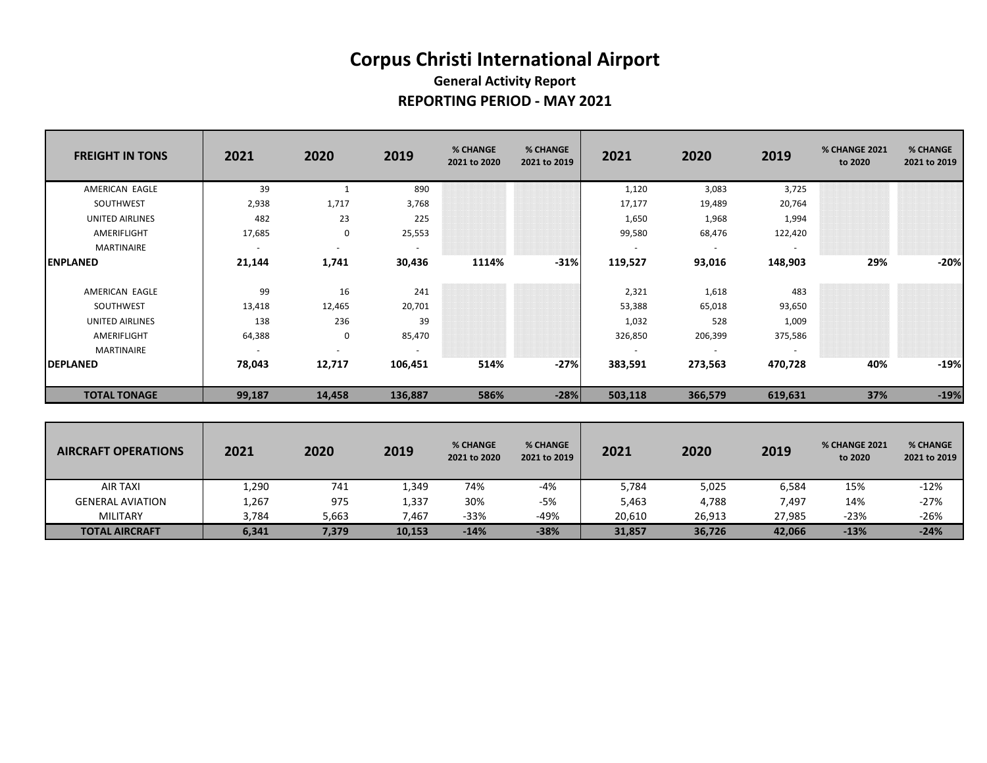| <b>FREIGHT IN TONS</b> | 2021   | 2020   | 2019    | % CHANGE<br>2021 to 2020 | % CHANGE<br>2021 to 2019 | 2021                     | 2020    | 2019    | % CHANGE 2021<br>to 2020 | % CHANGE<br>2021 to 2019 |
|------------------------|--------|--------|---------|--------------------------|--------------------------|--------------------------|---------|---------|--------------------------|--------------------------|
| AMERICAN EAGLE         | 39     |        | 890     |                          |                          | 1,120                    | 3,083   | 3,725   |                          |                          |
| SOUTHWEST              | 2,938  | 1,717  | 3,768   |                          |                          | 17,177                   | 19,489  | 20,764  |                          |                          |
| UNITED AIRLINES        | 482    | 23     | 225     |                          |                          | 1,650                    | 1,968   | 1,994   |                          |                          |
| AMERIFLIGHT            | 17,685 | 0      | 25,553  |                          |                          | 99,580                   | 68,476  | 122,420 |                          |                          |
| MARTINAIRE             | $\sim$ |        | $\sim$  |                          |                          | $\overline{\phantom{a}}$ | $\sim$  | $\sim$  |                          |                          |
| <b>ENPLANED</b>        | 21,144 | 1,741  | 30,436  | 1114%                    | $-31%$                   | 119,527                  | 93,016  | 148,903 | 29%                      | $-20%$                   |
| AMERICAN EAGLE         | 99     | 16     | 241     |                          |                          | 2,321                    | 1,618   | 483     |                          |                          |
| SOUTHWEST              | 13,418 | 12,465 | 20,701  |                          |                          | 53,388                   | 65,018  | 93,650  |                          |                          |
| UNITED AIRLINES        | 138    | 236    | 39      |                          |                          | 1,032                    | 528     | 1,009   |                          |                          |
| AMERIFLIGHT            | 64,388 | 0      | 85,470  |                          |                          | 326,850                  | 206,399 | 375,586 |                          |                          |
| <b>MARTINAIRE</b>      | $\sim$ |        | $\sim$  |                          |                          | $\sim$                   | $\sim$  | $\sim$  |                          |                          |
| <b>DEPLANED</b>        | 78,043 | 12,717 | 106,451 | 514%                     | $-27%$                   | 383,591                  | 273,563 | 470,728 | 40%                      | $-19%$                   |
| <b>TOTAL TONAGE</b>    | 99,187 | 14,458 | 136,887 | 586%                     | $-28%$                   | 503,118                  | 366,579 | 619,631 | 37%                      | $-19%$                   |

| <b>AIRCRAFT OPERATIONS</b> | 2021  | 2020  | 2019   | % CHANGE<br>2021 to 2020 | <b>% CHANGE</b><br>2021 to 2019 | 2021   | 2020   | 2019   | <b>% CHANGE 2021</b><br>to 2020 | % CHANGE<br>2021 to 2019 |
|----------------------------|-------|-------|--------|--------------------------|---------------------------------|--------|--------|--------|---------------------------------|--------------------------|
| AIR TAXI                   | 1,290 | 741   | 1,349  | 74%                      | $-4%$                           | 5,784  | 5,025  | 6,584  | 15%                             | $-12%$                   |
| <b>GENERAL AVIATION</b>    | 1,267 | 975   | 1,337  | 30%                      | -5%                             | 5,463  | 4,788  | 7.497  | 14%                             | $-27%$                   |
| <b>MILITARY</b>            | 3,784 | 5,663 | 7,467  | $-33%$                   | $-49%$                          | 20,610 | 26,913 | 27,985 | $-23%$                          | $-26%$                   |
| <b>TOTAL AIRCRAFT</b>      | 6,341 | 7,379 | 10,153 | $-14%$                   | $-38%$                          | 31,857 | 36,726 | 42,066 | $-13%$                          | $-24%$                   |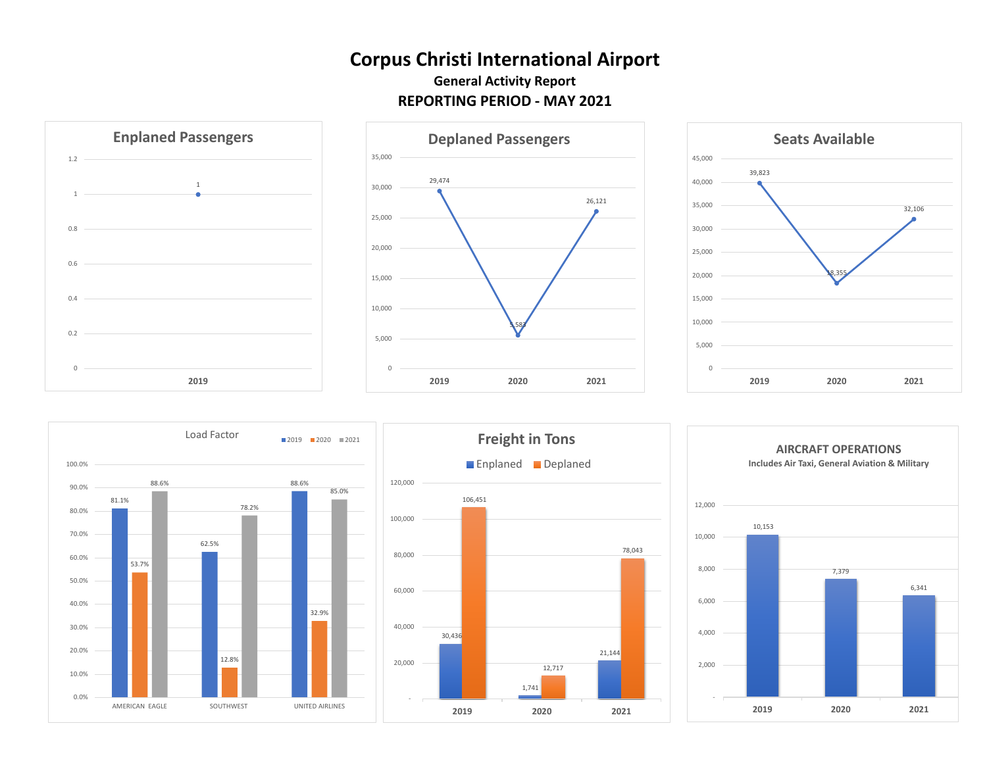









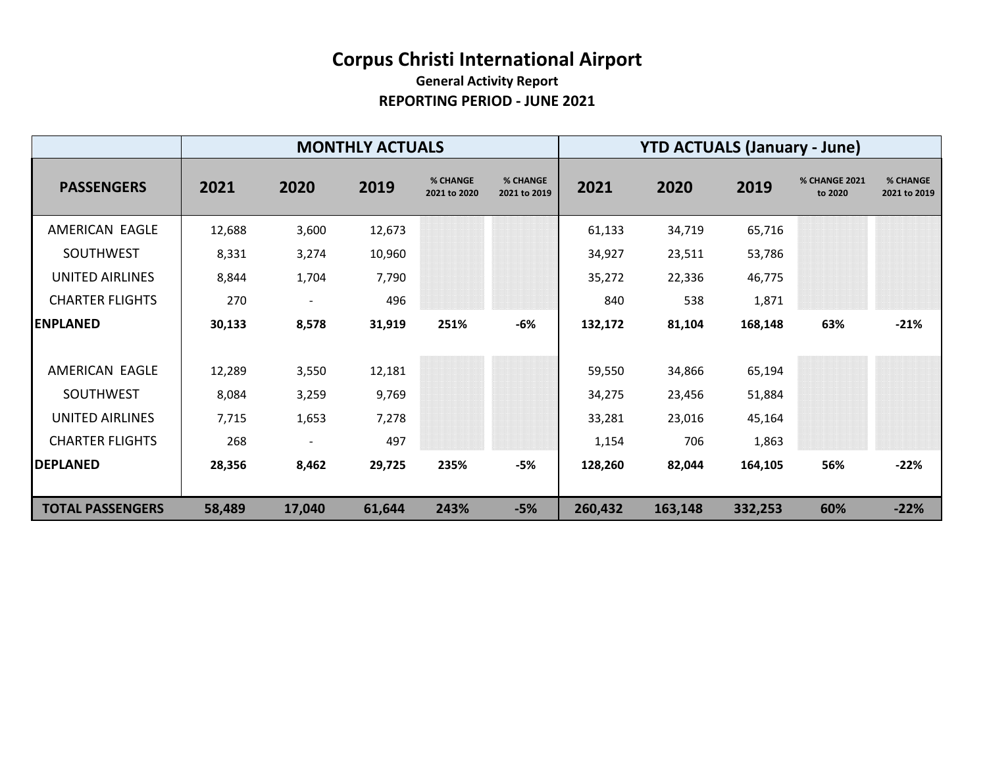|                         |        |        | <b>MONTHLY ACTUALS</b> |                          |                          | <b>YTD ACTUALS (January - June)</b> |         |         |                                 |                          |
|-------------------------|--------|--------|------------------------|--------------------------|--------------------------|-------------------------------------|---------|---------|---------------------------------|--------------------------|
| <b>PASSENGERS</b>       | 2021   | 2020   | 2019                   | % CHANGE<br>2021 to 2020 | % CHANGE<br>2021 to 2019 | 2021                                | 2020    | 2019    | <b>% CHANGE 2021</b><br>to 2020 | % CHANGE<br>2021 to 2019 |
| AMERICAN EAGLE          | 12,688 | 3,600  | 12,673                 |                          |                          | 61,133                              | 34,719  | 65,716  |                                 |                          |
| SOUTHWEST               | 8,331  | 3,274  | 10,960                 |                          |                          | 34,927                              | 23,511  | 53,786  |                                 |                          |
| <b>UNITED AIRLINES</b>  | 8,844  | 1,704  | 7,790                  |                          |                          | 35,272                              | 22,336  | 46,775  |                                 |                          |
| <b>CHARTER FLIGHTS</b>  | 270    | ÷.     | 496                    |                          |                          | 840                                 | 538     | 1,871   |                                 |                          |
| <b>ENPLANED</b>         | 30,133 | 8,578  | 31,919                 | 251%                     | -6%                      | 132,172                             | 81,104  | 168,148 | 63%                             | $-21%$                   |
|                         |        |        |                        |                          |                          |                                     |         |         |                                 |                          |
| AMERICAN EAGLE          | 12,289 | 3,550  | 12,181                 |                          |                          | 59,550                              | 34,866  | 65,194  |                                 |                          |
| <b>SOUTHWEST</b>        | 8,084  | 3,259  | 9,769                  |                          |                          | 34,275                              | 23,456  | 51,884  |                                 |                          |
| <b>UNITED AIRLINES</b>  | 7,715  | 1,653  | 7,278                  |                          |                          | 33,281                              | 23,016  | 45,164  |                                 |                          |
| <b>CHARTER FLIGHTS</b>  | 268    |        | 497                    |                          |                          | 1,154                               | 706     | 1,863   |                                 |                          |
| <b>DEPLANED</b>         | 28,356 | 8,462  | 29,725                 | 235%                     | -5%                      | 128,260                             | 82,044  | 164,105 | 56%                             | $-22%$                   |
|                         |        |        |                        |                          |                          |                                     |         |         |                                 |                          |
| <b>TOTAL PASSENGERS</b> | 58,489 | 17,040 | 61,644                 | 243%                     | $-5%$                    | 260,432                             | 163,148 | 332,253 | 60%                             | $-22%$                   |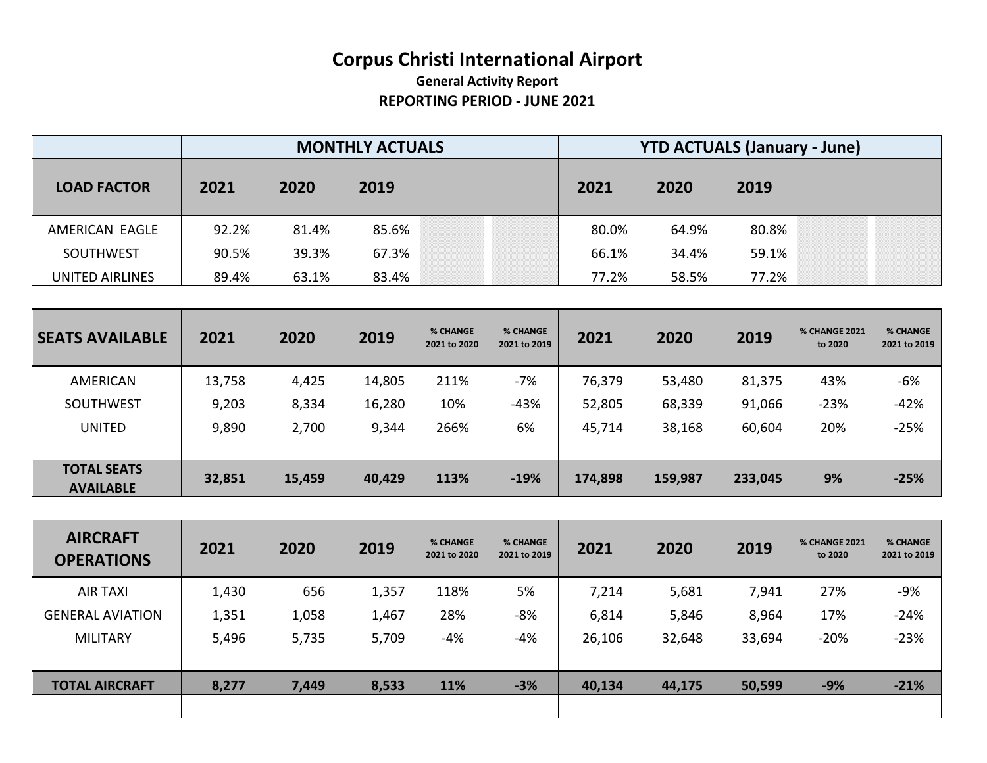|                        |       |       | <b>MONTHLY ACTUALS</b> | <b>YTD ACTUALS (January - June)</b> |       |       |  |
|------------------------|-------|-------|------------------------|-------------------------------------|-------|-------|--|
| <b>LOAD FACTOR</b>     | 2021  | 2020  | 2019                   | 2021                                | 2020  | 2019  |  |
| AMERICAN EAGLE         | 92.2% | 81.4% | 85.6%                  | 80.0%                               | 64.9% | 80.8% |  |
| <b>SOUTHWEST</b>       | 90.5% | 39.3% | 67.3%                  | 66.1%                               | 34.4% | 59.1% |  |
| <b>UNITED AIRLINES</b> | 89.4% | 63.1% | 83.4%                  | 77.2%                               | 58.5% | 77.2% |  |

| <b>SEATS AVAILABLE</b>                 | 2021   | 2020   | 2019   | % CHANGE<br>2021 to 2020 | % CHANGE<br>2021 to 2019 | 2021    | 2020    | 2019    | <b>% CHANGE 2021</b><br>to 2020 | % CHANGE<br>2021 to 2019 |
|----------------------------------------|--------|--------|--------|--------------------------|--------------------------|---------|---------|---------|---------------------------------|--------------------------|
| AMERICAN                               | 13,758 | 4,425  | 14,805 | 211%                     | $-7%$                    | 76,379  | 53,480  | 81,375  | 43%                             | $-6%$                    |
| <b>SOUTHWEST</b>                       | 9,203  | 8,334  | 16,280 | 10%                      | $-43%$                   | 52,805  | 68,339  | 91,066  | $-23%$                          | $-42%$                   |
| UNITED                                 | 9,890  | 2,700  | 9,344  | 266%                     | 6%                       | 45,714  | 38,168  | 60,604  | 20%                             | $-25%$                   |
|                                        |        |        |        |                          |                          |         |         |         |                                 |                          |
| <b>TOTAL SEATS</b><br><b>AVAILABLE</b> | 32,851 | 15,459 | 40,429 | 113%                     | $-19%$                   | 174,898 | 159,987 | 233,045 | 9%                              | $-25%$                   |

| <b>AIRCRAFT</b><br><b>OPERATIONS</b> | 2021  | 2020  | 2019  | % CHANGE<br>2021 to 2020 | % CHANGE<br>2021 to 2019 | 2021   | 2020   | 2019   | % CHANGE 2021<br>to 2020 | % CHANGE<br>2021 to 2019 |
|--------------------------------------|-------|-------|-------|--------------------------|--------------------------|--------|--------|--------|--------------------------|--------------------------|
| <b>AIR TAXI</b>                      | 1,430 | 656   | 1,357 | 118%                     | 5%                       | 7,214  | 5,681  | 7,941  | 27%                      | $-9%$                    |
| <b>GENERAL AVIATION</b>              | 1,351 | 1,058 | 1,467 | 28%                      | $-8%$                    | 6,814  | 5,846  | 8,964  | 17%                      | $-24%$                   |
| <b>MILITARY</b>                      | 5,496 | 5,735 | 5,709 | $-4%$                    | $-4%$                    | 26,106 | 32,648 | 33,694 | $-20%$                   | $-23%$                   |
|                                      |       |       |       |                          |                          |        |        |        |                          |                          |
| <b>TOTAL AIRCRAFT</b>                | 8,277 | 7,449 | 8,533 | 11%                      | $-3%$                    | 40,134 | 44,175 | 50,599 | $-9%$                    | $-21%$                   |
|                                      |       |       |       |                          |                          |        |        |        |                          |                          |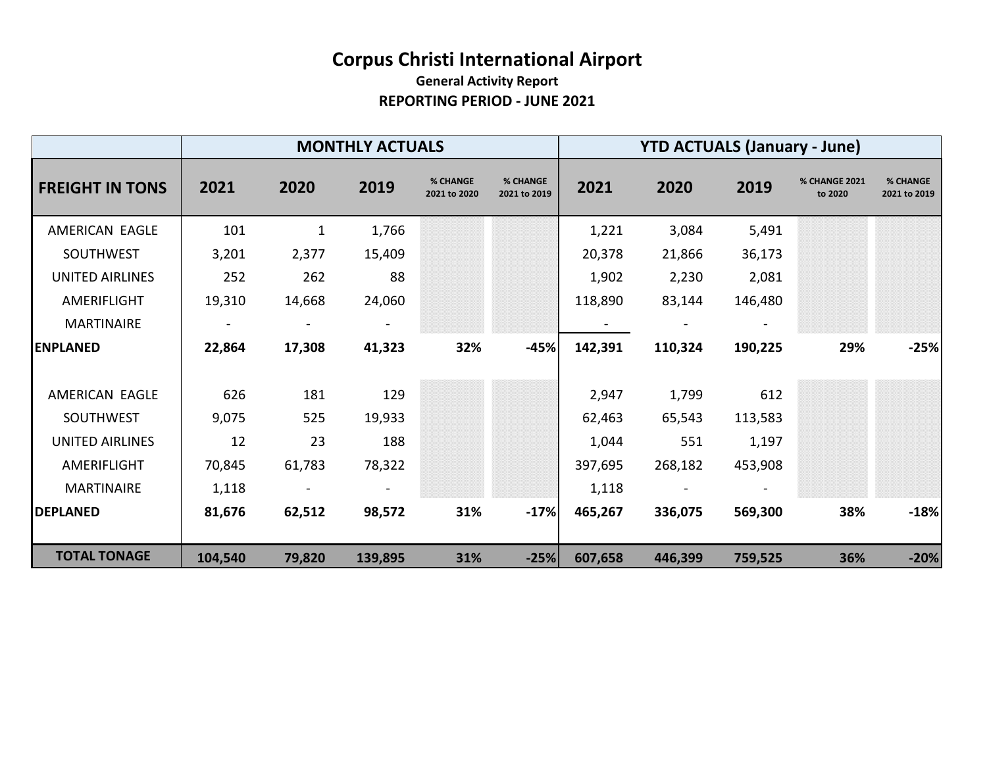|                        |                |              | <b>MONTHLY ACTUALS</b> |                          |                          | <b>YTD ACTUALS (January - June)</b> |         |         |                          |                          |  |
|------------------------|----------------|--------------|------------------------|--------------------------|--------------------------|-------------------------------------|---------|---------|--------------------------|--------------------------|--|
| <b>FREIGHT IN TONS</b> | 2021           | 2020         | 2019                   | % CHANGE<br>2021 to 2020 | % CHANGE<br>2021 to 2019 | 2021                                | 2020    | 2019    | % CHANGE 2021<br>to 2020 | % CHANGE<br>2021 to 2019 |  |
| AMERICAN EAGLE         | 101            | $\mathbf{1}$ | 1,766                  |                          |                          | 1,221                               | 3,084   | 5,491   |                          |                          |  |
| <b>SOUTHWEST</b>       | 3,201          | 2,377        | 15,409                 |                          |                          | 20,378                              | 21,866  | 36,173  |                          |                          |  |
| UNITED AIRLINES        | 252            | 262          | 88                     |                          |                          | 1,902                               | 2,230   | 2,081   |                          |                          |  |
| AMERIFLIGHT            | 19,310         | 14,668       | 24,060                 |                          |                          | 118,890                             | 83,144  | 146,480 |                          |                          |  |
| <b>MARTINAIRE</b>      | $\blacksquare$ | $\sim$       | $\blacksquare$         |                          |                          |                                     |         |         |                          |                          |  |
| <b>ENPLANED</b>        | 22,864         | 17,308       | 41,323                 | 32%                      | $-45%$                   | 142,391                             | 110,324 | 190,225 | 29%                      | $-25%$                   |  |
|                        |                |              |                        |                          |                          |                                     |         |         |                          |                          |  |
| AMERICAN EAGLE         | 626            | 181          | 129                    |                          |                          | 2,947                               | 1,799   | 612     |                          |                          |  |
| <b>SOUTHWEST</b>       | 9,075          | 525          | 19,933                 |                          |                          | 62,463                              | 65,543  | 113,583 |                          |                          |  |
| <b>UNITED AIRLINES</b> | 12             | 23           | 188                    |                          |                          | 1,044                               | 551     | 1,197   |                          |                          |  |
| AMERIFLIGHT            | 70,845         | 61,783       | 78,322                 |                          |                          | 397,695                             | 268,182 | 453,908 |                          |                          |  |
| <b>MARTINAIRE</b>      | 1,118          |              |                        |                          |                          | 1,118                               |         |         |                          |                          |  |
| <b>DEPLANED</b>        | 81,676         | 62,512       | 98,572                 | 31%                      | $-17%$                   | 465,267                             | 336,075 | 569,300 | 38%                      | $-18%$                   |  |
| <b>TOTAL TONAGE</b>    | 104,540        | 79,820       | 139,895                | 31%                      | $-25%$                   | 607,658                             | 446,399 | 759,525 | 36%                      | $-20%$                   |  |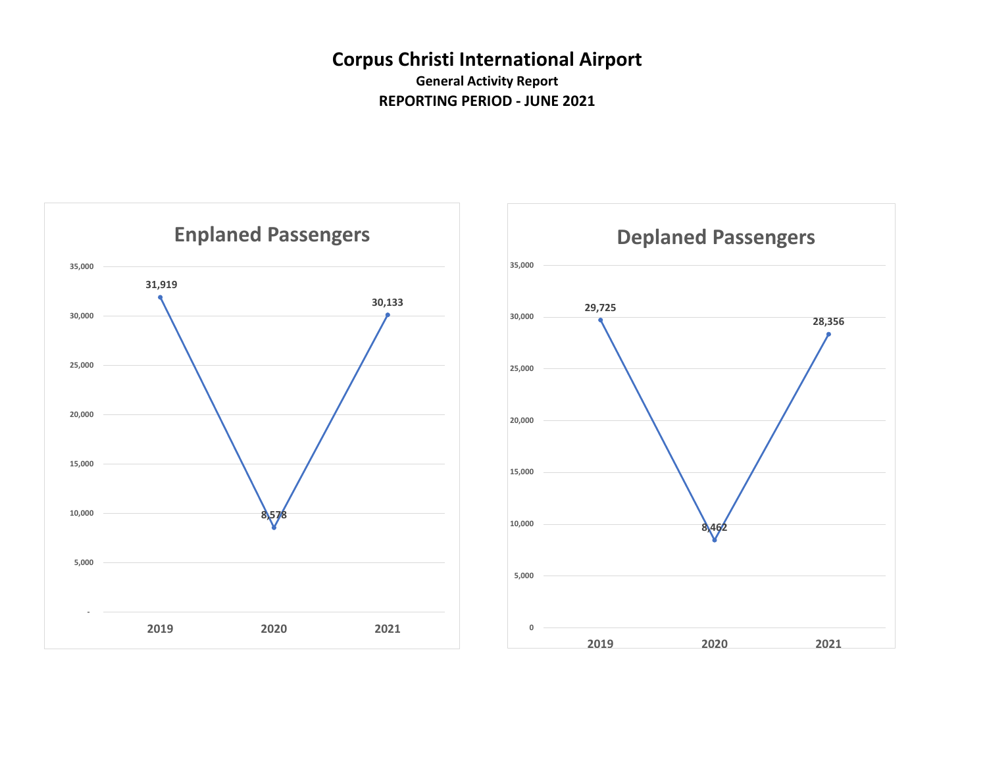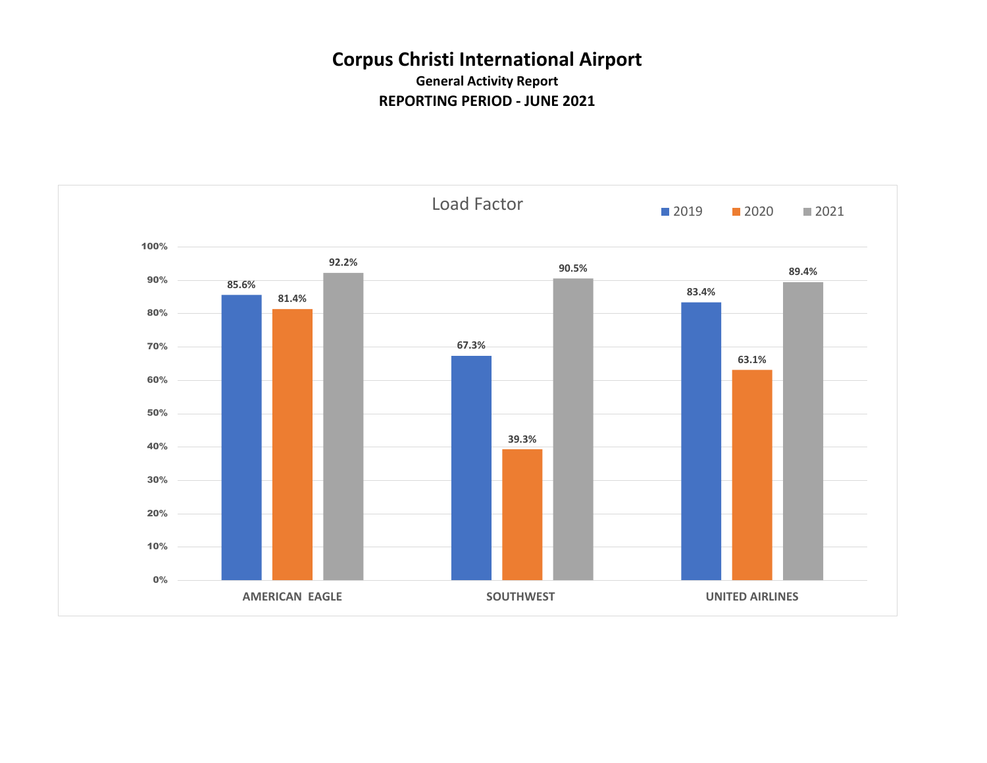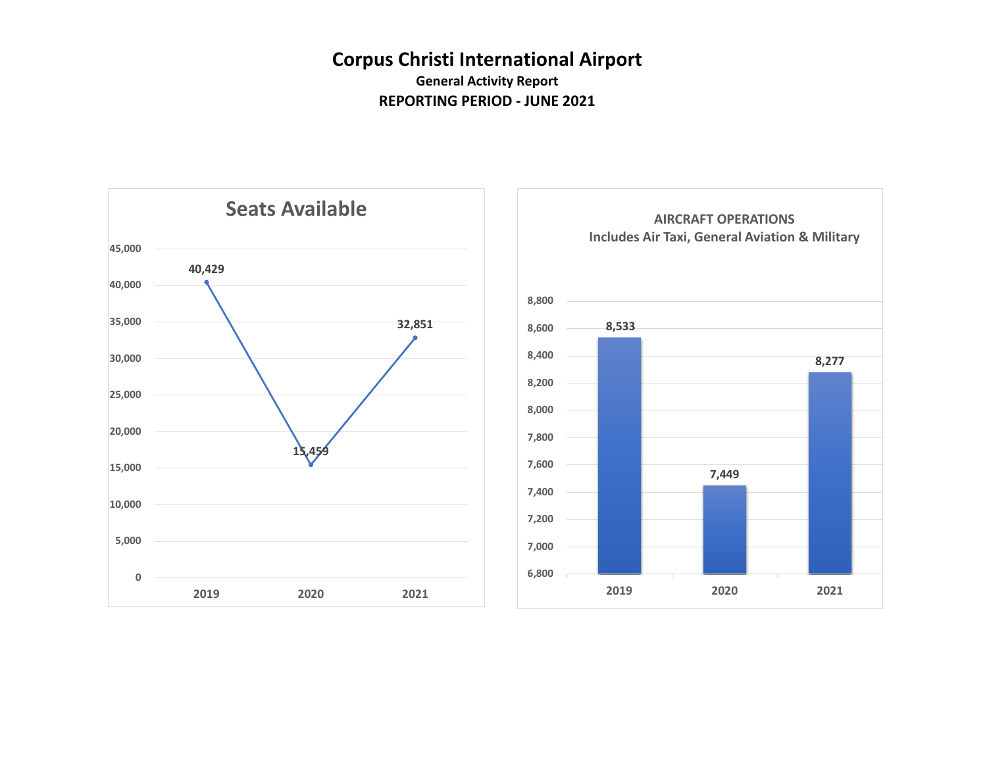

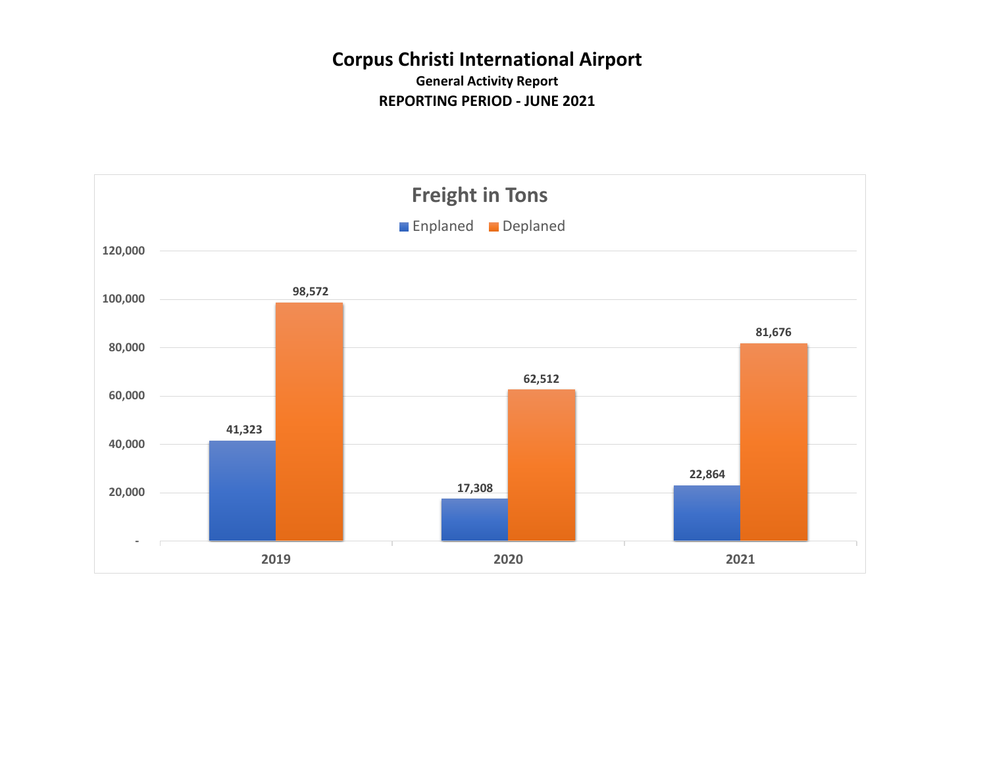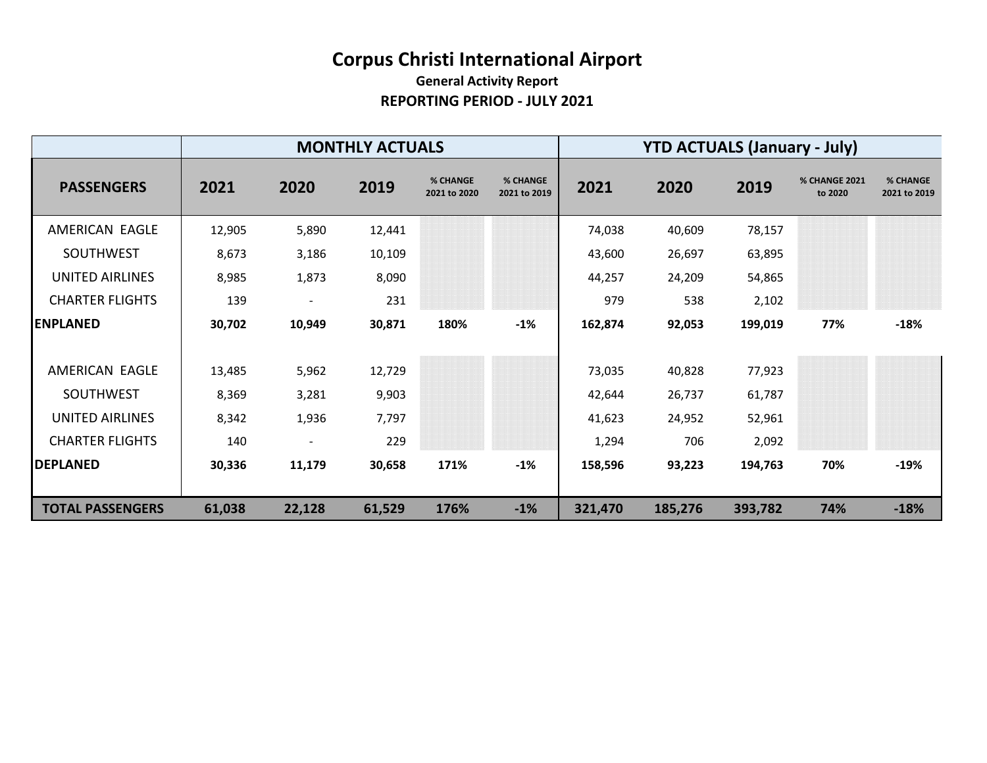|                         |        |        | <b>MONTHLY ACTUALS</b> |                          |                          | <b>YTD ACTUALS (January - July)</b> |         |         |                          |                          |
|-------------------------|--------|--------|------------------------|--------------------------|--------------------------|-------------------------------------|---------|---------|--------------------------|--------------------------|
| <b>PASSENGERS</b>       | 2021   | 2020   | 2019                   | % CHANGE<br>2021 to 2020 | % CHANGE<br>2021 to 2019 | 2021                                | 2020    | 2019    | % CHANGE 2021<br>to 2020 | % CHANGE<br>2021 to 2019 |
| AMERICAN EAGLE          | 12,905 | 5,890  | 12,441                 |                          |                          | 74,038                              | 40,609  | 78,157  |                          |                          |
| <b>SOUTHWEST</b>        | 8,673  | 3,186  | 10,109                 |                          |                          | 43,600                              | 26,697  | 63,895  |                          |                          |
| UNITED AIRLINES         | 8,985  | 1,873  | 8,090                  |                          |                          | 44,257                              | 24,209  | 54,865  |                          |                          |
| <b>CHARTER FLIGHTS</b>  | 139    |        | 231                    |                          |                          | 979                                 | 538     | 2,102   |                          |                          |
| <b>ENPLANED</b>         | 30,702 | 10,949 | 30,871                 | 180%                     | $-1%$                    | 162,874                             | 92,053  | 199,019 | 77%                      | $-18%$                   |
|                         |        |        |                        |                          |                          |                                     |         |         |                          |                          |
| AMERICAN EAGLE          | 13,485 | 5,962  | 12,729                 |                          |                          | 73,035                              | 40,828  | 77,923  |                          |                          |
| <b>SOUTHWEST</b>        | 8,369  | 3,281  | 9,903                  |                          |                          | 42,644                              | 26,737  | 61,787  |                          |                          |
| UNITED AIRLINES         | 8,342  | 1,936  | 7,797                  |                          |                          | 41,623                              | 24,952  | 52,961  |                          |                          |
| <b>CHARTER FLIGHTS</b>  | 140    |        | 229                    |                          |                          | 1,294                               | 706     | 2,092   |                          |                          |
| <b>DEPLANED</b>         | 30,336 | 11,179 | 30,658                 | 171%                     | $-1%$                    | 158,596                             | 93,223  | 194,763 | 70%                      | -19%                     |
|                         |        |        |                        |                          |                          |                                     |         |         |                          |                          |
| <b>TOTAL PASSENGERS</b> | 61,038 | 22,128 | 61,529                 | 176%                     | $-1%$                    | 321,470                             | 185,276 | 393,782 | 74%                      | $-18%$                   |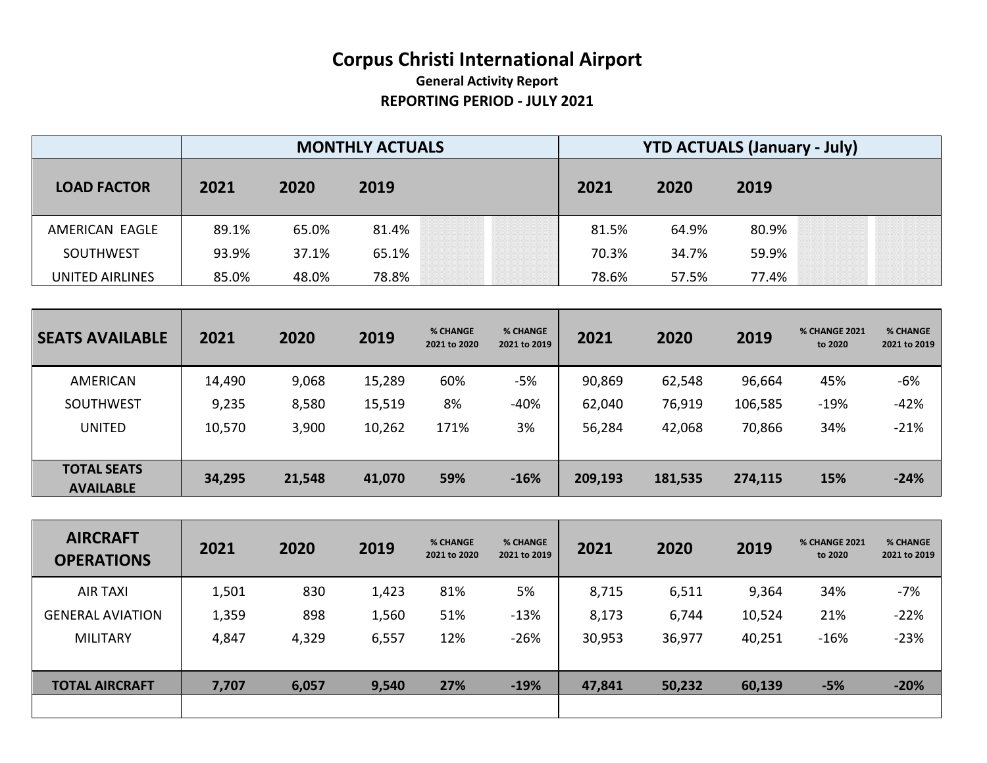|                        |       |       | <b>MONTHLY ACTUALS</b> | <b>YTD ACTUALS (January - July)</b> |       |       |  |
|------------------------|-------|-------|------------------------|-------------------------------------|-------|-------|--|
| <b>LOAD FACTOR</b>     | 2021  | 2020  | 2019                   | 2021                                | 2020  | 2019  |  |
| AMERICAN EAGLE         | 89.1% | 65.0% | 81.4%                  | 81.5%                               | 64.9% | 80.9% |  |
| <b>SOUTHWEST</b>       | 93.9% | 37.1% | 65.1%                  | 70.3%                               | 34.7% | 59.9% |  |
| <b>UNITED AIRLINES</b> | 85.0% | 48.0% | 78.8%                  | 78.6%                               | 57.5% | 77.4% |  |

| <b>SEATS AVAILABLE</b>                 | 2021   | 2020   | 2019   | % CHANGE<br>2021 to 2020 | % CHANGE<br>2021 to 2019 | 2021    | 2020    | 2019    | <b>% CHANGE 2021</b><br>to 2020 | % CHANGE<br>2021 to 2019 |
|----------------------------------------|--------|--------|--------|--------------------------|--------------------------|---------|---------|---------|---------------------------------|--------------------------|
| AMERICAN                               | 14,490 | 9,068  | 15,289 | 60%                      | -5%                      | 90,869  | 62,548  | 96,664  | 45%                             | $-6%$                    |
| <b>SOUTHWEST</b>                       | 9,235  | 8,580  | 15,519 | 8%                       | $-40%$                   | 62,040  | 76,919  | 106,585 | $-19%$                          | $-42%$                   |
| UNITED                                 | 10,570 | 3,900  | 10,262 | 171%                     | 3%                       | 56,284  | 42,068  | 70,866  | 34%                             | $-21%$                   |
|                                        |        |        |        |                          |                          |         |         |         |                                 |                          |
| <b>TOTAL SEATS</b><br><b>AVAILABLE</b> | 34,295 | 21,548 | 41,070 | 59%                      | $-16%$                   | 209,193 | 181,535 | 274,115 | 15%                             | $-24%$                   |

| <b>AIRCRAFT</b><br><b>OPERATIONS</b> | 2021  | 2020  | 2019  | % CHANGE<br>2021 to 2020 | % CHANGE<br>2021 to 2019 | 2021   | 2020   | 2019   | % CHANGE 2021<br>to 2020 | % CHANGE<br>2021 to 2019 |
|--------------------------------------|-------|-------|-------|--------------------------|--------------------------|--------|--------|--------|--------------------------|--------------------------|
| <b>AIR TAXI</b>                      | 1,501 | 830   | 1,423 | 81%                      | 5%                       | 8,715  | 6,511  | 9,364  | 34%                      | $-7%$                    |
| <b>GENERAL AVIATION</b>              | 1,359 | 898   | 1,560 | 51%                      | $-13%$                   | 8,173  | 6,744  | 10,524 | 21%                      | $-22%$                   |
| <b>MILITARY</b>                      | 4,847 | 4,329 | 6,557 | 12%                      | $-26%$                   | 30,953 | 36,977 | 40,251 | $-16%$                   | $-23%$                   |
|                                      |       |       |       |                          |                          |        |        |        |                          |                          |
| <b>TOTAL AIRCRAFT</b>                | 7,707 | 6,057 | 9,540 | 27%                      | $-19%$                   | 47,841 | 50,232 | 60,139 | $-5%$                    | $-20%$                   |
|                                      |       |       |       |                          |                          |        |        |        |                          |                          |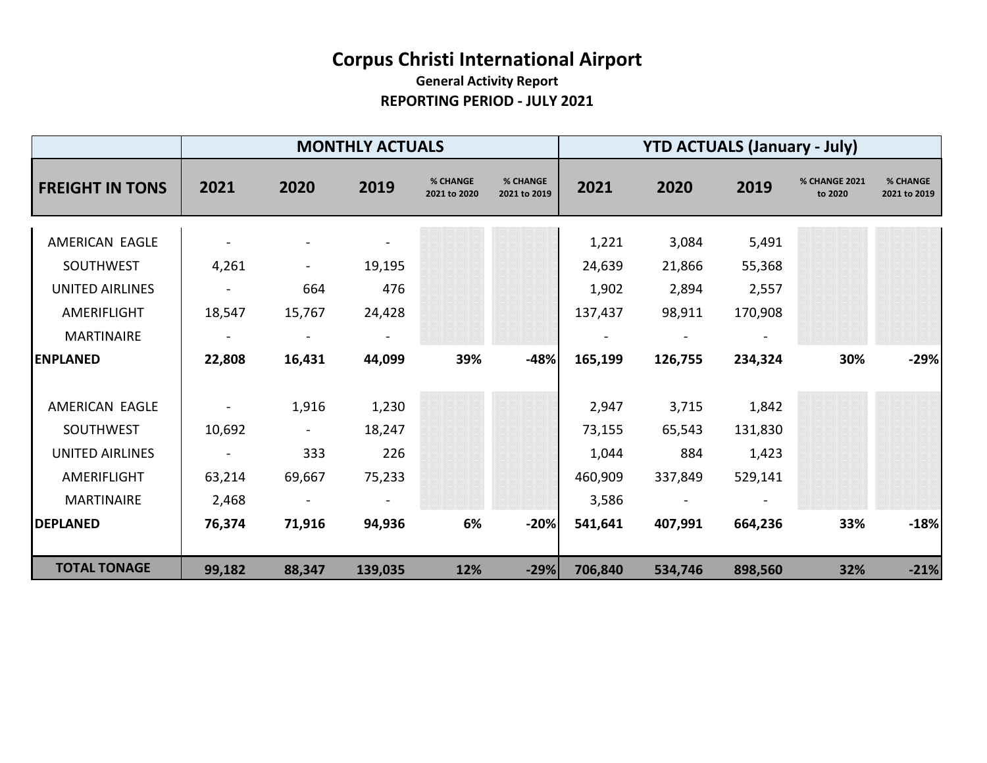|                        |                |                | <b>MONTHLY ACTUALS</b> |                          |                                 | <b>YTD ACTUALS (January - July)</b> |         |         |                          |                          |  |
|------------------------|----------------|----------------|------------------------|--------------------------|---------------------------------|-------------------------------------|---------|---------|--------------------------|--------------------------|--|
| <b>FREIGHT IN TONS</b> | 2021           | 2020           | 2019                   | % CHANGE<br>2021 to 2020 | <b>% CHANGE</b><br>2021 to 2019 | 2021                                | 2020    | 2019    | % CHANGE 2021<br>to 2020 | % CHANGE<br>2021 to 2019 |  |
| AMERICAN EAGLE         |                |                |                        |                          |                                 | 1,221                               | 3,084   | 5,491   |                          |                          |  |
| SOUTHWEST              | 4,261          | $\blacksquare$ | 19,195                 |                          |                                 | 24,639                              | 21,866  | 55,368  |                          |                          |  |
| <b>UNITED AIRLINES</b> |                | 664            | 476                    |                          |                                 | 1,902                               | 2,894   | 2,557   |                          |                          |  |
| AMERIFLIGHT            | 18,547         | 15,767         | 24,428                 |                          |                                 | 137,437                             | 98,911  | 170,908 |                          |                          |  |
| <b>MARTINAIRE</b>      |                | $\blacksquare$ |                        |                          |                                 |                                     |         |         |                          |                          |  |
| <b>ENPLANED</b>        | 22,808         | 16,431         | 44,099                 | 39%                      | $-48%$                          | 165,199                             | 126,755 | 234,324 | 30%                      | $-29%$                   |  |
| AMERICAN EAGLE         |                | 1,916          | 1,230                  |                          |                                 | 2,947                               | 3,715   | 1,842   |                          |                          |  |
| SOUTHWEST              | 10,692         | $\sim$         | 18,247                 |                          |                                 | 73,155                              | 65,543  | 131,830 |                          |                          |  |
| <b>UNITED AIRLINES</b> | $\blacksquare$ | 333            | 226                    |                          |                                 | 1,044                               | 884     | 1,423   |                          |                          |  |
| AMERIFLIGHT            | 63,214         | 69,667         | 75,233                 |                          |                                 | 460,909                             | 337,849 | 529,141 |                          |                          |  |
| <b>MARTINAIRE</b>      | 2,468          | $\sim$         | $\blacksquare$         |                          |                                 | 3,586                               |         |         |                          |                          |  |
| <b>DEPLANED</b>        | 76,374         | 71,916         | 94,936                 | 6%                       | $-20%$                          | 541,641                             | 407,991 | 664,236 | 33%                      | $-18%$                   |  |
| <b>TOTAL TONAGE</b>    | 99,182         | 88,347         | 139,035                | 12%                      | $-29%$                          | 706,840                             | 534,746 | 898,560 | 32%                      | $-21%$                   |  |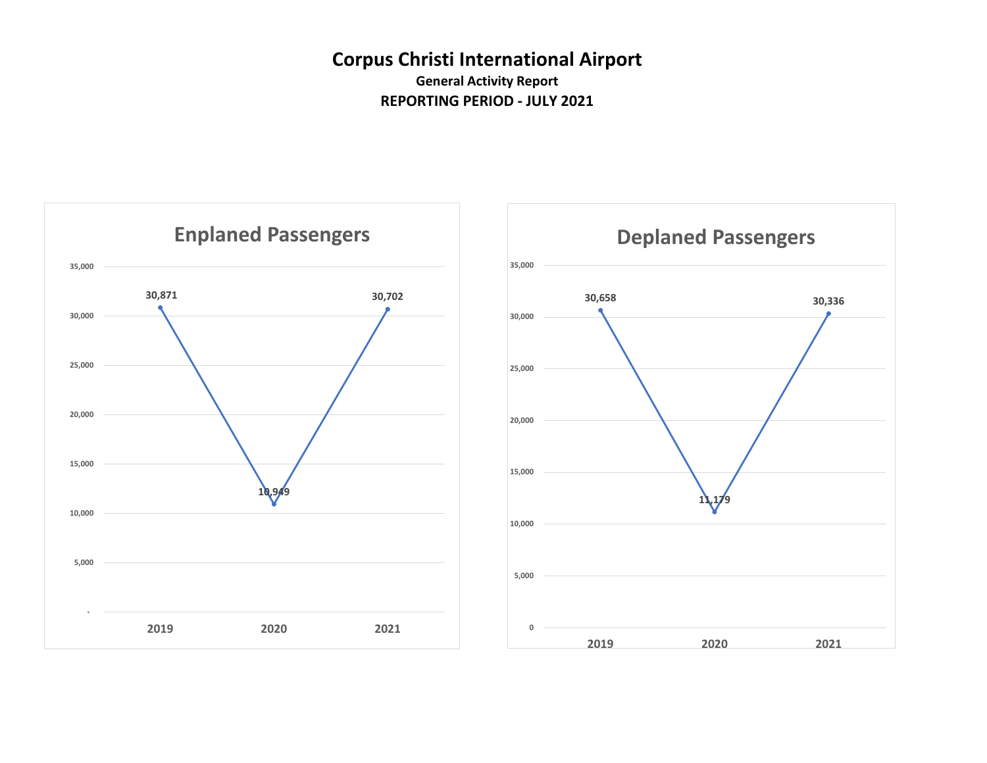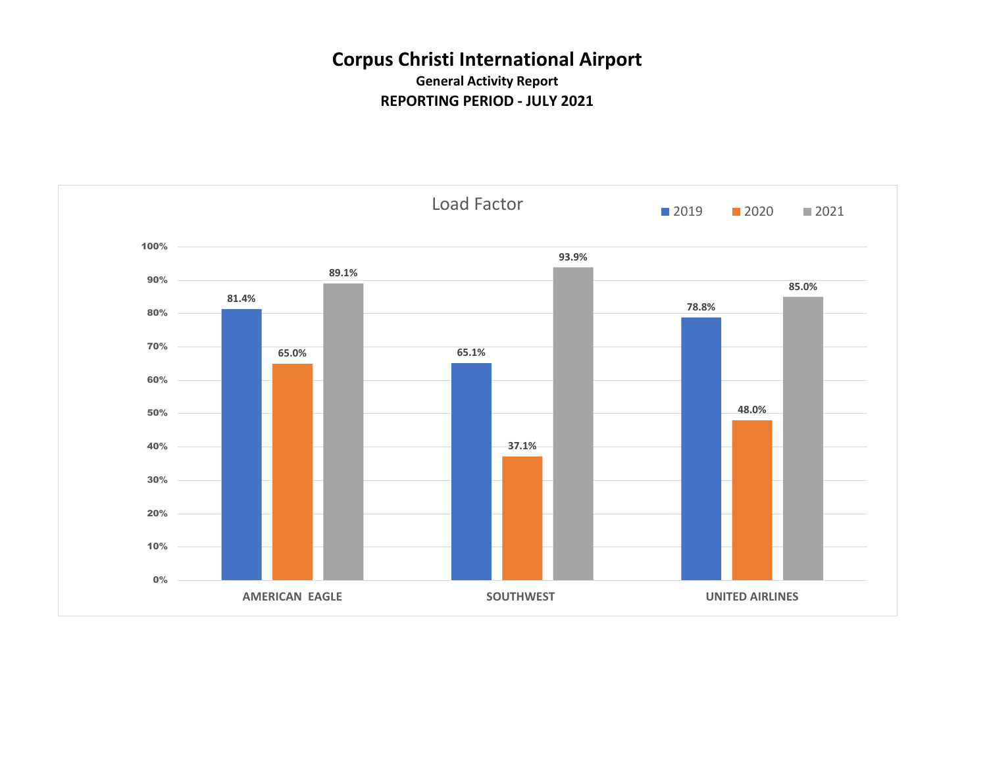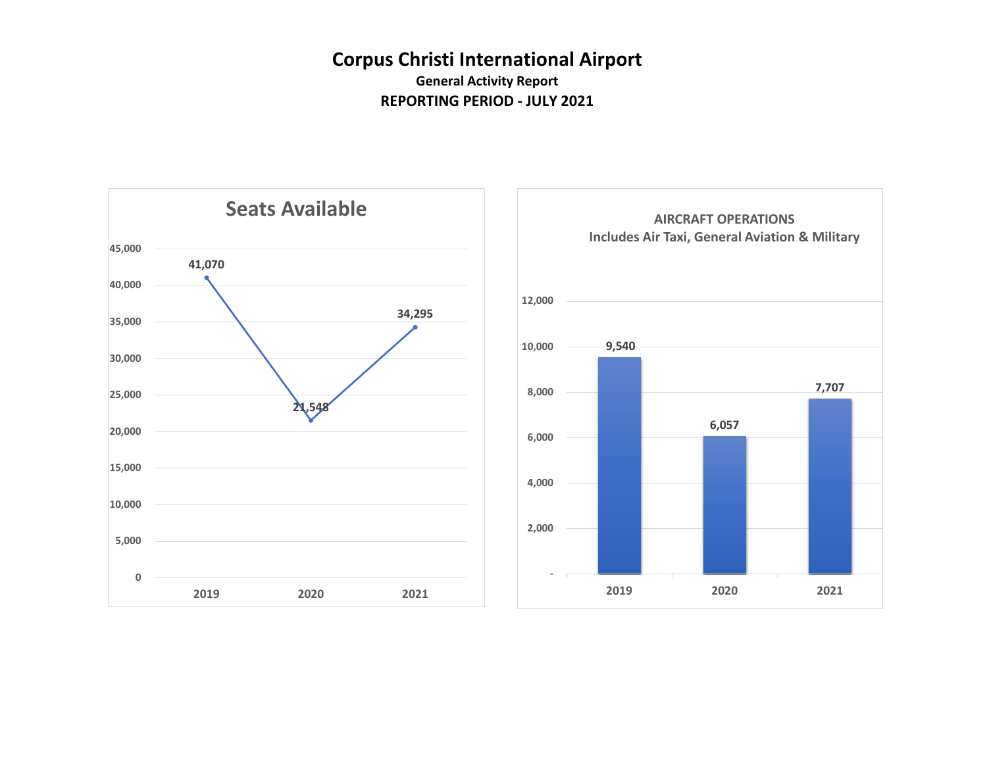

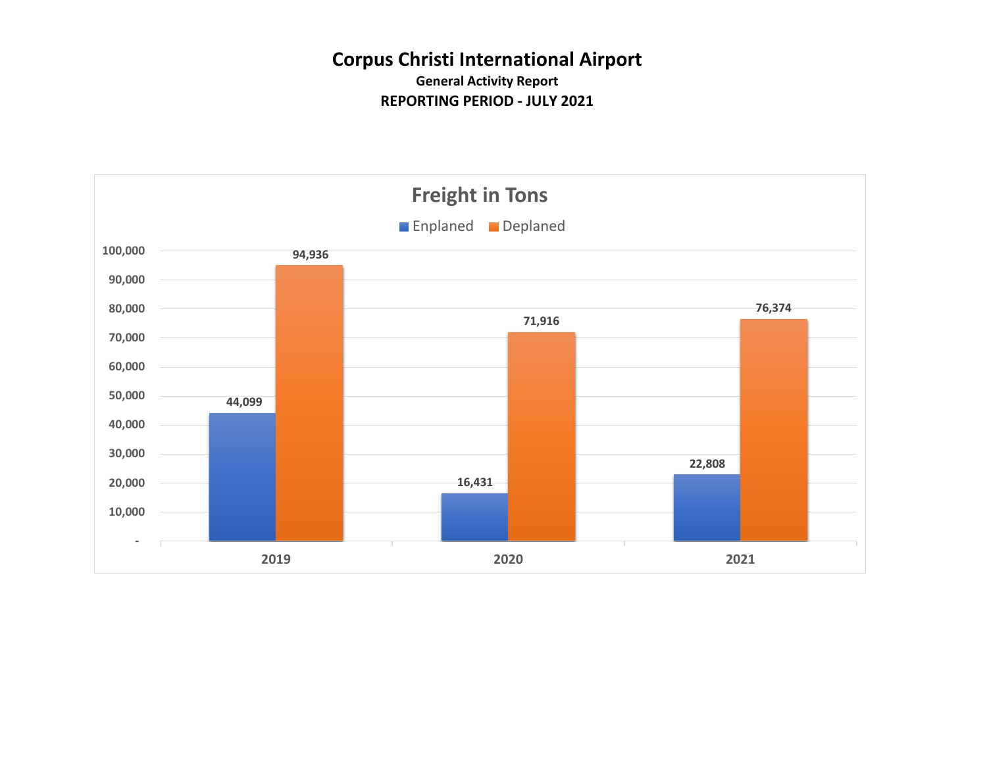**General Activity Report REPORTING PERIOD - JULY 2021**

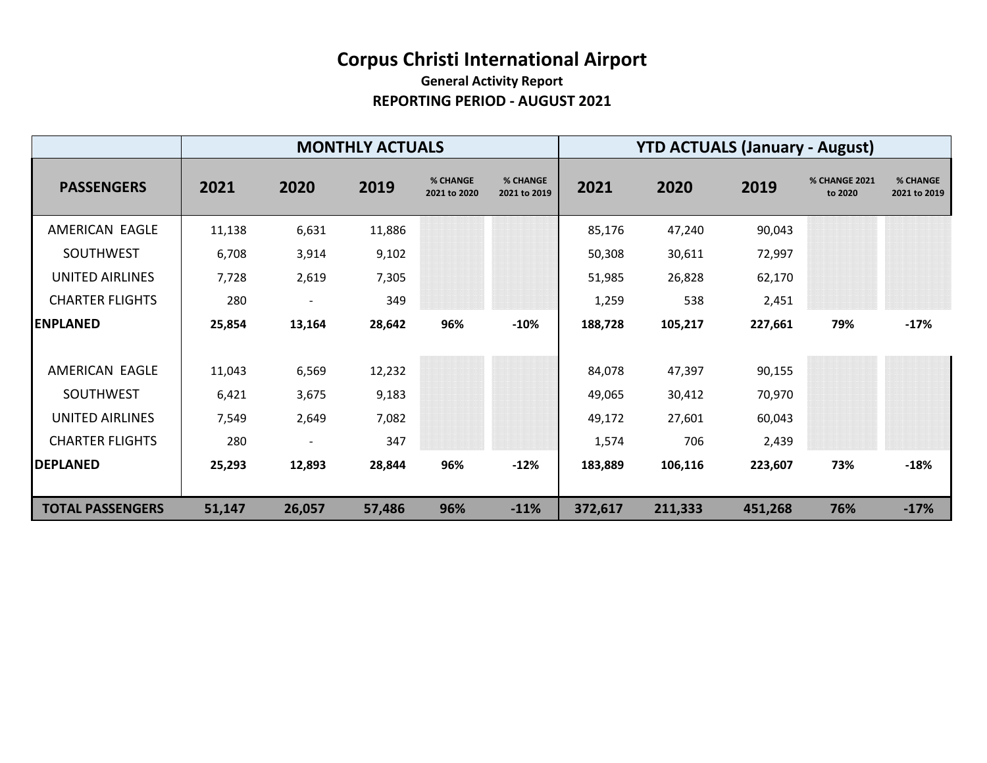|                         |        |        | <b>MONTHLY ACTUALS</b> |                          |                                 | <b>YTD ACTUALS (January - August)</b> |         |         |                                 |                          |
|-------------------------|--------|--------|------------------------|--------------------------|---------------------------------|---------------------------------------|---------|---------|---------------------------------|--------------------------|
| <b>PASSENGERS</b>       | 2021   | 2020   | 2019                   | % CHANGE<br>2021 to 2020 | <b>% CHANGE</b><br>2021 to 2019 | 2021                                  | 2020    | 2019    | <b>% CHANGE 2021</b><br>to 2020 | % CHANGE<br>2021 to 2019 |
| AMERICAN EAGLE          | 11,138 | 6,631  | 11,886                 |                          |                                 | 85,176                                | 47,240  | 90,043  |                                 |                          |
| SOUTHWEST               | 6,708  | 3,914  | 9,102                  |                          |                                 | 50,308                                | 30,611  | 72,997  |                                 |                          |
| UNITED AIRLINES         | 7,728  | 2,619  | 7,305                  |                          |                                 | 51,985                                | 26,828  | 62,170  |                                 |                          |
| <b>CHARTER FLIGHTS</b>  | 280    |        | 349                    |                          |                                 | 1,259                                 | 538     | 2,451   |                                 |                          |
| <b>ENPLANED</b>         | 25,854 | 13,164 | 28,642                 | 96%                      | $-10%$                          | 188,728                               | 105,217 | 227,661 | 79%                             | $-17%$                   |
|                         |        |        |                        |                          |                                 |                                       |         |         |                                 |                          |
| AMERICAN EAGLE          | 11,043 | 6,569  | 12,232                 |                          |                                 | 84,078                                | 47,397  | 90,155  |                                 |                          |
| SOUTHWEST               | 6,421  | 3,675  | 9,183                  |                          |                                 | 49,065                                | 30,412  | 70,970  |                                 |                          |
| <b>UNITED AIRLINES</b>  | 7,549  | 2,649  | 7,082                  |                          |                                 | 49,172                                | 27,601  | 60,043  |                                 |                          |
| <b>CHARTER FLIGHTS</b>  | 280    |        | 347                    |                          |                                 | 1,574                                 | 706     | 2,439   |                                 |                          |
| <b>DEPLANED</b>         | 25,293 | 12,893 | 28,844                 | 96%                      | $-12%$                          | 183,889                               | 106,116 | 223,607 | 73%                             | $-18%$                   |
|                         |        |        |                        |                          |                                 |                                       |         |         |                                 |                          |
| <b>TOTAL PASSENGERS</b> | 51,147 | 26,057 | 57,486                 | 96%                      | $-11%$                          | 372,617                               | 211,333 | 451,268 | 76%                             | $-17%$                   |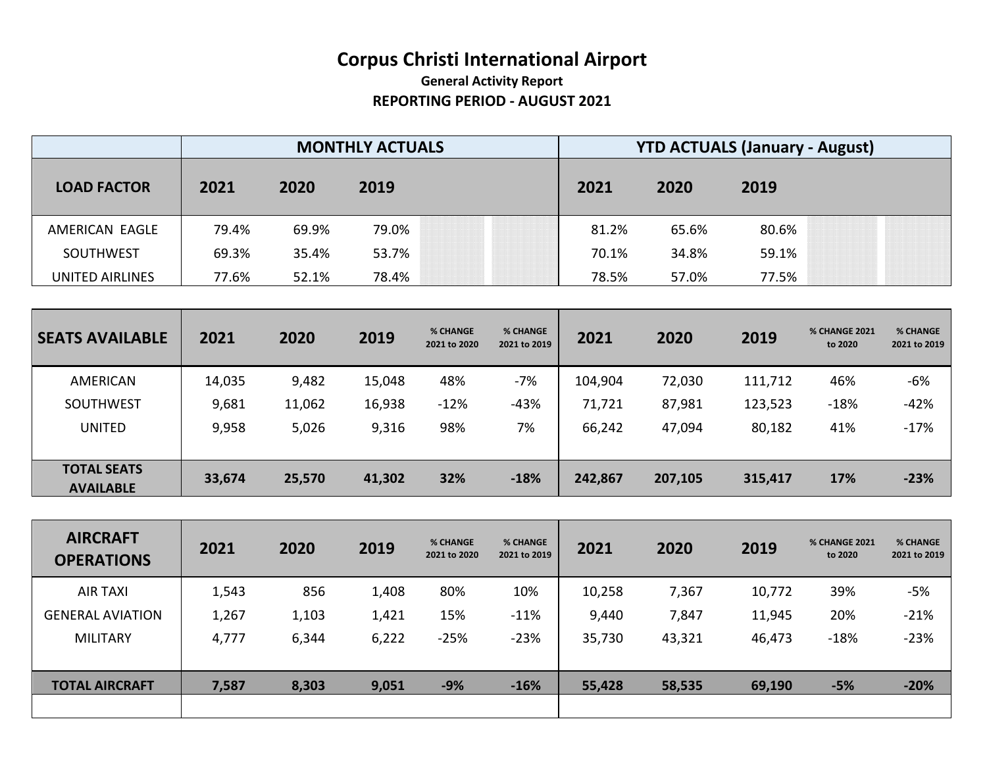|                    |       |       | <b>MONTHLY ACTUALS</b> | <b>YTD ACTUALS (January - August)</b> |       |       |  |
|--------------------|-------|-------|------------------------|---------------------------------------|-------|-------|--|
| <b>LOAD FACTOR</b> | 2021  | 2020  | 2019                   | 2021                                  | 2020  | 2019  |  |
| AMERICAN EAGLE     | 79.4% | 69.9% | 79.0%                  | 81.2%                                 | 65.6% | 80.6% |  |
| SOUTHWEST          | 69.3% | 35.4% | 53.7%                  | 70.1%                                 | 34.8% | 59.1% |  |
| UNITED AIRLINES    | 77.6% | 52.1% | 78.4%                  | 78.5%                                 | 57.0% | 77.5% |  |

| <b>SEATS AVAILABLE</b>                 | 2021   | 2020   | 2019   | % CHANGE<br>2021 to 2020 | % CHANGE<br>2021 to 2019 | 2021    | 2020    | 2019    | <b>% CHANGE 2021</b><br>to 2020 | % CHANGE<br>2021 to 2019 |
|----------------------------------------|--------|--------|--------|--------------------------|--------------------------|---------|---------|---------|---------------------------------|--------------------------|
| AMERICAN                               | 14,035 | 9,482  | 15,048 | 48%                      | -7%                      | 104,904 | 72,030  | 111,712 | 46%                             | $-6%$                    |
| <b>SOUTHWEST</b>                       | 9,681  | 11,062 | 16,938 | $-12%$                   | $-43%$                   | 71,721  | 87,981  | 123,523 | $-18%$                          | $-42%$                   |
| <b>UNITED</b>                          | 9,958  | 5,026  | 9,316  | 98%                      | 7%                       | 66,242  | 47,094  | 80,182  | 41%                             | $-17%$                   |
|                                        |        |        |        |                          |                          |         |         |         |                                 |                          |
| <b>TOTAL SEATS</b><br><b>AVAILABLE</b> | 33,674 | 25,570 | 41,302 | 32%                      | $-18%$                   | 242,867 | 207,105 | 315,417 | 17%                             | $-23%$                   |

| <b>AIRCRAFT</b><br><b>OPERATIONS</b> | 2021  | 2020  | 2019  | % CHANGE<br>2021 to 2020 | % CHANGE<br>2021 to 2019 | 2021   | 2020   | 2019   | % CHANGE 2021<br>to 2020 | <b>% CHANGE</b><br>2021 to 2019 |
|--------------------------------------|-------|-------|-------|--------------------------|--------------------------|--------|--------|--------|--------------------------|---------------------------------|
| <b>AIR TAXI</b>                      | 1,543 | 856   | 1,408 | 80%                      | 10%                      | 10,258 | 7,367  | 10,772 | 39%                      | $-5%$                           |
| <b>GENERAL AVIATION</b>              | 1,267 | 1,103 | 1,421 | 15%                      | $-11%$                   | 9,440  | 7,847  | 11,945 | 20%                      | $-21%$                          |
| <b>MILITARY</b>                      | 4,777 | 6,344 | 6,222 | $-25%$                   | $-23%$                   | 35,730 | 43,321 | 46,473 | $-18%$                   | $-23%$                          |
|                                      |       |       |       |                          |                          |        |        |        |                          |                                 |
| <b>TOTAL AIRCRAFT</b>                | 7,587 | 8,303 | 9,051 | $-9%$                    | $-16%$                   | 55,428 | 58,535 | 69,190 | $-5%$                    | $-20%$                          |
|                                      |       |       |       |                          |                          |        |        |        |                          |                                 |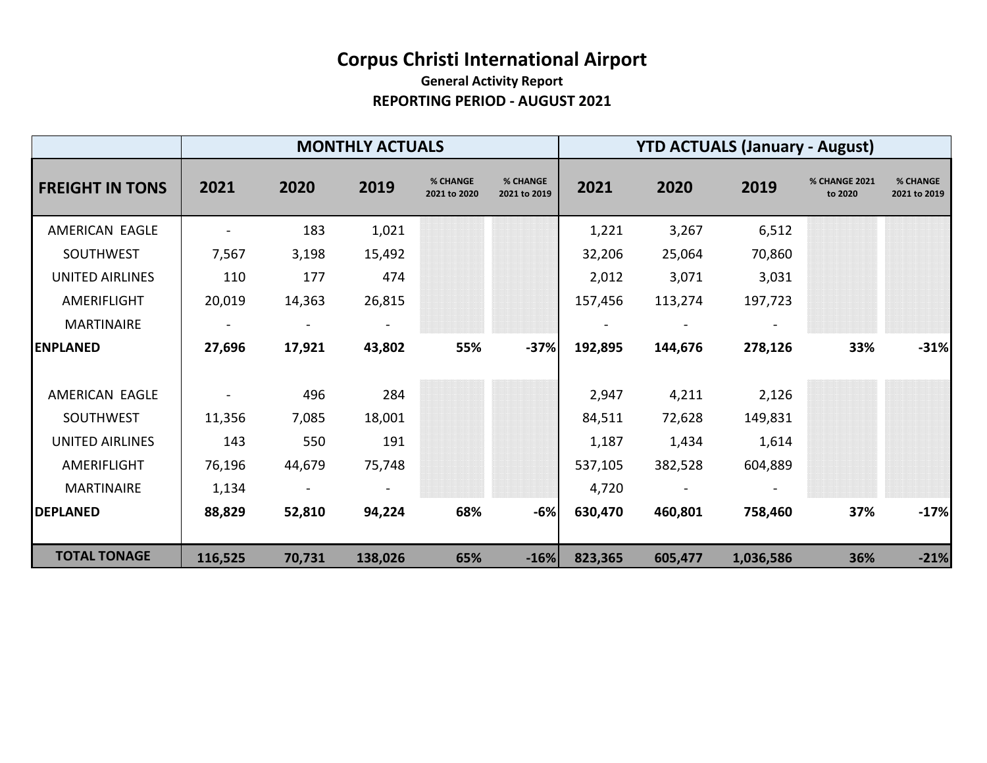|                        | <b>YTD ACTUALS (January - August)</b><br><b>MONTHLY ACTUALS</b> |        |         |                          |                          |         |                |                |                          |                          |
|------------------------|-----------------------------------------------------------------|--------|---------|--------------------------|--------------------------|---------|----------------|----------------|--------------------------|--------------------------|
| <b>FREIGHT IN TONS</b> | 2021                                                            | 2020   | 2019    | % CHANGE<br>2021 to 2020 | % CHANGE<br>2021 to 2019 | 2021    | 2020           | 2019           | % CHANGE 2021<br>to 2020 | % CHANGE<br>2021 to 2019 |
| AMERICAN EAGLE         |                                                                 | 183    | 1,021   |                          |                          | 1,221   | 3,267          | 6,512          |                          |                          |
| <b>SOUTHWEST</b>       | 7,567                                                           | 3,198  | 15,492  |                          |                          | 32,206  | 25,064         | 70,860         |                          |                          |
| <b>UNITED AIRLINES</b> | 110                                                             | 177    | 474     |                          |                          | 2,012   | 3,071          | 3,031          |                          |                          |
| AMERIFLIGHT            | 20,019                                                          | 14,363 | 26,815  |                          |                          | 157,456 | 113,274        | 197,723        |                          |                          |
| <b>MARTINAIRE</b>      | $\sim$                                                          | $\sim$ | $\sim$  |                          |                          |         | $\blacksquare$ | $\blacksquare$ |                          |                          |
| <b>ENPLANED</b>        | 27,696                                                          | 17,921 | 43,802  | 55%                      | $-37%$                   | 192,895 | 144,676        | 278,126        | 33%                      | $-31%$                   |
|                        |                                                                 |        |         |                          |                          |         |                |                |                          |                          |
| AMERICAN EAGLE         |                                                                 | 496    | 284     |                          |                          | 2,947   | 4,211          | 2,126          |                          |                          |
| SOUTHWEST              | 11,356                                                          | 7,085  | 18,001  |                          |                          | 84,511  | 72,628         | 149,831        |                          |                          |
| <b>UNITED AIRLINES</b> | 143                                                             | 550    | 191     |                          |                          | 1,187   | 1,434          | 1,614          |                          |                          |
| AMERIFLIGHT            | 76,196                                                          | 44,679 | 75,748  |                          |                          | 537,105 | 382,528        | 604,889        |                          |                          |
| <b>MARTINAIRE</b>      | 1,134                                                           |        |         |                          |                          | 4,720   |                |                |                          |                          |
| <b>DEPLANED</b>        | 88,829                                                          | 52,810 | 94,224  | 68%                      | $-6%$                    | 630,470 | 460,801        | 758,460        | 37%                      | $-17%$                   |
| <b>TOTAL TONAGE</b>    | 116,525                                                         | 70,731 | 138,026 | 65%                      | $-16%$                   | 823,365 | 605,477        | 1,036,586      | 36%                      | $-21%$                   |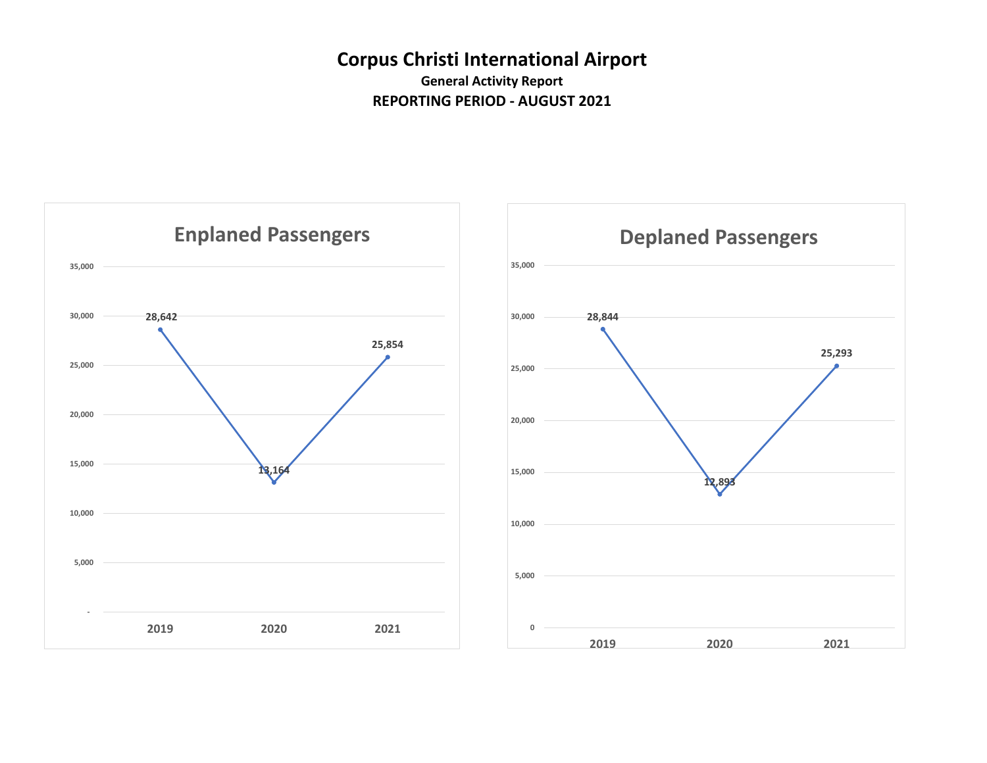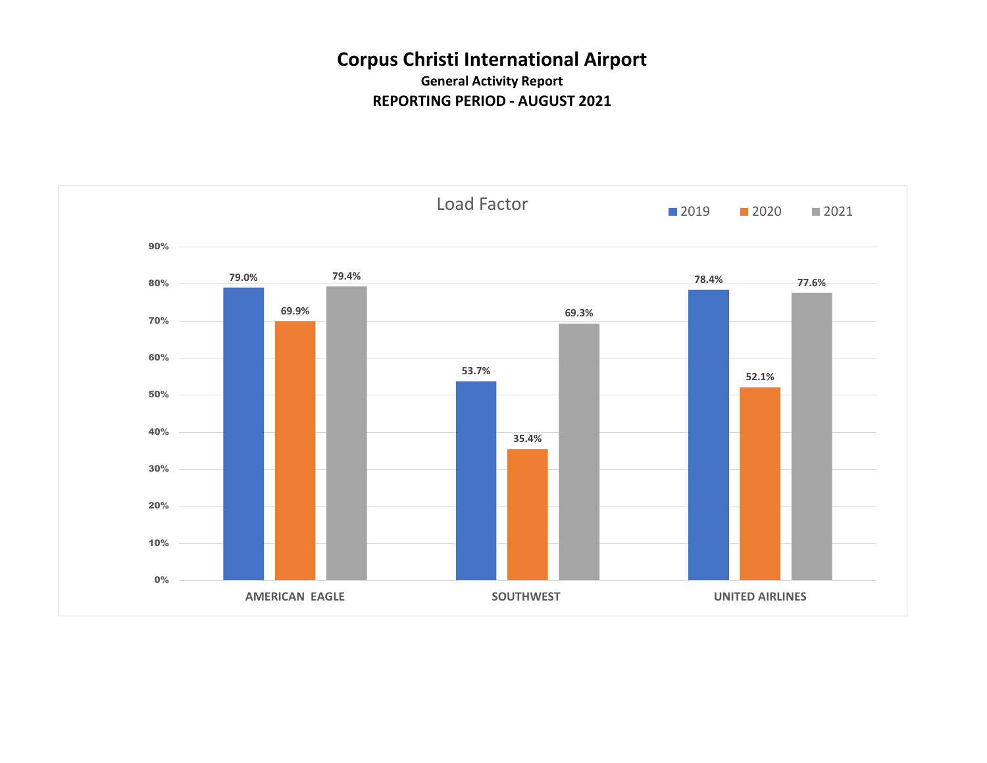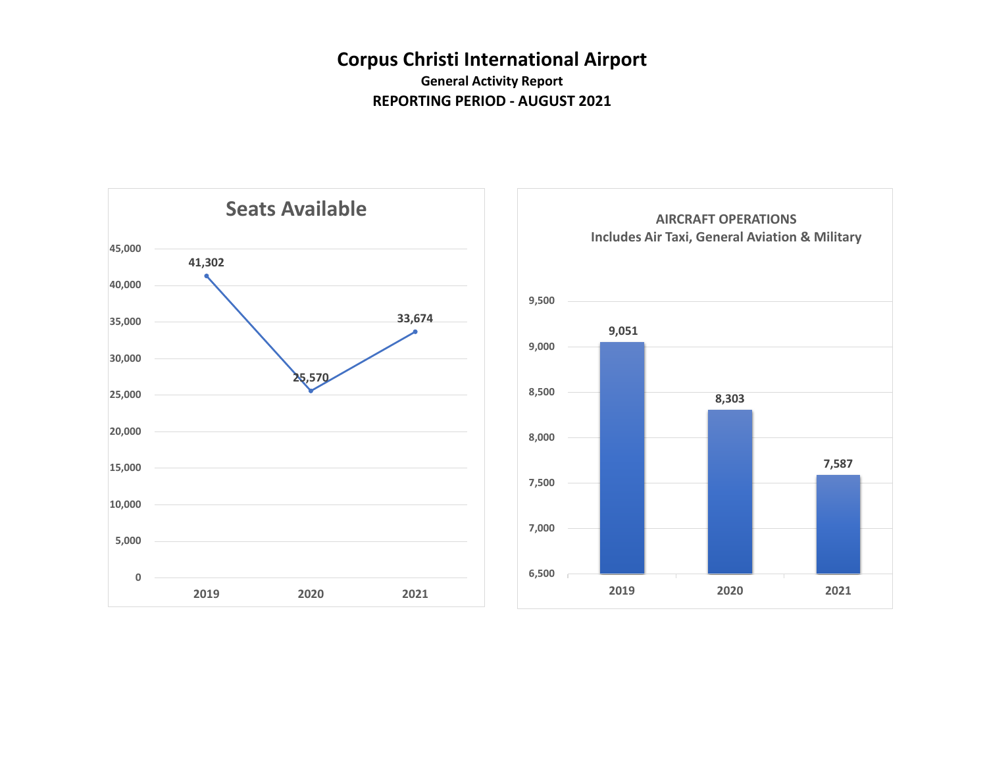

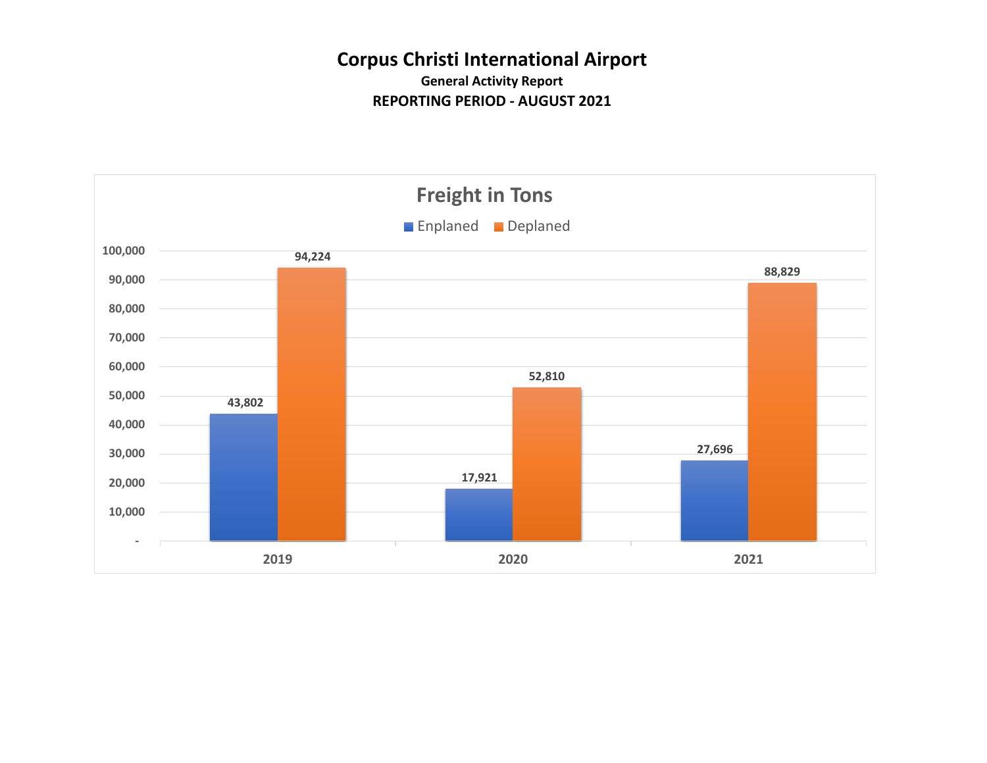#### **General Activity Report REPORTING PERIOD - AUGUST 2021**

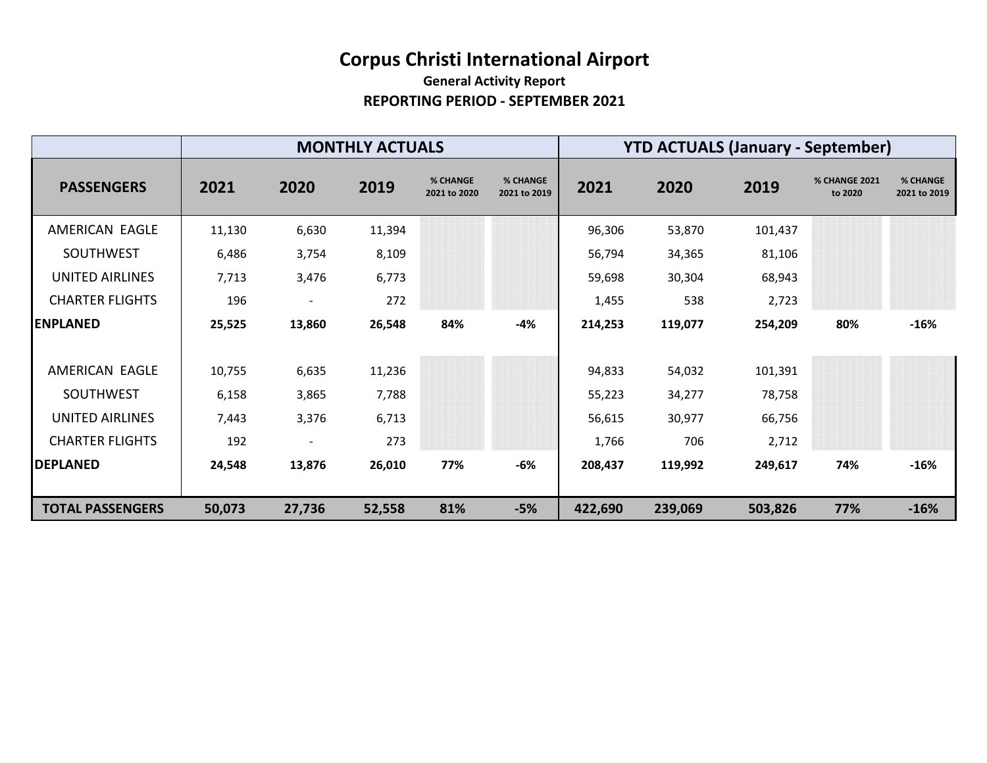|                         |        |        | <b>MONTHLY ACTUALS</b> |                          |                          |         | <b>YTD ACTUALS (January - September)</b> |         |                                 |                          |
|-------------------------|--------|--------|------------------------|--------------------------|--------------------------|---------|------------------------------------------|---------|---------------------------------|--------------------------|
| <b>PASSENGERS</b>       | 2021   | 2020   | 2019                   | % CHANGE<br>2021 to 2020 | % CHANGE<br>2021 to 2019 | 2021    | 2020                                     | 2019    | <b>% CHANGE 2021</b><br>to 2020 | % CHANGE<br>2021 to 2019 |
| AMERICAN EAGLE          | 11,130 | 6,630  | 11,394                 |                          |                          | 96,306  | 53,870                                   | 101,437 |                                 |                          |
| <b>SOUTHWEST</b>        | 6,486  | 3,754  | 8,109                  |                          |                          | 56,794  | 34,365                                   | 81,106  |                                 |                          |
| UNITED AIRLINES         | 7,713  | 3,476  | 6,773                  |                          |                          | 59,698  | 30,304                                   | 68,943  |                                 |                          |
| <b>CHARTER FLIGHTS</b>  | 196    |        | 272                    |                          |                          | 1,455   | 538                                      | 2,723   |                                 |                          |
| <b>ENPLANED</b>         | 25,525 | 13,860 | 26,548                 | 84%                      | -4%                      | 214,253 | 119,077                                  | 254,209 | 80%                             | $-16%$                   |
|                         |        |        |                        |                          |                          |         |                                          |         |                                 |                          |
| AMERICAN EAGLE          | 10,755 | 6,635  | 11,236                 |                          |                          | 94,833  | 54,032                                   | 101,391 |                                 |                          |
| SOUTHWEST               | 6,158  | 3,865  | 7,788                  |                          |                          | 55,223  | 34,277                                   | 78,758  |                                 |                          |
| <b>UNITED AIRLINES</b>  | 7,443  | 3,376  | 6,713                  |                          |                          | 56,615  | 30,977                                   | 66,756  |                                 |                          |
| <b>CHARTER FLIGHTS</b>  | 192    |        | 273                    |                          |                          | 1,766   | 706                                      | 2,712   |                                 |                          |
| <b>DEPLANED</b>         | 24,548 | 13,876 | 26,010                 | 77%                      | $-6%$                    | 208,437 | 119,992                                  | 249,617 | 74%                             | $-16%$                   |
| <b>TOTAL PASSENGERS</b> | 50,073 | 27,736 | 52,558                 | 81%                      | $-5%$                    | 422,690 | 239,069                                  | 503,826 | 77%                             | $-16%$                   |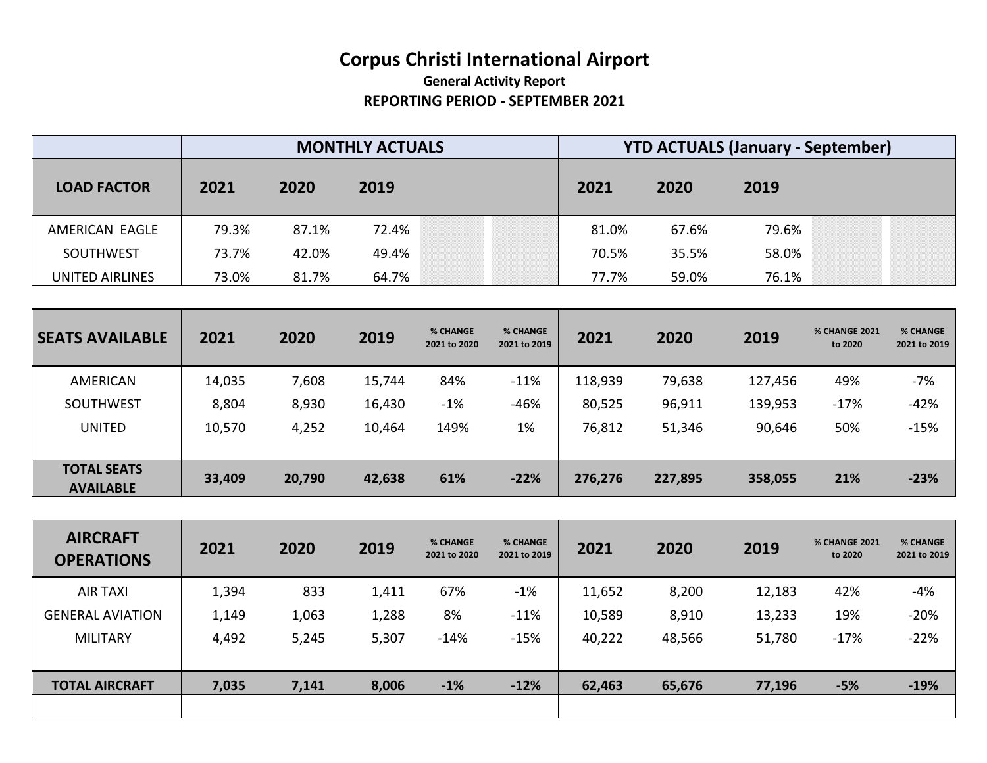|                        |       |       | <b>MONTHLY ACTUALS</b> | <b>YTD ACTUALS (January - September)</b> |       |       |  |
|------------------------|-------|-------|------------------------|------------------------------------------|-------|-------|--|
| <b>LOAD FACTOR</b>     | 2021  | 2020  | 2019                   | 2021                                     | 2020  | 2019  |  |
| AMERICAN EAGLE         | 79.3% | 87.1% | 72.4%                  | 81.0%                                    | 67.6% | 79.6% |  |
| <b>SOUTHWEST</b>       | 73.7% | 42.0% | 49.4%                  | 70.5%                                    | 35.5% | 58.0% |  |
| <b>UNITED AIRLINES</b> | 73.0% | 81.7% | 64.7%                  | 77.7%                                    | 59.0% | 76.1% |  |

| <b>SEATS AVAILABLE</b>                 | 2021   | 2020   | 2019   | % CHANGE<br>2021 to 2020 | % CHANGE<br>2021 to 2019 | 2021    | 2020    | 2019    | <b>% CHANGE 2021</b><br>to 2020 | % CHANGE<br>2021 to 2019 |
|----------------------------------------|--------|--------|--------|--------------------------|--------------------------|---------|---------|---------|---------------------------------|--------------------------|
| AMERICAN                               | 14,035 | 7,608  | 15,744 | 84%                      | $-11%$                   | 118,939 | 79,638  | 127,456 | 49%                             | $-7%$                    |
| <b>SOUTHWEST</b>                       | 8,804  | 8,930  | 16,430 | $-1%$                    | $-46%$                   | 80,525  | 96,911  | 139,953 | $-17%$                          | $-42%$                   |
| <b>UNITED</b>                          | 10,570 | 4,252  | 10,464 | 149%                     | 1%                       | 76,812  | 51,346  | 90,646  | 50%                             | $-15%$                   |
|                                        |        |        |        |                          |                          |         |         |         |                                 |                          |
| <b>TOTAL SEATS</b><br><b>AVAILABLE</b> | 33,409 | 20,790 | 42,638 | 61%                      | $-22%$                   | 276,276 | 227,895 | 358,055 | 21%                             | $-23%$                   |

| <b>AIRCRAFT</b><br><b>OPERATIONS</b> | 2021  | 2020  | 2019  | % CHANGE<br>2021 to 2020 | <b>% CHANGE</b><br>2021 to 2019 | 2021   | 2020   | 2019   | <b>% CHANGE 2021</b><br>to 2020 | % CHANGE<br>2021 to 2019 |
|--------------------------------------|-------|-------|-------|--------------------------|---------------------------------|--------|--------|--------|---------------------------------|--------------------------|
| <b>AIR TAXI</b>                      | 1,394 | 833   | 1,411 | 67%                      | $-1%$                           | 11,652 | 8,200  | 12,183 | 42%                             | $-4%$                    |
| <b>GENERAL AVIATION</b>              | 1,149 | 1,063 | 1,288 | 8%                       | $-11%$                          | 10,589 | 8,910  | 13,233 | 19%                             | $-20%$                   |
| <b>MILITARY</b>                      | 4,492 | 5,245 | 5,307 | $-14%$                   | $-15%$                          | 40,222 | 48,566 | 51,780 | $-17%$                          | $-22%$                   |
|                                      |       |       |       |                          |                                 |        |        |        |                                 |                          |
| <b>TOTAL AIRCRAFT</b>                | 7,035 | 7,141 | 8,006 | $-1%$                    | $-12%$                          | 62,463 | 65,676 | 77,196 | $-5%$                           | $-19%$                   |
|                                      |       |       |       |                          |                                 |        |        |        |                                 |                          |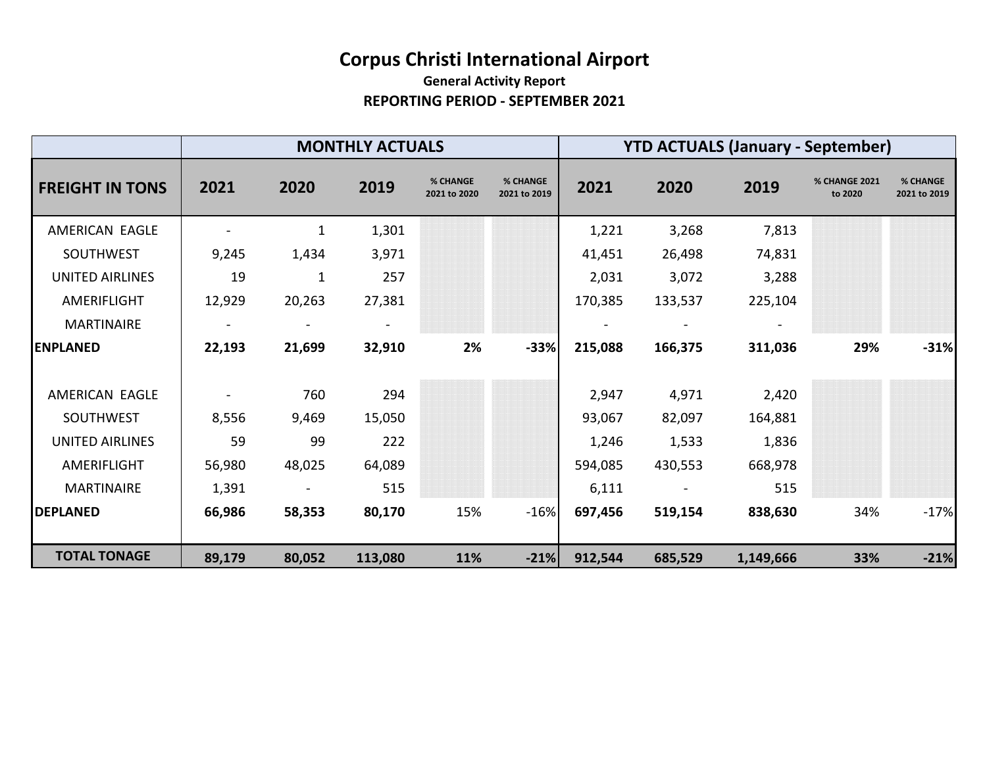|                        | <b>YTD ACTUALS (January - September)</b><br><b>MONTHLY ACTUALS</b><br>% CHANGE<br>% CHANGE<br>% CHANGE 2021<br>2021<br>2020<br>2021<br>2020<br>2019<br>2019<br>2021 to 2020<br>2021 to 2019<br>to 2020<br>1,301<br>1,221<br>3,268<br>7,813<br>1<br>3,971<br>26,498<br>74,831<br>9,245<br>1,434<br>41,451<br>257<br>19<br>2,031<br>3,072<br>3,288<br>1<br>12,929<br>20,263<br>27,381<br>133,537<br>170,385<br>225,104 |                |         |     |        |         |         |           |     |                          |
|------------------------|----------------------------------------------------------------------------------------------------------------------------------------------------------------------------------------------------------------------------------------------------------------------------------------------------------------------------------------------------------------------------------------------------------------------|----------------|---------|-----|--------|---------|---------|-----------|-----|--------------------------|
| <b>FREIGHT IN TONS</b> |                                                                                                                                                                                                                                                                                                                                                                                                                      |                |         |     |        |         |         |           |     | % CHANGE<br>2021 to 2019 |
| AMERICAN EAGLE         |                                                                                                                                                                                                                                                                                                                                                                                                                      |                |         |     |        |         |         |           |     |                          |
| SOUTHWEST              |                                                                                                                                                                                                                                                                                                                                                                                                                      |                |         |     |        |         |         |           |     |                          |
| <b>UNITED AIRLINES</b> |                                                                                                                                                                                                                                                                                                                                                                                                                      |                |         |     |        |         |         |           |     |                          |
| AMERIFLIGHT            |                                                                                                                                                                                                                                                                                                                                                                                                                      |                |         |     |        |         |         |           |     |                          |
| <b>MARTINAIRE</b>      | $\blacksquare$                                                                                                                                                                                                                                                                                                                                                                                                       | $\blacksquare$ |         |     |        |         |         |           |     |                          |
| <b>ENPLANED</b>        | 22,193                                                                                                                                                                                                                                                                                                                                                                                                               | 21,699         | 32,910  | 2%  | $-33%$ | 215,088 | 166,375 | 311,036   | 29% | $-31%$                   |
| AMERICAN EAGLE         |                                                                                                                                                                                                                                                                                                                                                                                                                      | 760            | 294     |     |        | 2,947   | 4,971   | 2,420     |     |                          |
| SOUTHWEST              | 8,556                                                                                                                                                                                                                                                                                                                                                                                                                | 9,469          | 15,050  |     |        | 93,067  | 82,097  | 164,881   |     |                          |
| <b>UNITED AIRLINES</b> | 59                                                                                                                                                                                                                                                                                                                                                                                                                   | 99             | 222     |     |        | 1,246   | 1,533   | 1,836     |     |                          |
| AMERIFLIGHT            | 56,980                                                                                                                                                                                                                                                                                                                                                                                                               | 48,025         | 64,089  |     |        | 594,085 | 430,553 | 668,978   |     |                          |
| <b>MARTINAIRE</b>      | 1,391                                                                                                                                                                                                                                                                                                                                                                                                                |                | 515     |     |        | 6,111   |         | 515       |     |                          |
| <b>DEPLANED</b>        | 66,986                                                                                                                                                                                                                                                                                                                                                                                                               | 58,353         | 80,170  | 15% | $-16%$ | 697,456 | 519,154 | 838,630   | 34% | $-17%$                   |
| <b>TOTAL TONAGE</b>    | 89,179                                                                                                                                                                                                                                                                                                                                                                                                               | 80,052         | 113,080 | 11% | $-21%$ | 912,544 | 685,529 | 1,149,666 | 33% | $-21%$                   |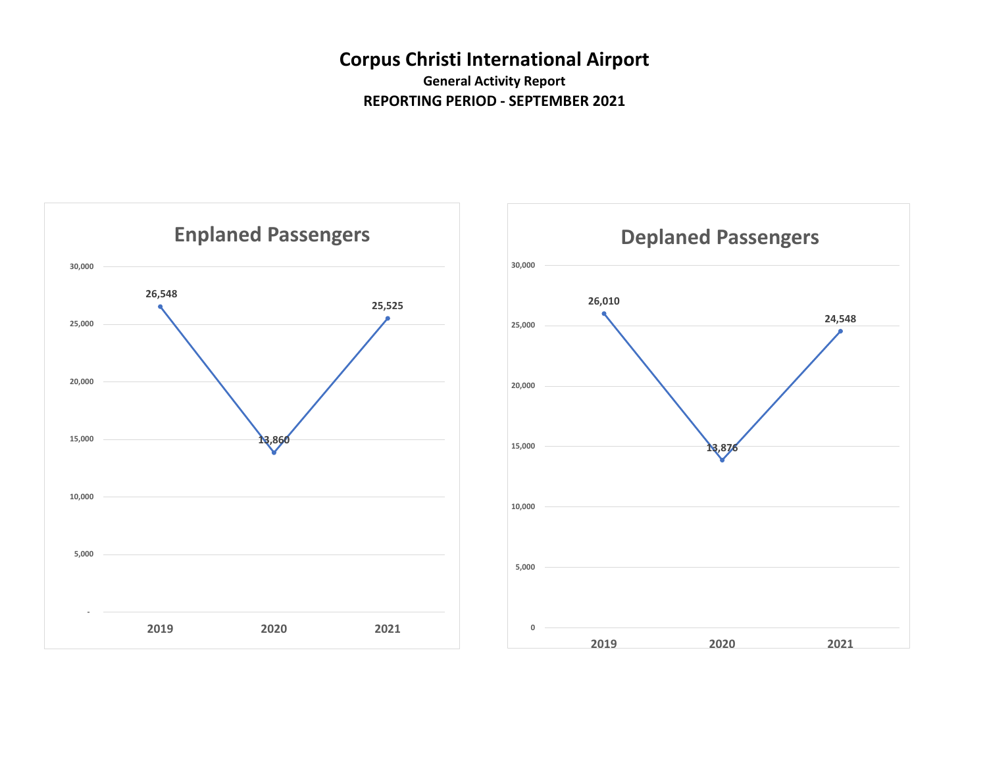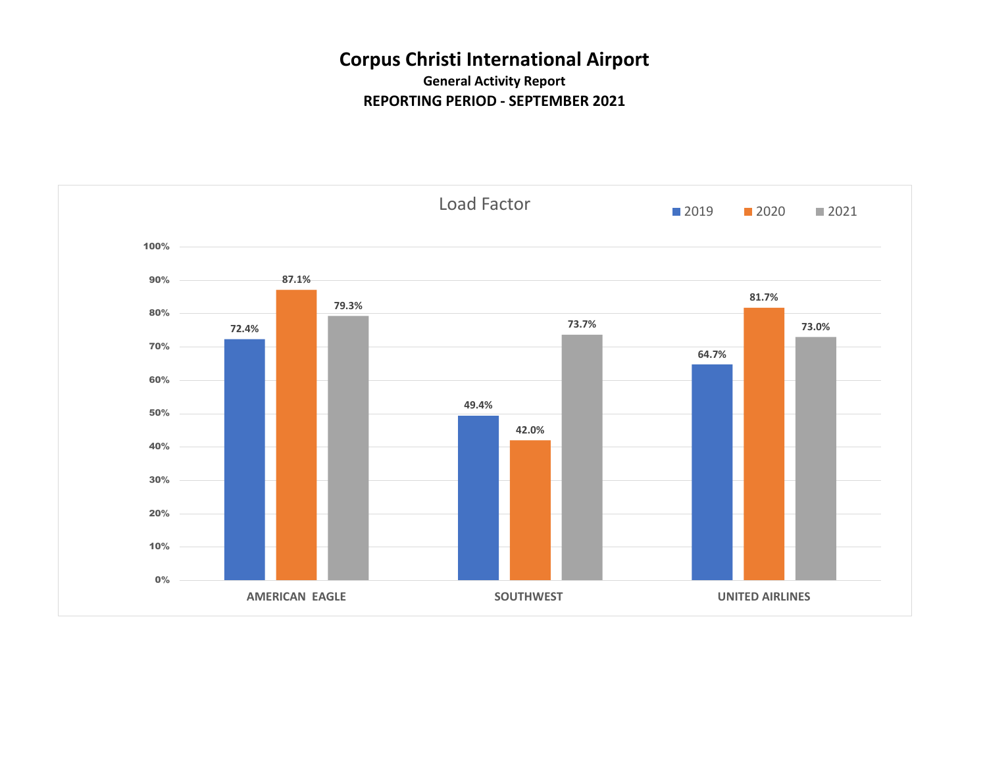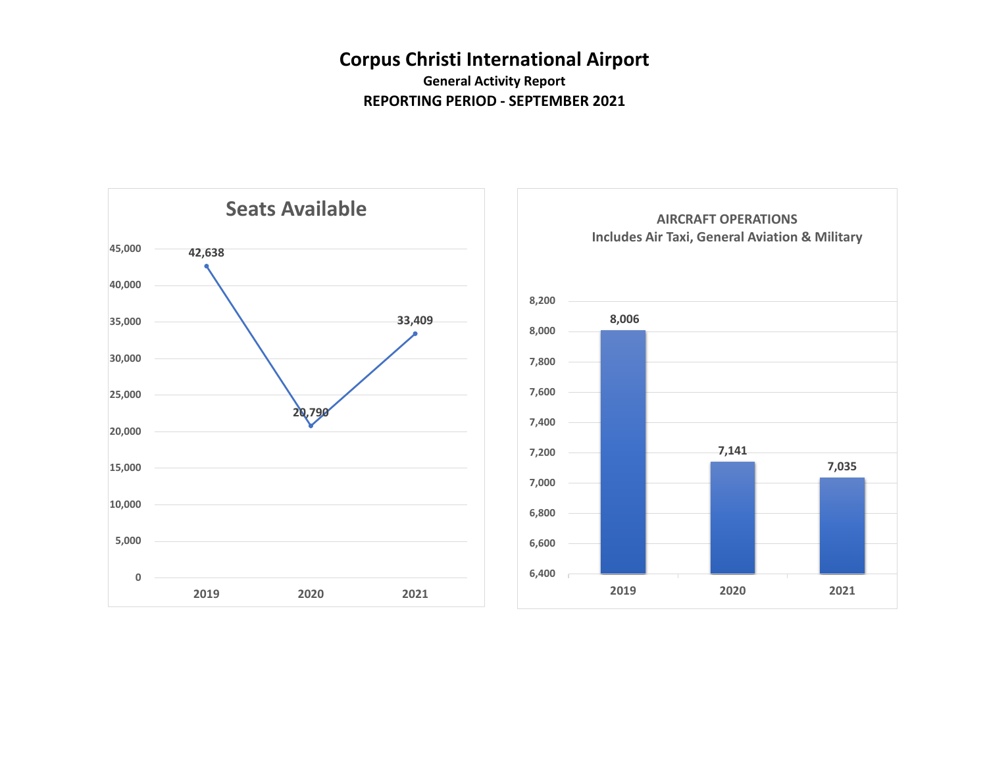

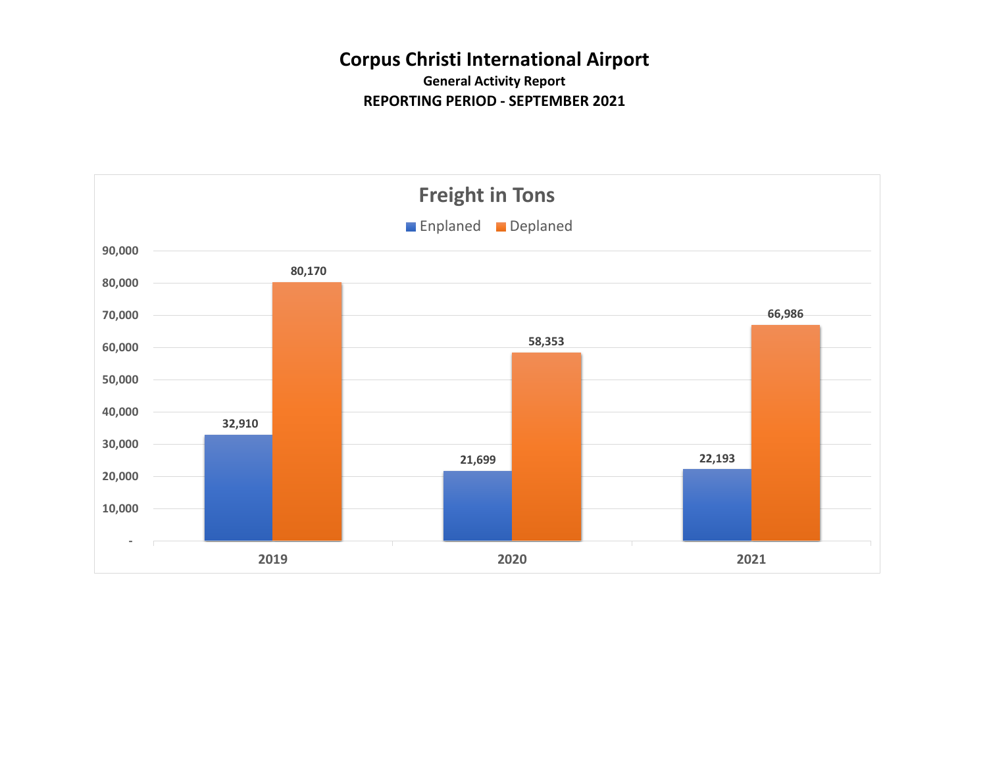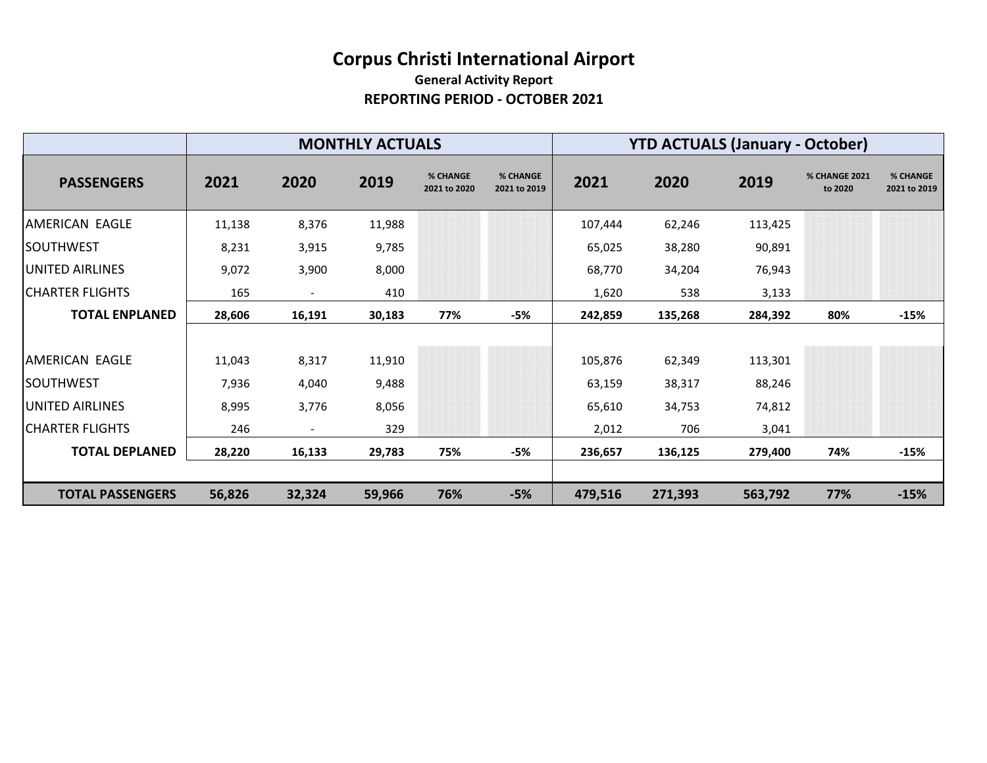|                         |        |                          | <b>MONTHLY ACTUALS</b> |                                 |                                 |         |         | <b>YTD ACTUALS (January - October)</b> |                                 |                          |
|-------------------------|--------|--------------------------|------------------------|---------------------------------|---------------------------------|---------|---------|----------------------------------------|---------------------------------|--------------------------|
| <b>PASSENGERS</b>       | 2021   | 2020                     | 2019                   | <b>% CHANGE</b><br>2021 to 2020 | <b>% CHANGE</b><br>2021 to 2019 | 2021    | 2020    | 2019                                   | <b>% CHANGE 2021</b><br>to 2020 | % CHANGE<br>2021 to 2019 |
| <b>AMERICAN EAGLE</b>   | 11,138 | 8,376                    | 11,988                 |                                 |                                 | 107,444 | 62,246  | 113,425                                |                                 |                          |
| <b>SOUTHWEST</b>        | 8,231  | 3,915                    | 9,785                  |                                 |                                 | 65,025  | 38,280  | 90,891                                 |                                 |                          |
| UNITED AIRLINES         | 9,072  | 3,900                    | 8,000                  |                                 |                                 | 68,770  | 34,204  | 76,943                                 |                                 |                          |
| <b>CHARTER FLIGHTS</b>  | 165    | $\overline{\phantom{a}}$ | 410                    |                                 |                                 | 1,620   | 538     | 3,133                                  |                                 |                          |
| <b>TOTAL ENPLANED</b>   | 28,606 | 16,191                   | 30,183                 | 77%                             | -5%                             | 242,859 | 135,268 | 284,392                                | 80%                             | $-15%$                   |
|                         |        |                          |                        |                                 |                                 |         |         |                                        |                                 |                          |
| <b>AMERICAN EAGLE</b>   | 11,043 | 8,317                    | 11,910                 |                                 |                                 | 105,876 | 62,349  | 113,301                                |                                 |                          |
| <b>SOUTHWEST</b>        | 7,936  | 4,040                    | 9,488                  |                                 |                                 | 63,159  | 38,317  | 88,246                                 |                                 |                          |
| UNITED AIRLINES         | 8,995  | 3,776                    | 8,056                  |                                 |                                 | 65,610  | 34,753  | 74,812                                 |                                 |                          |
| CHARTER FLIGHTS         | 246    |                          | 329                    |                                 |                                 | 2,012   | 706     | 3,041                                  |                                 |                          |
| <b>TOTAL DEPLANED</b>   | 28,220 | 16,133                   | 29,783                 | 75%                             | -5%                             | 236,657 | 136,125 | 279,400                                | 74%                             | $-15%$                   |
|                         |        |                          |                        |                                 |                                 |         |         |                                        |                                 |                          |
| <b>TOTAL PASSENGERS</b> | 56,826 | 32,324                   | 59,966                 | 76%                             | $-5%$                           | 479,516 | 271,393 | 563,792                                | 77%                             | $-15%$                   |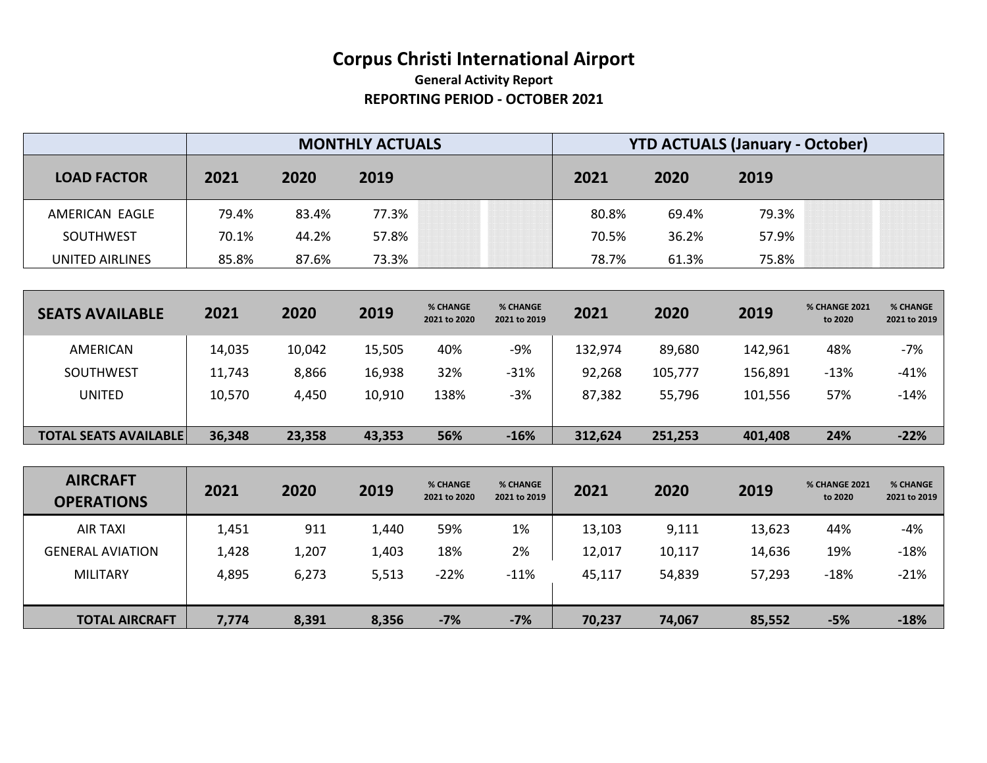## **Corpus Christi International Airport General Activity Report**

## **REPORTING PERIOD - OCTOBER 2021**

|                    |       |       | <b>MONTHLY ACTUALS</b> | <b>YTD ACTUALS (January - October)</b> |       |       |  |  |
|--------------------|-------|-------|------------------------|----------------------------------------|-------|-------|--|--|
| <b>LOAD FACTOR</b> | 2021  | 2020  | 2019                   | 2021                                   | 2020  | 2019  |  |  |
| AMERICAN EAGLE     | 79.4% | 83.4% | 77.3%                  | 80.8%                                  | 69.4% | 79.3% |  |  |
| SOUTHWEST          | 70.1% | 44.2% | 57.8%                  | 70.5%                                  | 36.2% | 57.9% |  |  |
| UNITED AIRLINES    | 85.8% | 87.6% | 73.3%                  | 78.7%                                  | 61.3% | 75.8% |  |  |

| <b>SEATS AVAILABLE</b>       | 2021   | 2020   | 2019   | <b>% CHANGE</b><br>2021 to 2020 | % CHANGE<br>2021 to 2019 | 2021    | 2020    | 2019    | <b>% CHANGE 2021</b><br>to 2020 | <b>% CHANGE</b><br>2021 to 2019 |
|------------------------------|--------|--------|--------|---------------------------------|--------------------------|---------|---------|---------|---------------------------------|---------------------------------|
| AMERICAN                     | 14,035 | 10,042 | 15,505 | 40%                             | -9%                      | 132,974 | 89,680  | 142,961 | 48%                             | -7%                             |
| SOUTHWEST                    | 11,743 | 8,866  | 16,938 | 32%                             | $-31%$                   | 92,268  | 105,777 | 156,891 | $-13%$                          | $-41%$                          |
| <b>UNITED</b>                | 10,570 | 4,450  | 10,910 | 138%                            | $-3%$                    | 87,382  | 55,796  | 101,556 | 57%                             | $-14%$                          |
|                              |        |        |        |                                 |                          |         |         |         |                                 |                                 |
| <b>TOTAL SEATS AVAILABLE</b> | 36,348 | 23,358 | 43,353 | 56%                             | $-16%$                   | 312,624 | 251,253 | 401,408 | 24%                             | $-22%$                          |

| <b>AIRCRAFT</b><br><b>OPERATIONS</b> | 2021  | 2020  | 2019  | % CHANGE<br>2021 to 2020 | % CHANGE<br>2021 to 2019 | 2021   | 2020   | 2019   | <b>% CHANGE 2021</b><br>to 2020 | % CHANGE<br>2021 to 2019 |
|--------------------------------------|-------|-------|-------|--------------------------|--------------------------|--------|--------|--------|---------------------------------|--------------------------|
| <b>AIR TAXI</b>                      | 1,451 | 911   | 1,440 | 59%                      | 1%                       | 13,103 | 9,111  | 13,623 | 44%                             | $-4%$                    |
| <b>GENERAL AVIATION</b>              | 1,428 | 1,207 | 1,403 | 18%                      | 2%                       | 12,017 | 10,117 | 14,636 | 19%                             | $-18%$                   |
| <b>MILITARY</b>                      | 4,895 | 6,273 | 5,513 | $-22%$                   | $-11%$                   | 45,117 | 54,839 | 57,293 | $-18%$                          | $-21%$                   |
|                                      |       |       |       |                          |                          |        |        |        |                                 |                          |
| <b>TOTAL AIRCRAFT</b>                | 7,774 | 8,391 | 8,356 | $-7%$                    | $-7%$                    | 70,237 | 74,067 | 85,552 | $-5%$                           | $-18%$                   |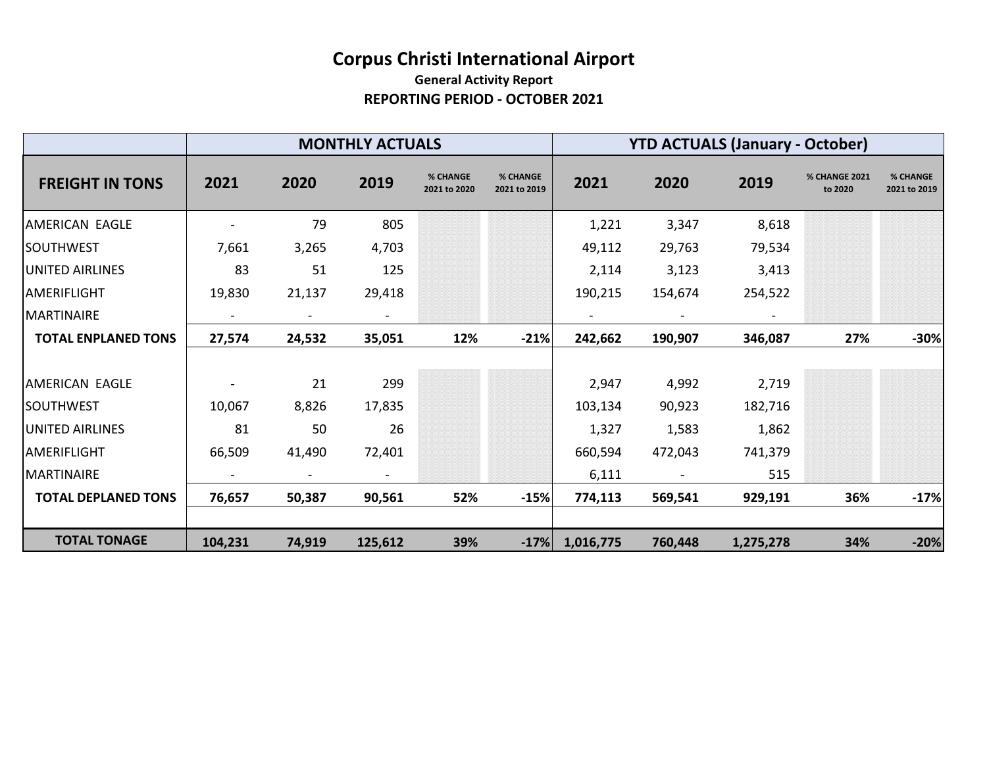|                            |         |                          | <b>MONTHLY ACTUALS</b>   |                                 |                          | <b>YTD ACTUALS (January - October)</b> |         |           |                          |                          |  |
|----------------------------|---------|--------------------------|--------------------------|---------------------------------|--------------------------|----------------------------------------|---------|-----------|--------------------------|--------------------------|--|
| <b>FREIGHT IN TONS</b>     | 2021    | 2020                     | 2019                     | <b>% CHANGE</b><br>2021 to 2020 | % CHANGE<br>2021 to 2019 | 2021                                   | 2020    | 2019      | % CHANGE 2021<br>to 2020 | % CHANGE<br>2021 to 2019 |  |
| AMERICAN EAGLE             |         | 79                       | 805                      |                                 |                          | 1,221                                  | 3,347   | 8,618     |                          |                          |  |
| <b>SOUTHWEST</b>           | 7,661   | 3,265                    | 4,703                    |                                 |                          | 49,112                                 | 29,763  | 79,534    |                          |                          |  |
| <b>JUNITED AIRLINES</b>    | 83      | 51                       | 125                      |                                 |                          | 2,114                                  | 3,123   | 3,413     |                          |                          |  |
| <b>AMERIFLIGHT</b>         | 19,830  | 21,137                   | 29,418                   |                                 |                          | 190,215                                | 154,674 | 254,522   |                          |                          |  |
| <b>MARTINAIRE</b>          |         |                          |                          |                                 |                          |                                        |         |           |                          |                          |  |
| <b>TOTAL ENPLANED TONS</b> | 27,574  | 24,532                   | 35,051                   | 12%                             | $-21%$                   | 242,662                                | 190,907 | 346,087   | 27%                      | $-30%$                   |  |
|                            |         |                          |                          |                                 |                          |                                        |         |           |                          |                          |  |
| <b>AMERICAN EAGLE</b>      |         | 21                       | 299                      |                                 |                          | 2,947                                  | 4,992   | 2,719     |                          |                          |  |
| <b>SOUTHWEST</b>           | 10,067  | 8,826                    | 17,835                   |                                 |                          | 103,134                                | 90,923  | 182,716   |                          |                          |  |
| <b>UNITED AIRLINES</b>     | 81      | 50                       | 26                       |                                 |                          | 1,327                                  | 1,583   | 1,862     |                          |                          |  |
| <b>IAMERIFLIGHT</b>        | 66,509  | 41,490                   | 72,401                   |                                 |                          | 660,594                                | 472,043 | 741,379   |                          |                          |  |
| <b>IMARTINAIRE</b>         |         | $\overline{\phantom{a}}$ | $\overline{\phantom{a}}$ |                                 |                          | 6,111                                  |         | 515       |                          |                          |  |
| <b>TOTAL DEPLANED TONS</b> | 76,657  | 50,387                   | 90,561                   | 52%                             | $-15%$                   | 774,113                                | 569,541 | 929,191   | 36%                      | $-17%$                   |  |
|                            |         |                          |                          |                                 |                          |                                        |         |           |                          |                          |  |
| <b>TOTAL TONAGE</b>        | 104,231 | 74,919                   | 125,612                  | 39%                             | $-17%$                   | 1,016,775                              | 760,448 | 1,275,278 | 34%                      | $-20%$                   |  |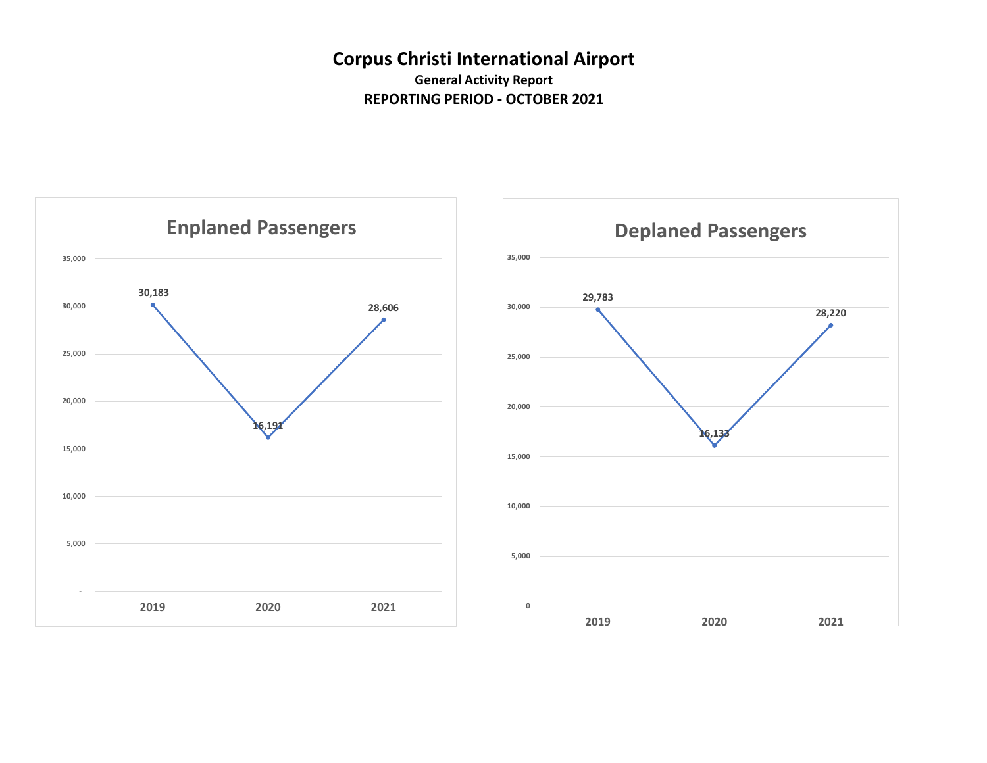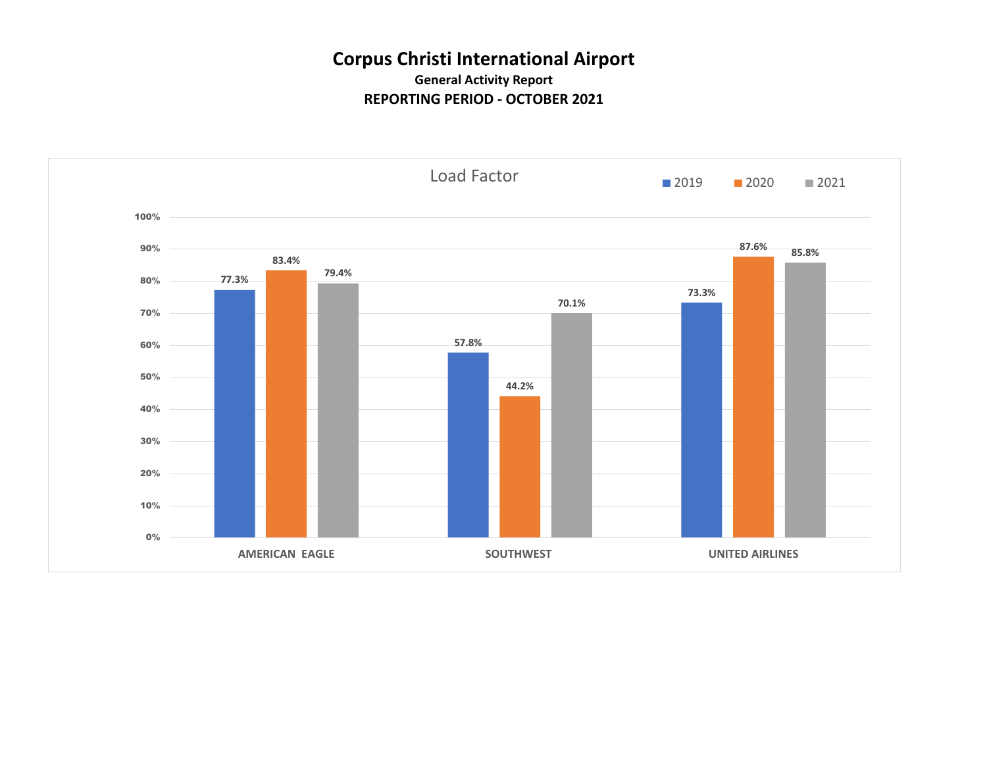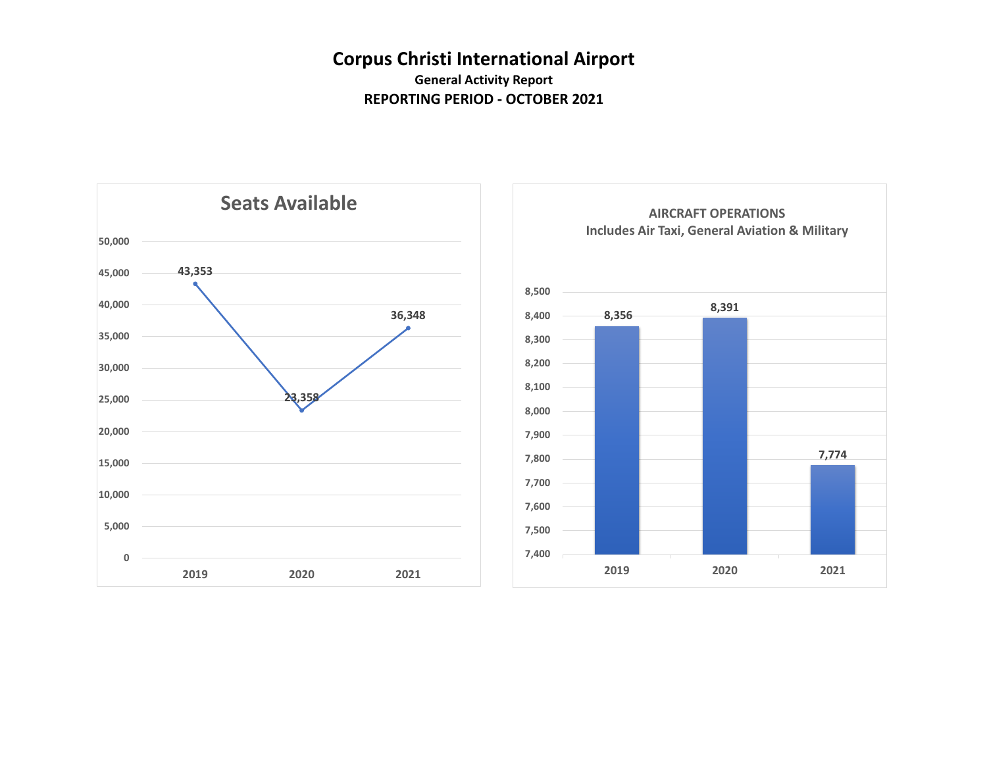**7,774** 

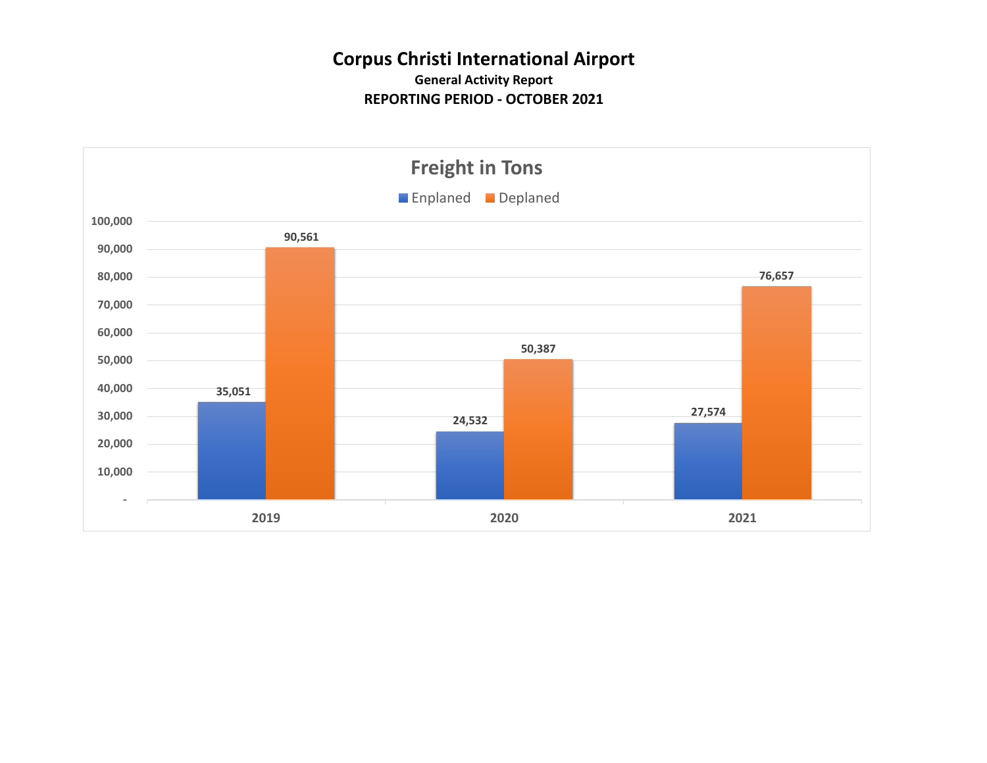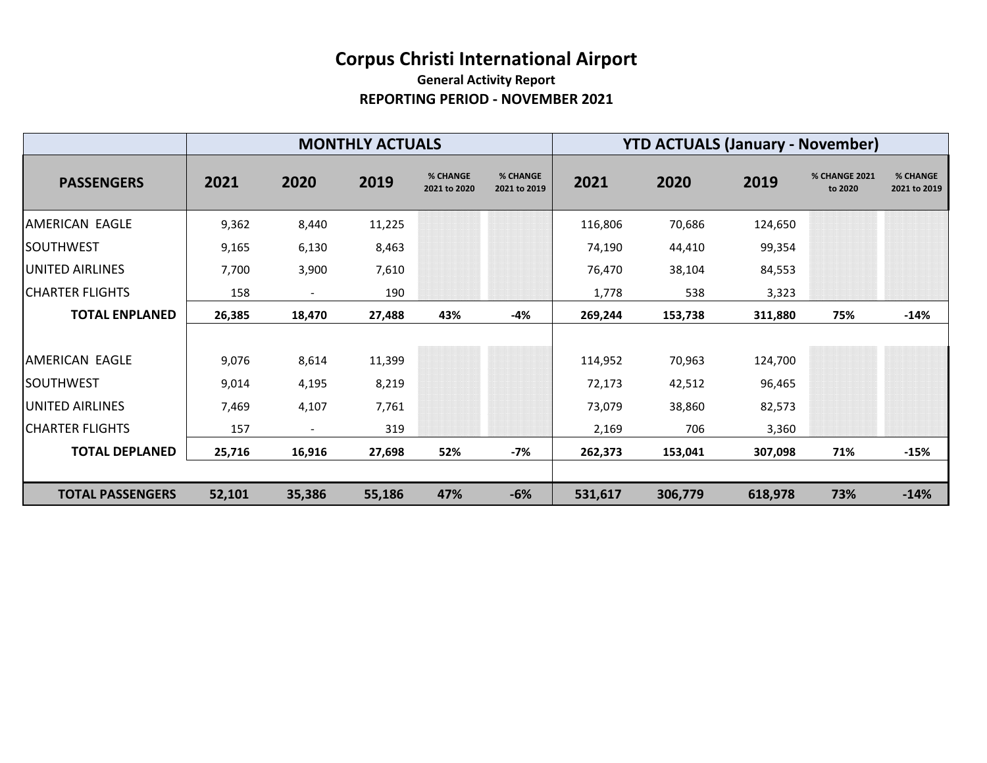|                         |        |                          | <b>MONTHLY ACTUALS</b> |                                 |                                 | <b>YTD ACTUALS (January - November)</b> |         |         |                                 |                                 |
|-------------------------|--------|--------------------------|------------------------|---------------------------------|---------------------------------|-----------------------------------------|---------|---------|---------------------------------|---------------------------------|
| <b>PASSENGERS</b>       | 2021   | 2020                     | 2019                   | <b>% CHANGE</b><br>2021 to 2020 | <b>% CHANGE</b><br>2021 to 2019 | 2021                                    | 2020    | 2019    | <b>% CHANGE 2021</b><br>to 2020 | <b>% CHANGE</b><br>2021 to 2019 |
| <b>AMERICAN EAGLE</b>   | 9,362  | 8,440                    | 11,225                 |                                 |                                 | 116,806                                 | 70,686  | 124,650 |                                 |                                 |
| <b>SOUTHWEST</b>        | 9,165  | 6,130                    | 8,463                  |                                 |                                 | 74,190                                  | 44,410  | 99,354  |                                 |                                 |
| UNITED AIRLINES         | 7,700  | 3,900                    | 7,610                  |                                 |                                 | 76,470                                  | 38,104  | 84,553  |                                 |                                 |
| <b>CHARTER FLIGHTS</b>  | 158    | $\overline{\phantom{a}}$ | 190                    |                                 |                                 | 1,778                                   | 538     | 3,323   |                                 |                                 |
| <b>TOTAL ENPLANED</b>   | 26,385 | 18,470                   | 27,488                 | 43%                             | -4%                             | 269,244                                 | 153,738 | 311,880 | 75%                             | $-14%$                          |
|                         |        |                          |                        |                                 |                                 |                                         |         |         |                                 |                                 |
| <b>AMERICAN EAGLE</b>   | 9,076  | 8,614                    | 11,399                 |                                 |                                 | 114,952                                 | 70,963  | 124,700 |                                 |                                 |
| <b>SOUTHWEST</b>        | 9,014  | 4,195                    | 8,219                  |                                 |                                 | 72,173                                  | 42,512  | 96,465  |                                 |                                 |
| UNITED AIRLINES         | 7,469  | 4,107                    | 7,761                  |                                 |                                 | 73,079                                  | 38,860  | 82,573  |                                 |                                 |
| <b>CHARTER FLIGHTS</b>  | 157    | $\blacksquare$           | 319                    |                                 |                                 | 2,169                                   | 706     | 3,360   |                                 |                                 |
| <b>TOTAL DEPLANED</b>   | 25,716 | 16,916                   | 27,698                 | 52%                             | -7%                             | 262,373                                 | 153,041 | 307,098 | 71%                             | $-15%$                          |
|                         |        |                          |                        |                                 |                                 |                                         |         |         |                                 |                                 |
| <b>TOTAL PASSENGERS</b> | 52,101 | 35,386                   | 55,186                 | 47%                             | $-6%$                           | 531,617                                 | 306,779 | 618,978 | 73%                             | $-14%$                          |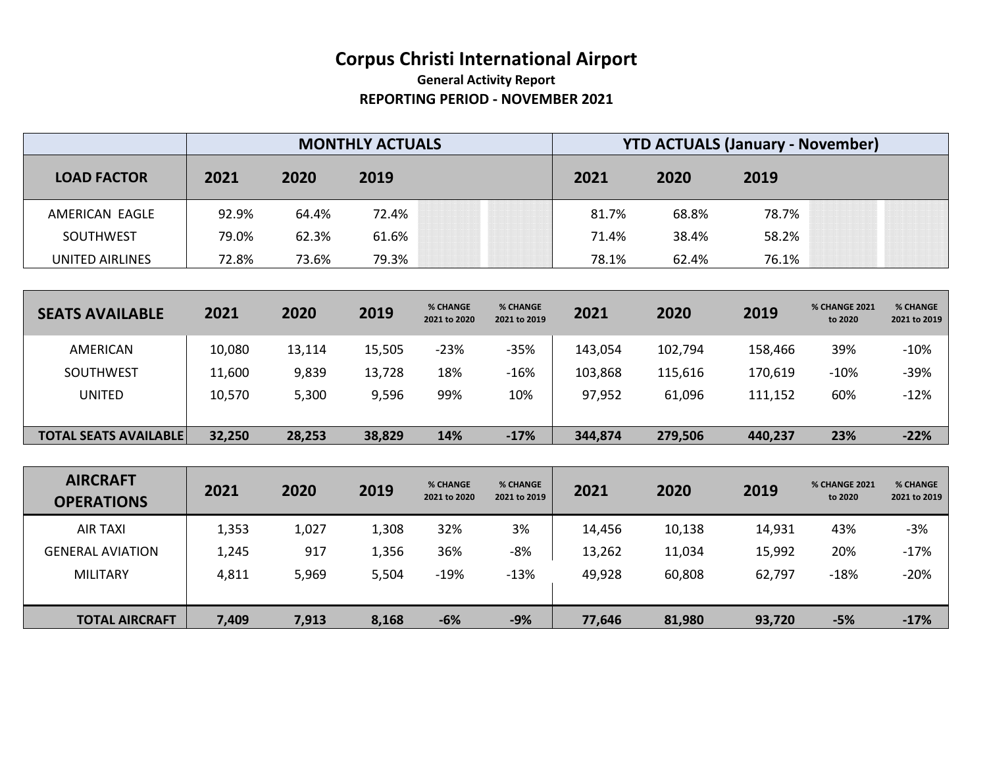|                    |       |       | <b>MONTHLY ACTUALS</b> | <b>YTD ACTUALS (January - November)</b> |       |       |  |
|--------------------|-------|-------|------------------------|-----------------------------------------|-------|-------|--|
| <b>LOAD FACTOR</b> | 2021  | 2020  | 2019                   | 2021                                    | 2020  | 2019  |  |
| AMERICAN EAGLE     | 92.9% | 64.4% | 72.4%                  | 81.7%                                   | 68.8% | 78.7% |  |
| SOUTHWEST          | 79.0% | 62.3% | 61.6%                  | 71.4%                                   | 38.4% | 58.2% |  |
| UNITED AIRLINES    | 72.8% | 73.6% | 79.3%                  | 78.1%                                   | 62.4% | 76.1% |  |

| <b>SEATS AVAILABLE</b>       | 2021   | 2020   | 2019   | <b>% CHANGE</b><br>2021 to 2020 | % CHANGE<br>2021 to 2019 | 2021    | 2020    | 2019    | <b>% CHANGE 2021</b><br>to 2020 | <b>% CHANGE</b><br>2021 to 2019 |
|------------------------------|--------|--------|--------|---------------------------------|--------------------------|---------|---------|---------|---------------------------------|---------------------------------|
| AMERICAN                     | 10,080 | 13,114 | 15,505 | $-23%$                          | $-35%$                   | 143,054 | 102,794 | 158,466 | 39%                             | $-10%$                          |
| SOUTHWEST                    | 11,600 | 9,839  | 13,728 | 18%                             | $-16%$                   | 103,868 | 115,616 | 170,619 | $-10%$                          | $-39%$                          |
| <b>UNITED</b>                | 10,570 | 5,300  | 9,596  | 99%                             | 10%                      | 97,952  | 61,096  | 111,152 | 60%                             | $-12%$                          |
|                              |        |        |        |                                 |                          |         |         |         |                                 |                                 |
| <b>TOTAL SEATS AVAILABLE</b> | 32,250 | 28,253 | 38,829 | 14%                             | $-17%$                   | 344,874 | 279,506 | 440,237 | 23%                             | $-22%$                          |

| <b>AIRCRAFT</b><br><b>OPERATIONS</b> | 2021  | 2020  | 2019  | % CHANGE<br>2021 to 2020 | % CHANGE<br>2021 to 2019 | 2021   | 2020   | 2019   | <b>% CHANGE 2021</b><br>to 2020 | <b>% CHANGE</b><br>2021 to 2019 |
|--------------------------------------|-------|-------|-------|--------------------------|--------------------------|--------|--------|--------|---------------------------------|---------------------------------|
| <b>AIR TAXI</b>                      | 1,353 | 1,027 | 1,308 | 32%                      | 3%                       | 14,456 | 10,138 | 14,931 | 43%                             | $-3%$                           |
| <b>GENERAL AVIATION</b>              | 1,245 | 917   | 1,356 | 36%                      | -8%                      | 13,262 | 11,034 | 15,992 | 20%                             | $-17%$                          |
| <b>MILITARY</b>                      | 4,811 | 5,969 | 5,504 | $-19%$                   | $-13%$                   | 49,928 | 60,808 | 62,797 | $-18%$                          | $-20%$                          |
|                                      |       |       |       |                          |                          |        |        |        |                                 |                                 |
| <b>TOTAL AIRCRAFT</b>                | 7,409 | 7,913 | 8,168 | $-6%$                    | $-9%$                    | 77,646 | 81,980 | 93,720 | $-5%$                           | $-17%$                          |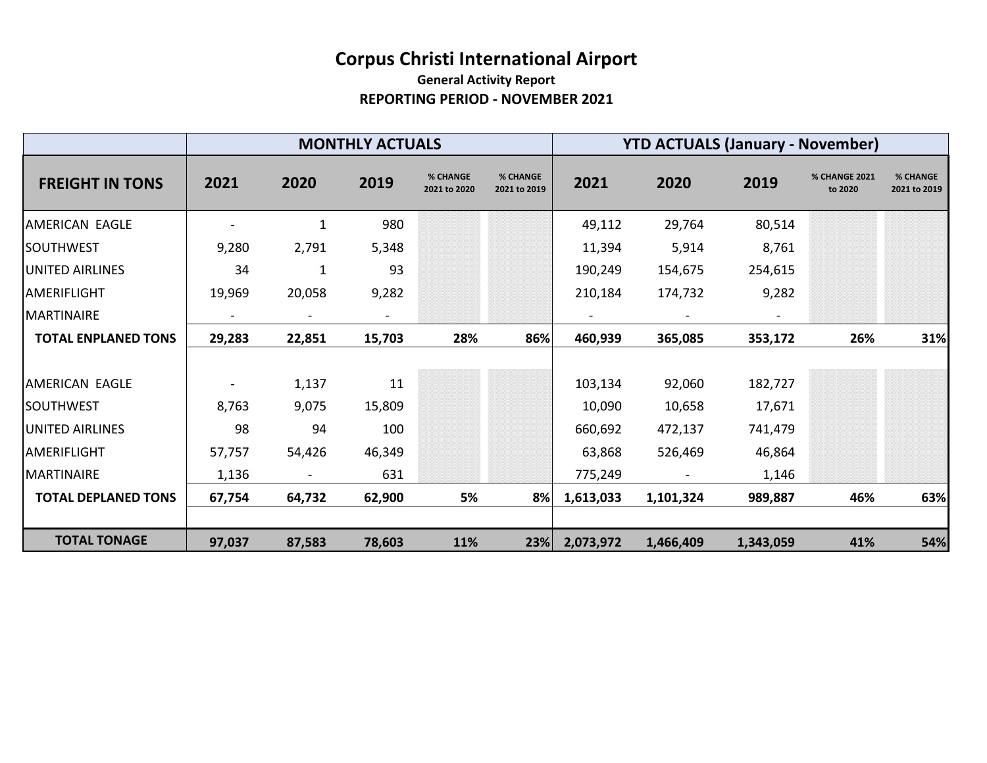|                            |        |              | <b>MONTHLY ACTUALS</b> |                                 |                          | <b>YTD ACTUALS (January - November)</b> |           |           |                                 |                                 |  |
|----------------------------|--------|--------------|------------------------|---------------------------------|--------------------------|-----------------------------------------|-----------|-----------|---------------------------------|---------------------------------|--|
| <b>FREIGHT IN TONS</b>     | 2021   | 2020         | 2019                   | <b>% CHANGE</b><br>2021 to 2020 | % CHANGE<br>2021 to 2019 | 2021                                    | 2020      | 2019      | <b>% CHANGE 2021</b><br>to 2020 | <b>% CHANGE</b><br>2021 to 2019 |  |
| AMERICAN EAGLE             |        | $\mathbf{1}$ | 980                    |                                 |                          | 49,112                                  | 29,764    | 80,514    |                                 |                                 |  |
| <b>SOUTHWEST</b>           | 9,280  | 2,791        | 5,348                  |                                 |                          | 11,394                                  | 5,914     | 8,761     |                                 |                                 |  |
| UNITED AIRLINES            | 34     | 1            | 93                     |                                 |                          | 190,249                                 | 154,675   | 254,615   |                                 |                                 |  |
| AMERIFLIGHT                | 19,969 | 20,058       | 9,282                  |                                 |                          | 210,184                                 | 174,732   | 9,282     |                                 |                                 |  |
| <b>MARTINAIRE</b>          |        |              | $\blacksquare$         |                                 |                          |                                         |           |           |                                 |                                 |  |
| <b>TOTAL ENPLANED TONS</b> | 29,283 | 22,851       | 15,703                 | 28%                             | 86%                      | 460,939                                 | 365,085   | 353,172   | 26%                             | 31%                             |  |
| <b>AMERICAN EAGLE</b>      |        | 1,137        | 11                     |                                 |                          | 103,134                                 | 92,060    | 182,727   |                                 |                                 |  |
| <b>SOUTHWEST</b>           | 8,763  | 9,075        | 15,809                 |                                 |                          | 10,090                                  | 10,658    | 17,671    |                                 |                                 |  |
| UNITED AIRLINES            | 98     | 94           | 100                    |                                 |                          | 660,692                                 | 472,137   | 741,479   |                                 |                                 |  |
| AMERIFLIGHT                | 57,757 | 54,426       | 46,349                 |                                 |                          | 63,868                                  | 526,469   | 46,864    |                                 |                                 |  |
| IMARTINAIRE                | 1,136  |              | 631                    |                                 |                          | 775,249                                 |           | 1,146     |                                 |                                 |  |
| <b>TOTAL DEPLANED TONS</b> | 67,754 | 64,732       | 62,900                 | 5%                              | 8%                       | 1,613,033                               | 1,101,324 | 989,887   | 46%                             | 63%                             |  |
| <b>TOTAL TONAGE</b>        | 97,037 | 87,583       | 78,603                 | 11%                             | 23%                      | 2,073,972                               | 1,466,409 | 1,343,059 | 41%                             | 54%                             |  |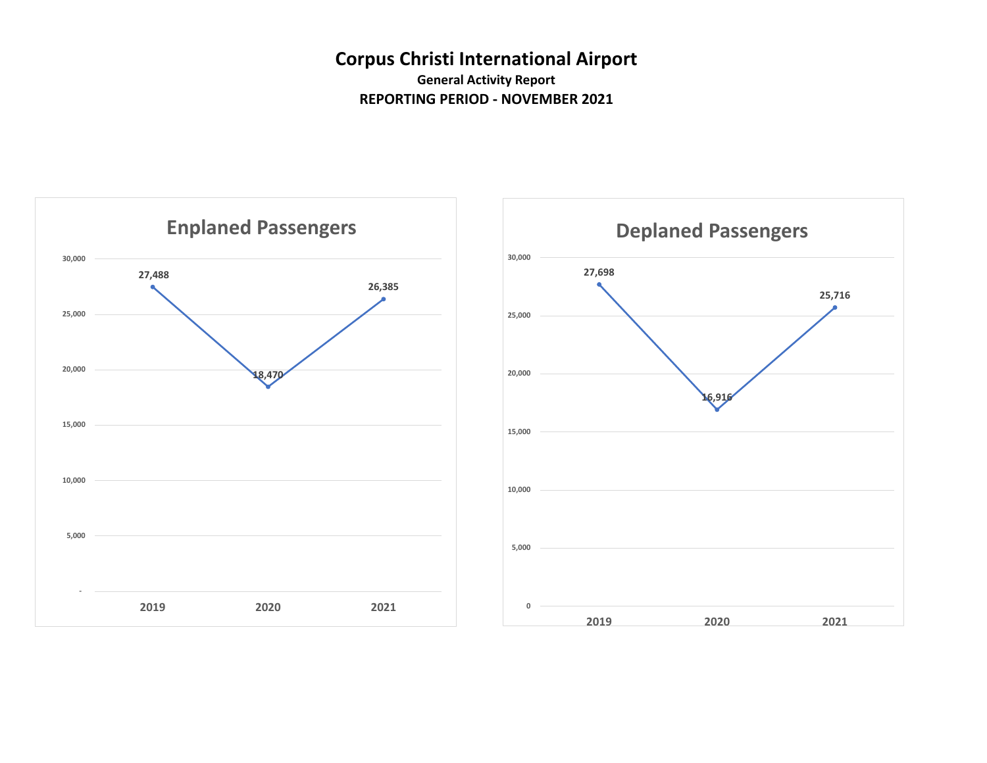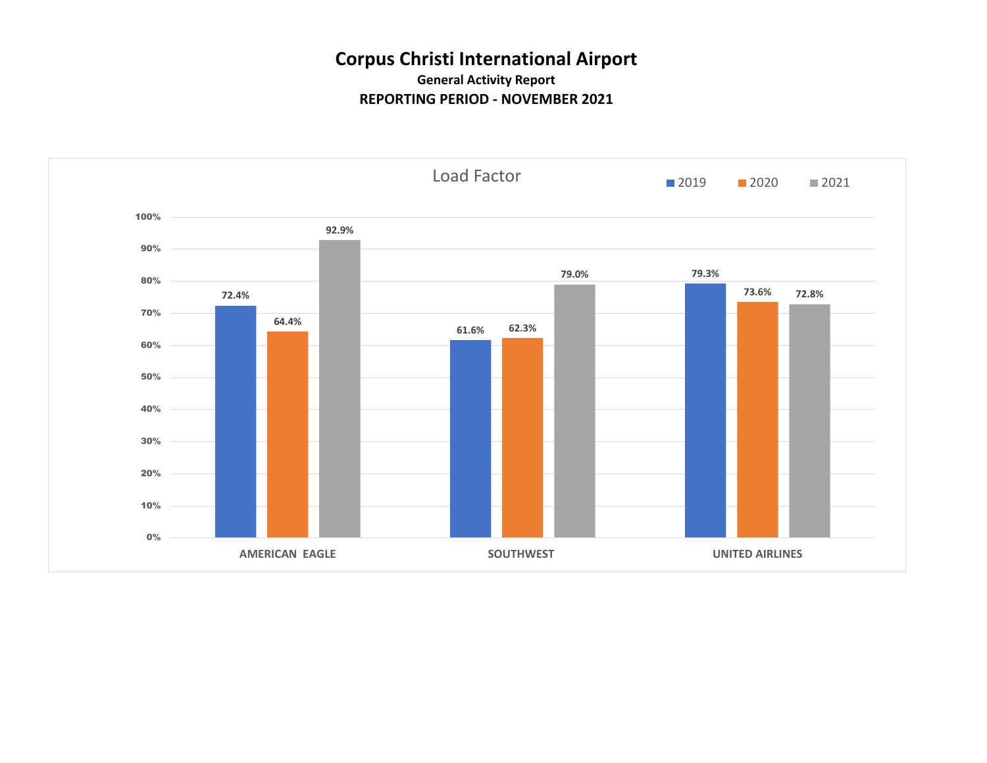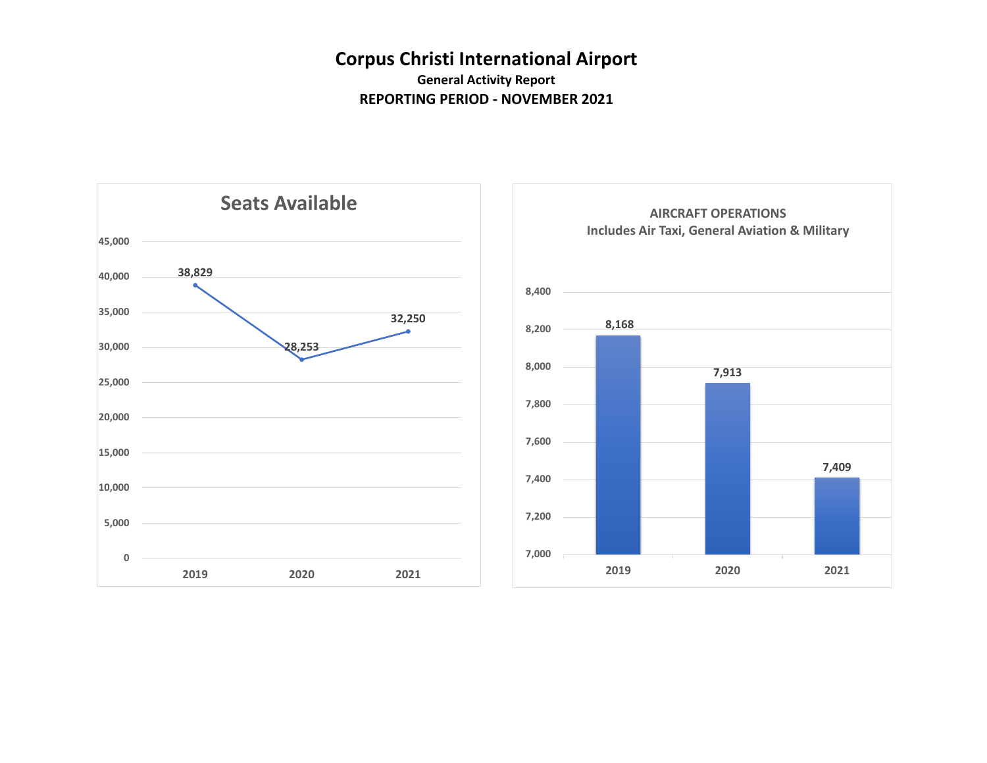

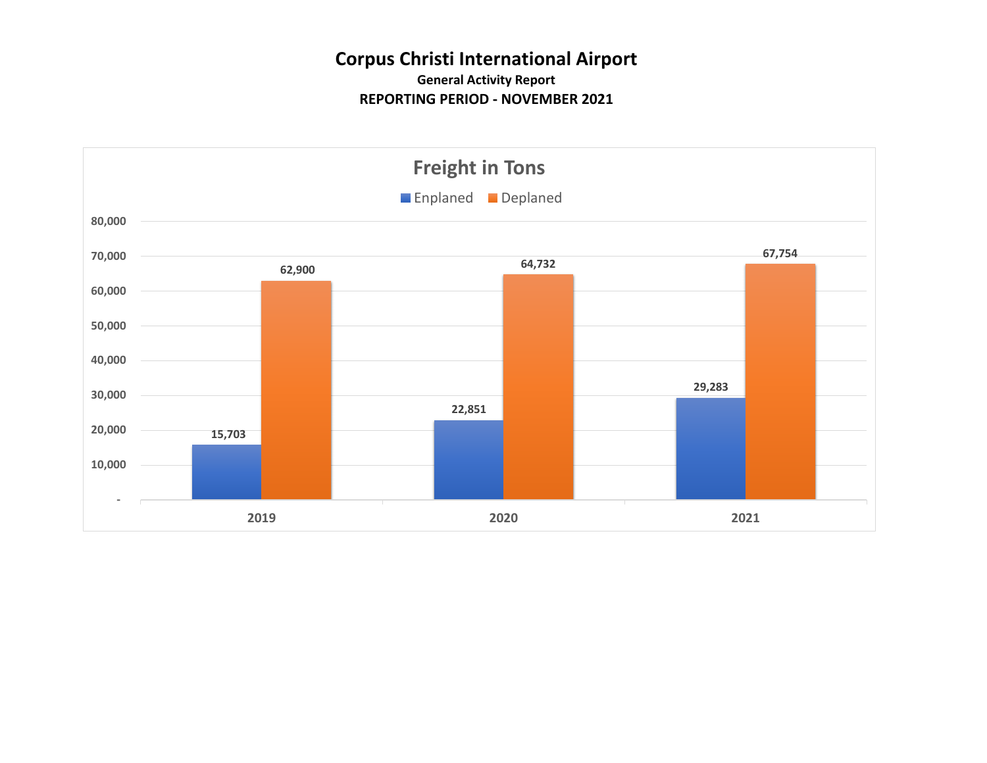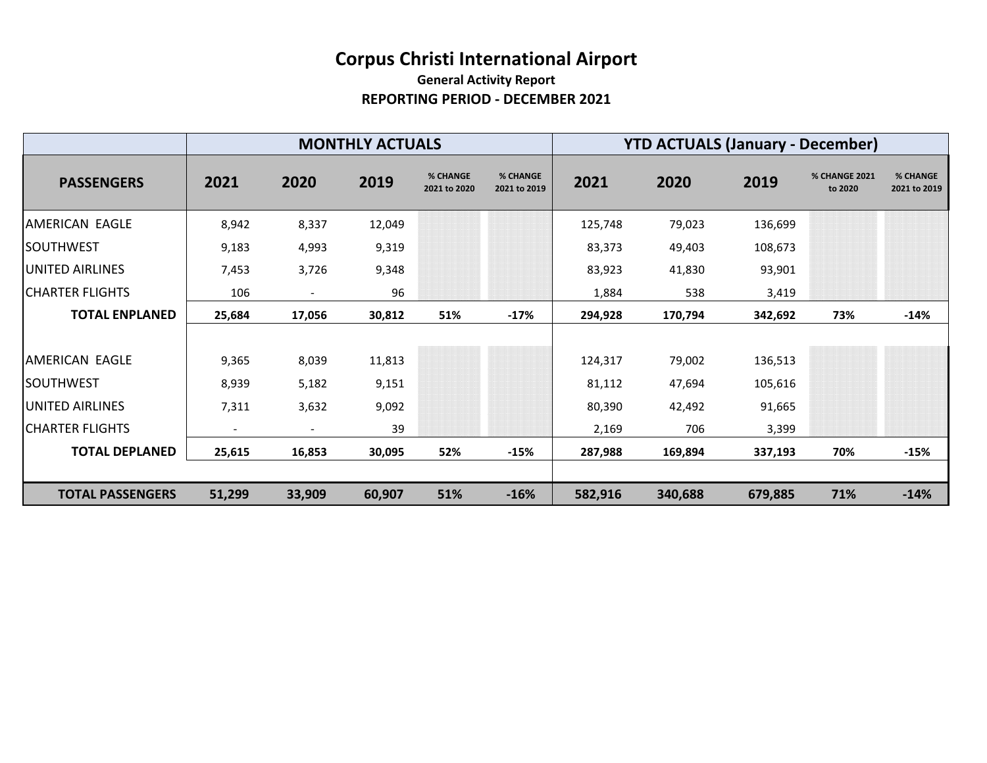|                         |        |                          | <b>MONTHLY ACTUALS</b> |                                 |                                 | <b>YTD ACTUALS (January - December)</b> |         |         |                                 |                                 |
|-------------------------|--------|--------------------------|------------------------|---------------------------------|---------------------------------|-----------------------------------------|---------|---------|---------------------------------|---------------------------------|
| <b>PASSENGERS</b>       | 2021   | 2020                     | 2019                   | <b>% CHANGE</b><br>2021 to 2020 | <b>% CHANGE</b><br>2021 to 2019 | 2021                                    | 2020    | 2019    | <b>% CHANGE 2021</b><br>to 2020 | <b>% CHANGE</b><br>2021 to 2019 |
| <b>AMERICAN EAGLE</b>   | 8,942  | 8,337                    | 12,049                 |                                 |                                 | 125,748                                 | 79,023  | 136,699 |                                 |                                 |
| <b>SOUTHWEST</b>        | 9,183  | 4,993                    | 9,319                  |                                 |                                 | 83,373                                  | 49,403  | 108,673 |                                 |                                 |
| UNITED AIRLINES         | 7,453  | 3,726                    | 9,348                  |                                 |                                 | 83,923                                  | 41,830  | 93,901  |                                 |                                 |
| <b>CHARTER FLIGHTS</b>  | 106    | $\overline{\phantom{a}}$ | 96                     |                                 |                                 | 1,884                                   | 538     | 3,419   |                                 |                                 |
| <b>TOTAL ENPLANED</b>   | 25,684 | 17,056                   | 30,812                 | 51%                             | $-17%$                          | 294,928                                 | 170,794 | 342,692 | 73%                             | $-14%$                          |
|                         |        |                          |                        |                                 |                                 |                                         |         |         |                                 |                                 |
| <b>AMERICAN EAGLE</b>   | 9,365  | 8,039                    | 11,813                 |                                 |                                 | 124,317                                 | 79,002  | 136,513 |                                 |                                 |
| <b>SOUTHWEST</b>        | 8,939  | 5,182                    | 9,151                  |                                 |                                 | 81,112                                  | 47,694  | 105,616 |                                 |                                 |
| UNITED AIRLINES         | 7,311  | 3,632                    | 9,092                  |                                 |                                 | 80,390                                  | 42,492  | 91,665  |                                 |                                 |
| <b>CHARTER FLIGHTS</b>  | ٠      | $\overline{\phantom{a}}$ | 39                     |                                 |                                 | 2,169                                   | 706     | 3,399   |                                 |                                 |
| <b>TOTAL DEPLANED</b>   | 25,615 | 16,853                   | 30,095                 | 52%                             | $-15%$                          | 287,988                                 | 169,894 | 337,193 | 70%                             | $-15%$                          |
|                         |        |                          |                        |                                 |                                 |                                         |         |         |                                 |                                 |
| <b>TOTAL PASSENGERS</b> | 51,299 | 33,909                   | 60,907                 | 51%                             | $-16%$                          | 582,916                                 | 340,688 | 679,885 | 71%                             | $-14%$                          |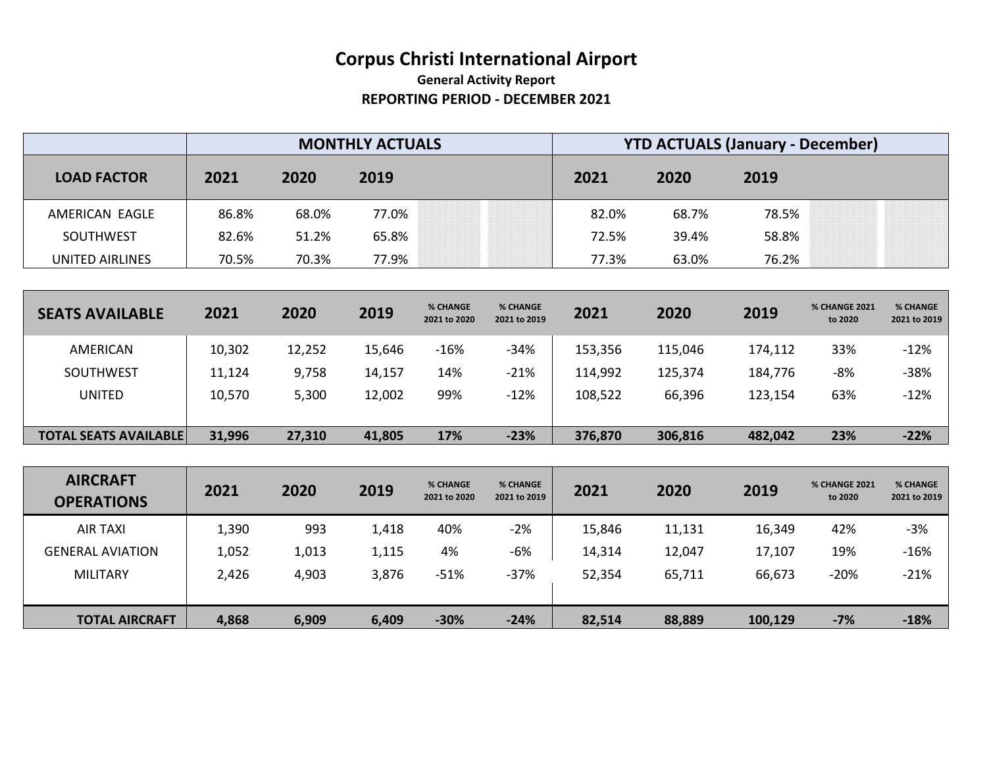|                    |       |       | <b>MONTHLY ACTUALS</b> | <b>YTD ACTUALS (January - December)</b> |       |       |  |
|--------------------|-------|-------|------------------------|-----------------------------------------|-------|-------|--|
| <b>LOAD FACTOR</b> | 2021  | 2020  | 2019                   | 2021                                    | 2020  | 2019  |  |
| AMERICAN EAGLE     | 86.8% | 68.0% | 77.0%                  | 82.0%                                   | 68.7% | 78.5% |  |
| SOUTHWEST          | 82.6% | 51.2% | 65.8%                  | 72.5%                                   | 39.4% | 58.8% |  |
| UNITED AIRLINES    | 70.5% | 70.3% | 77.9%                  | 77.3%                                   | 63.0% | 76.2% |  |

| <b>SEATS AVAILABLE</b>       | 2021   | 2020   | 2019   | % CHANGE<br>2021 to 2020 | % CHANGE<br>2021 to 2019 | 2021    | 2020    | 2019    | <b>% CHANGE 2021</b><br>to 2020 | <b>% CHANGE</b><br>2021 to 2019 |
|------------------------------|--------|--------|--------|--------------------------|--------------------------|---------|---------|---------|---------------------------------|---------------------------------|
| AMERICAN                     | 10,302 | 12,252 | 15,646 | $-16%$                   | -34%                     | 153,356 | 115,046 | 174,112 | 33%                             | $-12%$                          |
| SOUTHWEST                    | 11,124 | 9,758  | 14,157 | 14%                      | $-21%$                   | 114,992 | 125,374 | 184,776 | -8%                             | $-38%$                          |
| <b>UNITED</b>                | 10,570 | 5,300  | 12,002 | 99%                      | $-12%$                   | 108,522 | 66,396  | 123,154 | 63%                             | $-12%$                          |
|                              |        |        |        |                          |                          |         |         |         |                                 |                                 |
| <b>TOTAL SEATS AVAILABLE</b> | 31,996 | 27,310 | 41,805 | 17%                      | $-23%$                   | 376,870 | 306,816 | 482,042 | 23%                             | $-22%$                          |

| <b>AIRCRAFT</b><br><b>OPERATIONS</b> | 2021  | 2020  | 2019  | <b>% CHANGE</b><br>2021 to 2020 | % CHANGE<br>2021 to 2019 | 2021   | 2020   | 2019    | <b>% CHANGE 2021</b><br>to 2020 | <b>% CHANGE</b><br>2021 to 2019 |
|--------------------------------------|-------|-------|-------|---------------------------------|--------------------------|--------|--------|---------|---------------------------------|---------------------------------|
| <b>AIR TAXI</b>                      | 1,390 | 993   | 1,418 | 40%                             | $-2%$                    | 15,846 | 11,131 | 16,349  | 42%                             | $-3%$                           |
| <b>GENERAL AVIATION</b>              | 1,052 | 1,013 | 1,115 | 4%                              | -6%                      | 14,314 | 12,047 | 17,107  | 19%                             | $-16%$                          |
| <b>MILITARY</b>                      | 2,426 | 4,903 | 3,876 | $-51%$                          | $-37%$                   | 52,354 | 65,711 | 66,673  | $-20%$                          | $-21%$                          |
|                                      |       |       |       |                                 |                          |        |        |         |                                 |                                 |
| <b>TOTAL AIRCRAFT</b>                | 4,868 | 6,909 | 6,409 | $-30%$                          | $-24%$                   | 82,514 | 88,889 | 100,129 | $-7%$                           | $-18%$                          |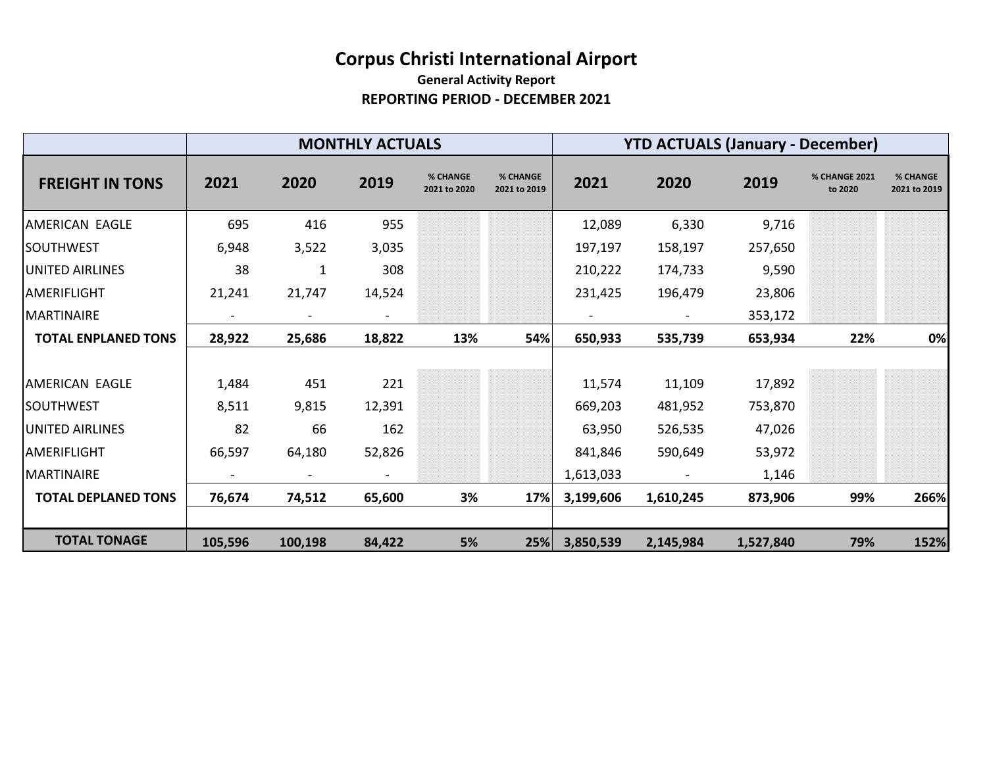|                            |         |         | <b>MONTHLY ACTUALS</b> |                          |                          | <b>YTD ACTUALS (January - December)</b> |           |           |                                 |                          |  |
|----------------------------|---------|---------|------------------------|--------------------------|--------------------------|-----------------------------------------|-----------|-----------|---------------------------------|--------------------------|--|
| <b>FREIGHT IN TONS</b>     | 2021    | 2020    | 2019                   | % CHANGE<br>2021 to 2020 | % CHANGE<br>2021 to 2019 | 2021                                    | 2020      | 2019      | <b>% CHANGE 2021</b><br>to 2020 | % CHANGE<br>2021 to 2019 |  |
| AMERICAN EAGLE             | 695     | 416     | 955                    |                          |                          | 12,089                                  | 6,330     | 9,716     |                                 |                          |  |
| <b>SOUTHWEST</b>           | 6,948   | 3,522   | 3,035                  |                          |                          | 197,197                                 | 158,197   | 257,650   |                                 |                          |  |
| UNITED AIRLINES            | 38      | 1       | 308                    |                          |                          | 210,222                                 | 174,733   | 9,590     |                                 |                          |  |
| <b>AMERIFLIGHT</b>         | 21,241  | 21,747  | 14,524                 |                          |                          | 231,425                                 | 196,479   | 23,806    |                                 |                          |  |
| <b>MARTINAIRE</b>          |         |         |                        |                          |                          |                                         |           | 353,172   |                                 |                          |  |
| <b>TOTAL ENPLANED TONS</b> | 28,922  | 25,686  | 18,822                 | 13%                      | 54%                      | 650,933                                 | 535,739   | 653,934   | 22%                             | 0%                       |  |
|                            |         |         |                        |                          |                          |                                         |           |           |                                 |                          |  |
| <b>AMERICAN EAGLE</b>      | 1,484   | 451     | 221                    |                          |                          | 11,574                                  | 11,109    | 17,892    |                                 |                          |  |
| <b>SOUTHWEST</b>           | 8,511   | 9,815   | 12,391                 |                          |                          | 669,203                                 | 481,952   | 753,870   |                                 |                          |  |
| <b>JUNITED AIRLINES</b>    | 82      | 66      | 162                    |                          |                          | 63,950                                  | 526,535   | 47,026    |                                 |                          |  |
| AMERIFLIGHT                | 66,597  | 64,180  | 52,826                 |                          |                          | 841,846                                 | 590,649   | 53,972    |                                 |                          |  |
| <b>MARTINAIRE</b>          |         |         |                        |                          |                          | 1,613,033                               |           | 1,146     |                                 |                          |  |
| <b>TOTAL DEPLANED TONS</b> | 76,674  | 74,512  | 65,600                 | 3%                       | 17%                      | 3,199,606                               | 1,610,245 | 873,906   | 99%                             | 266%                     |  |
|                            |         |         |                        |                          |                          |                                         |           |           |                                 |                          |  |
| <b>TOTAL TONAGE</b>        | 105,596 | 100,198 | 84,422                 | 5%                       | 25%                      | 3,850,539                               | 2,145,984 | 1,527,840 | 79%                             | 152%                     |  |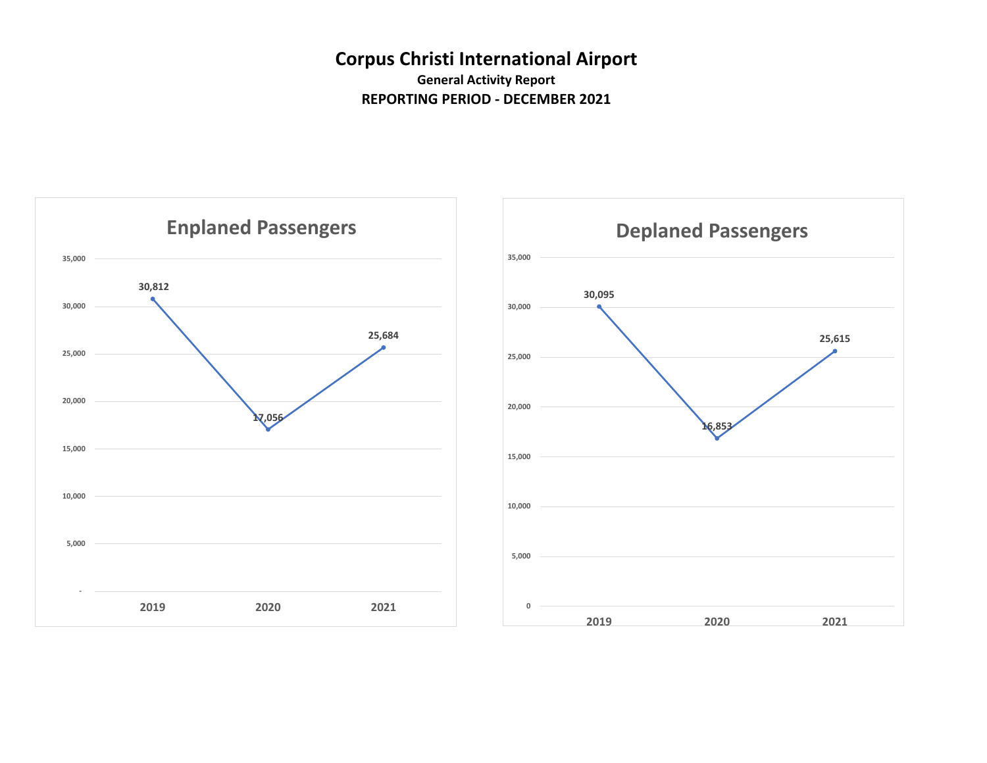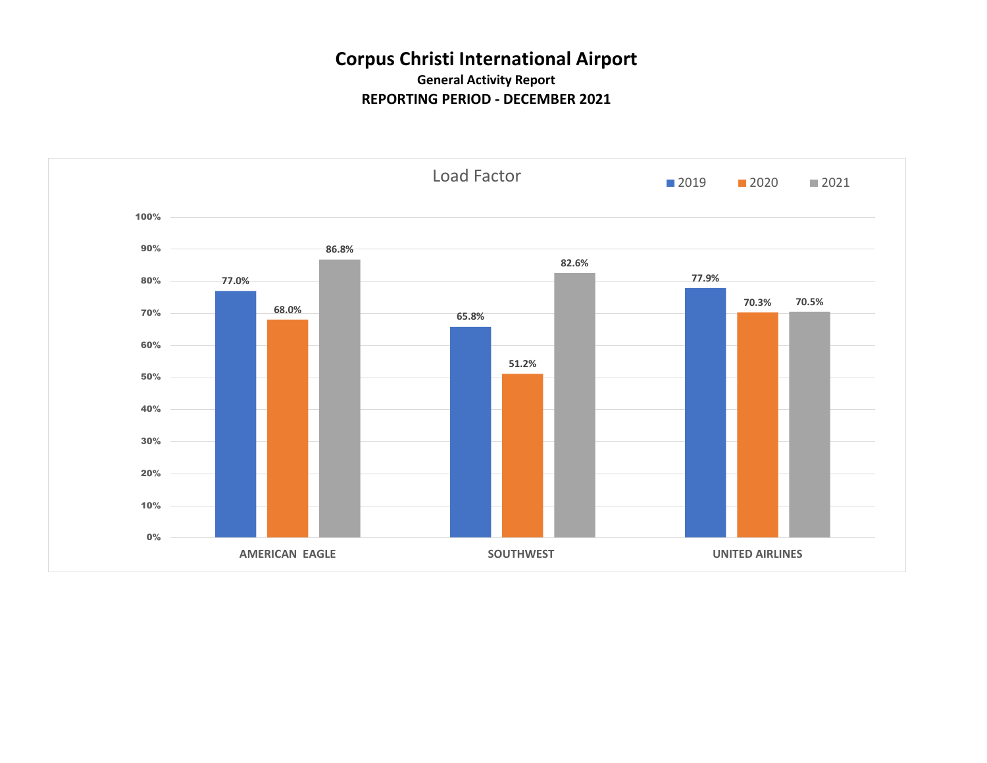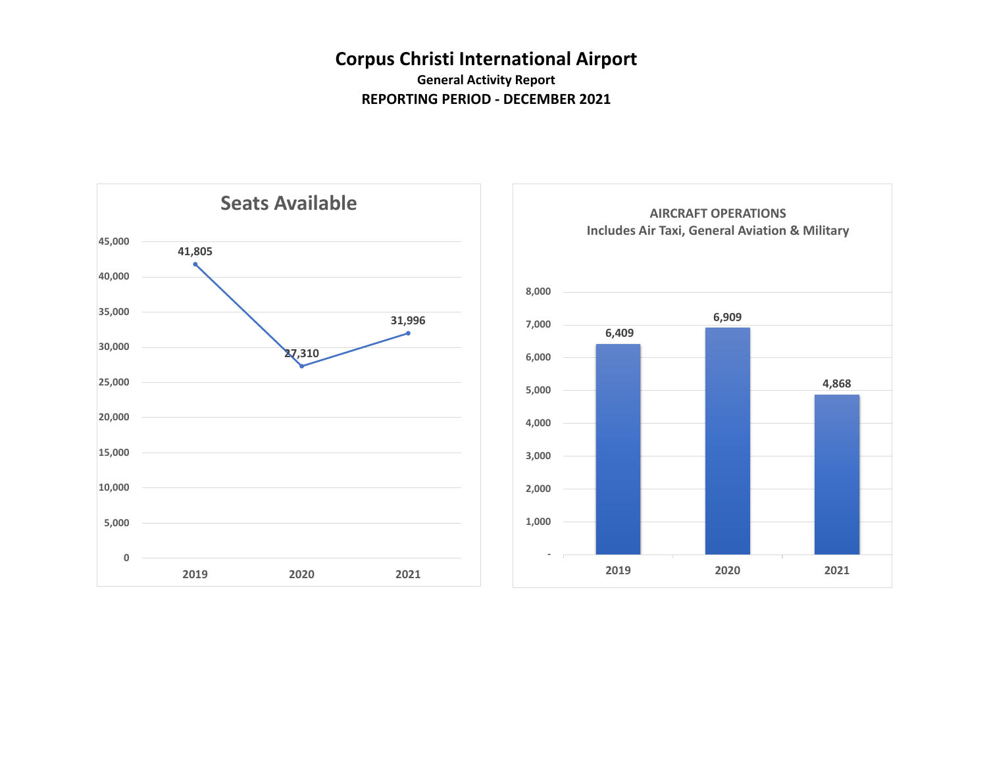